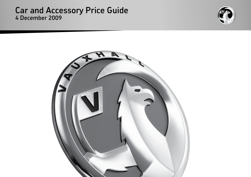### Car and Accessory Price Guide 4 December 2009



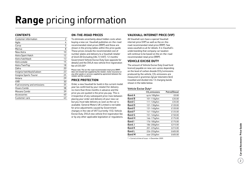## **Range** pricing information

#### **ContentS**

| Customer information       | $\overline{c}$ |
|----------------------------|----------------|
|                            |                |
| Agila                      | 4              |
| Corsa                      | 5              |
| Meriva                     | 8              |
| New Astra                  | 10             |
| Astra Sport Hatch          | 12             |
| Astra hatchback            | 13             |
| Astra estate               | 15             |
| Astra TwinTop              | 18             |
| Zafira                     | 20             |
| Insignia hatchback/saloon  | 23             |
| Insignia Sports Tourer     | 25             |
| Antara                     | 29             |
| <b>VXR</b>                 | 30             |
| Fuel economy and emissions | 35             |
| Vivaro Combi               | 38             |
| Movano Combi               | 39             |
| Accessories                | 40             |
| Customer care              | 43             |
|                            |                |

#### **ON-THE-ROAD PRICES**

To eliminate uncertainty about hidden costs when buying a new car, Vauxhall publishes on-the-road recommended retail prices (RRP) and these are shown in the pricing tables within this price guide. These prices include the recommended cost of number plates and delivery to a Vauxhall retailer of £645.00 (including £84.13 VAT), 12 months' Government Vehicle Excise Duty (see opposite for details) and the DVLA new vehicle first registration fee of  $f55.00*$ 

Please note: The on-the-road recommended retail price (RRP) does not include fuel supplied by the retailer, motor insurance or any other goods or services supplied by agreement between the retailer and the customer.

#### **PRICE PROTECTION**

Order a new Vauxhall for build in the current model year (as confirmed by your retailer) for delivery no more than three months in advance and the price you are quoted is the price you pay. This is irrespective of any subsequent price rises between placing your order and delivery of your new car, but you must take delivery as soon as the car is available. General Motors UK Limited is not liable for price adjustments caused by Government changes in the rate of VAT (currently 15%), Vehicle Excise Duty, DVLA new vehicle first registration fee or by any other applicable legislation or regulations.

#### **Vauxhall Inte rnet Pr i ce (VIP )**

All Vauxhall cars have a special Vauxhall internet price (VIP) as well as the on-theroad recommended retail price (RRP). See www.vauxhall.co.uk for details. It is Vauxhall's understanding that company car taxation will continue to be based on the on-the-road recommended retail price (RRP).

#### **VEHICLE EXCISE DUTY**

The amount of Vehicle Excise Duty (road fund licence) payable on new cars varies depending on the level of carbon dioxide (CO 2) emissions produced by the vehicle. CO 2 emissions are measured in grammes (g) per kilometre (km) travelled and divided into 13 charging bands shown in the table below.

#### Vehicle Excise Duty \*

|               | $CO2$ emissions | Petrol/Diesel |
|---------------|-----------------|---------------|
| <b>Band A</b> | up to 100q/km   | £0.00         |
| <b>Band B</b> | 101-110g/km     | £35.00        |
| <b>Band C</b> | 111-120g/km     | £35.00        |
| <b>Band D</b> | 121-130g/km     | £120.00       |
| <b>Band E</b> | 131-140g/km     | £120.00       |
| <b>Band F</b> | 141-150g/km     | £125.00       |
| <b>Band G</b> | 151-165g/km     | £150.00       |
| Band H        | 166-175g/km     | £175.00       |
| <b>Band I</b> | 176-185g/km     | £175.00       |
| Band J        | 186-200g/km     | £215.00       |
| Band K        | 201-225g/km     | £215.00       |
| <b>Band L</b> | 226-255g/km     | £405.00       |
| <b>Band M</b> | over 255g/km    | £405.00       |

\* = Correct at time of issue – 4 December 2009.

 $\left( 2\right)$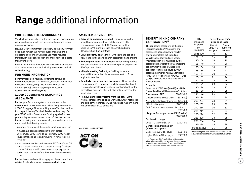# **Range** additional information

#### **Protecting the environment**

Vauxhall has always been at the forefront of environmental issues and our products are increasingly winning green automotive awards.

However, our commitment to preserving the environment goes even further. We have reduced manufacturing emissions and our new vehicles use more recycled materials in their construction and more recyclable parts than ever before.

Looking further into the future we are working on cleaner, alternative power sources, including zero-emission fuel cell technology.

#### **For more information**

For information on Vauxhall's efforts to achieve an environmentally sustainable future, including information on Design for Recycling, take-back of End-of-Life Vehicles (ELVs), and the recycling of ELVs, see www.vauxhall.co.uk/recycling

#### **£2000 Government Scrappage Allowance**

Further proof of our long-term commitment to the environment comes in our support for the government's £2000 Scrappage Allowance. Buy a new Vauxhall vehicle from a participating Vauxhall Retailer and we may offer you £2000 (whilst Government funding applies) to take your old, higher emission car or van off the road. At the time of ordering your new Vauxhall, your trade-in vehicle must meet the following criteria:

- You must have owned the vehicle for at least one year.
- It must have been registered in the UK before 29 February 2000 (cars) or 28 February 2002 (vans) (ie. registrations up to and including 'V' for cars or '51' for vans).
- Has a current tax disc and a current MOT certificate OR has a current tax disc and a current Hackney Carriage Licence OR has a MOT certificate that has expired no earlier than 14 days before the date of the new vehicle order.

Further terms and conditions apply so please consult your retailer for details or refer to www.vauxhall.co.uk

#### **Smarter driving tips**

- **Drive at an appropriate speed:** Staying within the speed limit increases driver safety, reduces  $CO<sub>2</sub>$ emissions and saves fuel. At 70mph you could be using up to 9% more fuel than at 60mph and up to 15% more fuel than at 50mph
- **Drive smoothly at all times:** Anticipate the ebb and flow of the traffic to avoid harsh acceleration and braking
- **Reduce your revs:** Change gear earlier to help reduce fuel consumption – try 2500rpm with petrol engines and 2000rpm with diesel
- **Idling is wasting fuel:** If you're likely to be at a standstill for more than three minutes, switch off the engine to save fuel
- **• Regularly check your tyre pressures:** Under inflated tyres increase  $CO<sub>2</sub>$  emissions whilst incorrectly inflated tyres can be unsafe. Always check your handbook for the correct tyre pressure. This will also help to increase the life of your tyres
- **• Remove unnecessary items from the car:** Extra weight increases the engine's workload, whilst roof racks and bike carriers increase wind resistance. All burn more fuel and increase  $CO<sub>2</sub>$  emissions

**Vauxhall supporting**



#### **Benefit in kind company car taxation††**

The car benefit charge will be the car's list price (including VAT, options and accessories fitted, delivery to retailer and number plates, but excluding Vehicle Excise Duty and new vehicle first registration fee) multiplied by the percentage charge for the  $CO<sub>2</sub>$  emissions band in which the car falls (see table opposite). Multiply this figure by your personal income tax rate (20% for Basic Rate, 40% for Higher Rate for 2009-10 tax year) to calculate your annual benefit in kind tax liability.

Astra Life 1.7CDTi 16y (110PS) ecoFLEX 5-door hatchback (CO<sub>2</sub> emissions 119q/km) On-the-road RRP £18345.00 Deduct: Vehicle Excise Duty (£35.00) New vehicle first registration fee (£55.00) Effective list price 618255.00 Add: Optional two-coat metallic paint

List price for tax purposes (P11D value)

2009-10 tax year (13%) £2424.00

£395.00

£18650.00

Example:

Car benefit charge

Benefit in kind tax liability (2009-10 tax year)

| CO <sub>2</sub><br>emissions | Percentage of car's<br>price to be taxed |                               |  |  |  |  |
|------------------------------|------------------------------------------|-------------------------------|--|--|--|--|
| in grams<br>per<br>kilometre | Petrol<br>2009-10<br>tax year            | Diesel<br>2009-10<br>tax year |  |  |  |  |
| up to 120                    | 10                                       | 13                            |  |  |  |  |
| 121-139                      | 15                                       | 18                            |  |  |  |  |
| 140-144                      | 16                                       | 19                            |  |  |  |  |
| 145-149                      | 17                                       | 20                            |  |  |  |  |
| 150-154                      | 18                                       | 21                            |  |  |  |  |
| 155-159                      | 19                                       | 22                            |  |  |  |  |
| 160-164                      | 20                                       | 23                            |  |  |  |  |
| 165-169                      | 21                                       | 24                            |  |  |  |  |
| 170-174                      | 22                                       | 25                            |  |  |  |  |
| 175-179                      | 23                                       | 26                            |  |  |  |  |
| 180-184                      | 24                                       | 27                            |  |  |  |  |
| 185-189                      | 25                                       | 28                            |  |  |  |  |
| 190-194                      | 26                                       | 29                            |  |  |  |  |
| 195-199                      | 27                                       | 30                            |  |  |  |  |
| 200-204                      | 28                                       | 31                            |  |  |  |  |
| 205-209                      | 29                                       | 32                            |  |  |  |  |
| 210-214                      | 30                                       | 33                            |  |  |  |  |
| 215-219                      | 31                                       | 34                            |  |  |  |  |
| 220-224                      | 32                                       | 35                            |  |  |  |  |
| 225-229                      | 33                                       | 35                            |  |  |  |  |
| 230-234                      | 34                                       | 35                            |  |  |  |  |
| 235-239                      | 35                                       | 35                            |  |  |  |  |
| 240 and above                | 35                                       | 35                            |  |  |  |  |

calculator is available at www.vauxhall.co.uk/bik Basic Rate  $(20%)$  tax payer  $£484.00$ Higher Rate (40%) tax payer £969.00

†† = Please note this Price Guide provides taxation information as a guide only. Vauxhall does not purport to provide taxation guidance. Drivers should always take professional advice on their own tax position.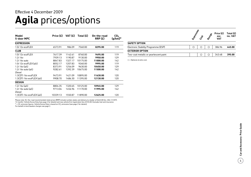### **Agila** prices/options Effective 4 December 2009

| Model<br>5-door MPC       | Price (£) | VAT $(f)$ | Total $(E)$ | On-the-road<br>RRP(E) | CO <sub>2</sub><br>$(g/km)^*$ |
|---------------------------|-----------|-----------|-------------|-----------------------|-------------------------------|
| <b>EXPRESSION</b>         |           |           |             |                       |                               |
| 1.0i 12y ecoFLEX          | 6573.91   | 986.09    | 7560.00     | 8295.00               | 119                           |
| <b>CLUB</b>               |           |           |             |                       |                               |
| 1.0i 12y ecoFLEX          | 7617.39   | 1142.61   | 8760.00     | 9495.00               | 119                           |
| 1.2i 16v                  | 7939.13   | 1190.87   | 9130.00     | 9950.00               | 129                           |
| $1.2i$ 16y auto           | 8847.83   | 1327.17   | 10175.00    | 11000.00              | 142                           |
| 1.0i $12v$ ecoFLEX (a/c)  | 8052.17   | 1207.83   | 9260.00     | 9995.00               | 119                           |
| 1.2i $16v$ (a/c)          | 8373.91   | 1256.09   | 9630.00     | 10450.00              | 129                           |
| 1.2i 16y auto $(a/c)$     | 9282.61   | 1392.39   | 10675.00    | 11500.00              | 142                           |
| Diesel                    |           |           |             |                       |                               |
| 1.3CDTi 16y ecoFLEX       | 9473.91   | 1421.09   | 10895.00    | 11630.00              | 120                           |
| 1.3CDTi 16v ecoFLEX (a/c) | 9908.70   | 1486.30   | 11395.00    | 12130.00              | 120                           |
| <b>DESIGN</b>             |           |           |             |                       |                               |
| 1.2i $16v$ (a/c)          | 8804.35   | 1320.65   | 10125.00    | 10945.00              | 129                           |
| 1.2i 16v auto (a/c)       | 9713.04   | 1456.96   | 11170.00    | 11995.00              | 142                           |
| Diesel                    |           |           |             |                       |                               |
| 1.3CDTi 16v ecoFLEX (a/c) | 10339.13  | 1550.87   | 11890.00    | 12625.00              | 120                           |

Please note: On-the-road recommended retail prices (RRP) include number plates and delivery to retailer of £645.00 (inc. £84.13 VAT), 12 months' Vehicle Excise Duty (see page 2 for details) and new vehicle first registration fee of £55.00. Excludes fuel and insurance.<br>\* = CO<sub>2</sub> emission figures. Vehicle Excise Duty is based on CO<sub>2</sub> emissions (see page 2

For benefit in kind taxation charges see page 3.

|                                        | Expressively | Cust | Design | Price (£)<br>exc.<br><b>VAT</b> | Total $(E)$<br>inc. VAT |
|----------------------------------------|--------------|------|--------|---------------------------------|-------------------------|
| <b>SAFETY OPTION</b>                   |              |      |        |                                 |                         |
| Electronic Stability Programme (ESP)   | ∩            | О    | Ω      | 386.96                          | 445.00                  |
| <b>EXTERIOR OPTION</b>                 |              |      |        |                                 |                         |
| Two-coat metallic or pearlescent paint |              | О    | ∩      | 343.48                          | 395.00                  |

 $O =$  Optional at extra cost.

 $\frac{1}{4}$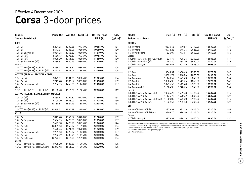## **Corsa** 3-door prices

| Model                                      | Price (£) | VAT $(f)$ | Total (£) | On-the-road | CO <sub>2</sub> |
|--------------------------------------------|-----------|-----------|-----------|-------------|-----------------|
| 3-door hatchback                           |           |           |           | RRP(E)      | $(g/km)^*$      |
| LIFE                                       |           |           |           |             |                 |
| 1.0i 12v                                   | 8204.35   | 1230.65   | 9435.00   | 10255.00    | 134             |
| 1.2i 16v                                   | 8573.91   | 1286.09   | 9860.00   | 10680.00    | 139             |
| 1.2i 16v Easytronic                        | 9034.78   | 1355.22   | 10390.00  | 11210.00    | 137             |
| 1.0i $12v$ (a/c)                           | 8639.13   | 1295.87   | 9935.00   | 10755.00    | 134             |
| $1.2i$ 16 $v$ (a/c)                        | 9008.70   | 1351.30   | 10360.00  | 11180.00    | 139             |
| 1.2i 16v Easytronic (a/c)                  | 9469.57   | 1420.43   | 10890.00  | 11710.00    | 137             |
| Diesel                                     |           |           |           |             |                 |
| 1.3CDTi 16v (75PS) ecoFLEX                 | 9439.13   | 1415.87   | 10855.00  | 11590.00    | 105             |
| 1.3CDTi 16v (75PS) ecoFLEX (a/c)           | 9873.91   | 1481.09   | 11355.00  | 12090.00    | 105             |
| <b>ACTIVE (SPECIAL EDITION MODEL)</b>      |           |           |           |             |                 |
| 1.0i $12v$ (a/c)                           | 8873.91   | 1331.09   | 10205.00  | 11025.00    | 134             |
| 1.2i $16v$ (a/c)                           | 9243.48   | 1386.52   | 10630.00  | 11450.00    | 139             |
| 1.2i 16v Easytronic (a/c)                  | 9704.35   | 1455.65   | 11160.00  | 11980.00    | 137             |
| Diesel                                     |           |           |           |             |                 |
| 1.3CDTi 16v (75PS) ecoFLEX (a/c)           | 10108.70  | 1516.30   | 11625.00  | 12360.00    | 119             |
| <b>ACTIVE PLUS (SPECIAL EDITION MODEL)</b> |           |           |           |             |                 |
| 1.0i $12v$ (a/c)                           | 9330.43   | 1399.57   | 10730.00  | 11550.00    | 134             |
| $1.2i$ 16y (a/c)                           | 9700.00   | 1455.00   | 11155.00  | 11975.00    | 139             |
| 1.2i 16v Easytronic (a/c)<br>Diesel        | 10160.87  | 1524.13   | 11685.00  | 12505.00    | 137             |
| 1.3CDTi 16v (75PS) ecoFLEX (a/c)           | 10565.22  | 1584.78   | 12150.00  | 12885.00    | 119             |
| <b>CLUB</b>                                |           |           |           |             |                 |
| 1.2i 16v                                   | 9043.48   | 1356.52   | 10400.00  | 11220.00    | 139             |
| 1.2i 16v Easytronic                        | 9504.35   | 1425.65   | 10930.00  | 11750.00    | 137             |
| 1.4i 16v                                   | 9491.30   | 1423.70   | 10915.00  | 11740.00    | 146             |
| 1.4i 16y auto                              | 10339.13  | 1550.87   | 11890.00  | 12740.00    | 154             |
| 1.2i $16v$ (a/c)                           | 9478.26   | 1421.74   | 10900.00  | 11720.00    | 139             |
| 1.2i 16v Easytronic (a/c)                  | 9939.13   | 1490.87   | 11430.00  | 12250.00    | 137             |
| 1.4i $16v$ (a/c)                           | 9926.09   | 1488.91   | 11415.00  | 12240.00    | 146             |
| 1.4i 16 $v$ auto (a/c)                     | 10773.91  | 1616.09   | 12390.00  | 13240.00    | 154             |
| Diesel                                     |           |           |           |             |                 |
| 1.3CDTi 16v (75PS) ecoFLEX                 | 9908.70   | 1486.30   | 11395.00  | 12130.00    | 105             |
| 1.3CDTi 16v (75PS) ecoFLEX (a/c)           | 10343.48  | 1551.52   | 11895.00  | 12630.00    | 105             |

| Model                            | Price (£) | VAT (£) | Total $(E)$ | On-the-road | CO <sub>2</sub> |
|----------------------------------|-----------|---------|-------------|-------------|-----------------|
| 3-door hatchback                 |           |         |             | RRP(E)      | $(g/km)^*$      |
| <b>DESIGN</b>                    |           |         |             |             |                 |
| 1.2i $16v$ (a/c)                 | 10530.43  | 1579.57 | 12110.00    | 12930.00    | 139             |
| $1.4i$ 16y (a/c)                 | 10978.26  | 1646.74 | 12625.00    | 13450.00    | 146             |
| 1.4i 16y auto $(a/c)$            | 11826.09  | 1773.91 | 13600.00    | 14450.00    | 154             |
| Diesel                           |           |         |             |             |                 |
| 1.3CDTi 16y (75PS) ecoFLEX (a/c) | 11521.74  | 1728.26 | 13250.00    | 13985.00    | 119             |
| 1.3CDTi 16v (90PS) (a/c)         | 11791.30  | 1768.70 | 13560.00    | 14380.00    | 127             |
| 1.7CDTi 16v (a/c)                | 12682.61  | 1902.39 | 14585.00    | 15405.00    | 130             |
| <b>SXi</b>                       |           |         |             |             |                 |
| 1.2i 16v                         | 9869.57   | 1480.43 | 11350.00    | 12175.00    | 146             |
| 1.4i 16v                         | 10321.74  | 1548.26 | 11870.00    | 12695.00    | 146             |
| 1.4i 16y auto                    | 11169.57  | 1675.43 | 12845.00    | 13695.00    | 154             |
| 1.2i $16v$ (a/c)                 | 10304.35  | 1545.65 | 11850.00    | 12675.00    | 146             |
| 1.4i 16y (a/c)                   | 10756.52  | 1613.48 | 12370.00    | 13195.00    | 146             |
| 1.4i 16y auto $(a/c)$            | 11604.35  | 1740.65 | 13345.00    | 14195.00    | 154             |
| Diesel                           |           |         |             |             |                 |
| 1.3CDTi 16v (75PS) ecoFLEX       | 10865.22  | 1629.78 | 12495.00    | 13230.00    | 119             |
| 1.3CDTi 16v (90PS)               | 11134.78  | 1670.22 | 12805.00    | 13625.00    | 127             |
| 1.3CDTi 16v (75PS) ecoFLEX (a/c) | 11300.00  | 1695.00 | 12995.00    | 13730.00    | 119             |
| 1.3CDTi 16v (90PS) (a/c)         | 11569.57  | 1735.43 | 13305.00    | 14125.00    | 127             |
| <b>SRi</b>                       |           |         |             |             |                 |
| 1.6i 16v Turbo (150PS)           | 12873.91  | 1931.09 | 14805.00    | 15720.00    | 189             |
| 1.6i 16y Turbo (150PS) (a/c)     | 13308.70  | 1996.30 | 15305.00    | 16220.00    | 189             |
| Diesel                           |           |         |             |             |                 |
| 1.7CDTi 16v (a/c)                | 13973.91  | 2096.09 | 16070.00    | 16890.00    | 130             |

Please note: On-the-road recommended retail prices (RRP) include number plates and delivery to retailer of £645.00 (inc. £84.13 VAT),<br>12 months' Vehicle Excise Duty (see page 2 for details) and new vehicle first registrati

 $*$  = CO<sub>2</sub> emission figures. Vehicle Excise Duty is based on CO<sub>2</sub> emissions (see page 2 for details).

For benefit in kind taxation charges see page 3.

a/c = Air conditioning.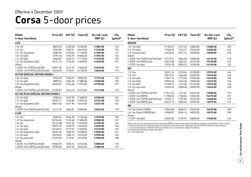## **Corsa** 5-door prices

| <b>Model</b>                               | Price (£) | VAT(E)  | Total (£) | On-the-road | CO <sub>2</sub> |
|--------------------------------------------|-----------|---------|-----------|-------------|-----------------|
| 5-door hatchback                           |           |         |           | RRP(E)      | $(g/km)^*$      |
| <b>LIFE</b>                                |           |         |           |             |                 |
| 1.0i 12v                                   | 8856.52   | 1328.48 | 10185.00  | 11005.00    | 134             |
| 1.2i 16v                                   | 9226.09   | 1383.91 | 10610.00  | 11430.00    | 139             |
| 1.2i 16v Easytronic                        | 9686.96   | 1453.04 | 11140.00  | 11960.00    | 137             |
| 1.0i $12v$ (a/c)                           | 9291.30   | 1393.70 | 10685.00  | 11505.00    | 134             |
| $1.2i$ 16 $v$ (a/c)                        | 9660.87   | 1449.13 | 11110.00  | 11930.00    | 139             |
| 1.2i 16v Easytronic (a/c)                  | 10121.74  | 1518.26 | 11640.00  | 12460.00    | 137             |
| Diesel                                     |           |         |           |             |                 |
| 1.3CDTi 16v (75PS) ecoFLEX                 | 10091.30  | 1513.70 | 11605.00  | 12340.00    | 119             |
| 1.3CDTi 16v (75PS) ecoFLEX (a/c)           | 10526.09  | 1578.91 | 12105.00  | 12840.00    | 119             |
| <b>ACTIVE (SPECIAL EDITION MODEL)</b>      |           |         |           |             |                 |
| 1.0i $12v$ (a/c)                           | 9526.09   | 1428.91 | 10955.00  | 11775.00    | 134             |
| $1.2i$ 16 $v$ (a/c)                        | 9895.65   | 1484.35 | 11380.00  | 12200.00    | 139             |
| 1.2i 16v Easytronic (a/c)                  | 10356.52  | 1553.48 | 11910.00  | 12730.00    | 137             |
| <b>Diesel</b>                              |           |         |           |             |                 |
| 1.3CDTi 16v (75PS) ecoFLEX (a/c)           | 10760.87  | 1614.13 | 12375.00  | 13110.00    | 119             |
| <b>ACTIVE PLUS (SPECIAL EDITION MODEL)</b> |           |         |           |             |                 |
| 1.0i 12v (a/c)                             | 9982.61   | 1497.39 | 11480.00  | 12300.00    | 134             |
| $1.2i$ 16 $v$ (a/c)                        | 10352.17  | 1552.83 | 11905.00  | 12725.00    | 139             |
| 1.2i 16v Easytronic (a/c)                  | 10813.04  | 1621.96 | 12435.00  | 13255.00    | 137             |
| Diesel                                     |           |         |           |             |                 |
| 1.3CDTi 16v (75PS) ecoFLEX (a/c)           | 11217.39  | 1682.61 | 12900.00  | 13635.00    | 119             |
| <b>CLUB</b>                                |           |         |           |             |                 |
| 1.2i 16v                                   | 9695.65   | 1454.35 | 11150.00  | 11970.00    | 139             |
| 1.2i 16v Easytronic                        | 10156.52  | 1523.48 | 11680.00  | 12500.00    | 137             |
| 1.4i 16v                                   | 10143.48  | 1521.52 | 11665.00  | 12490.00    | 146             |
| 1.4i 16y auto                              | 10991.30  | 1648.70 | 12640.00  | 13490.00    | 158             |
| 1.2i $16v$ (a/c)                           | 10130.43  | 1519.57 | 11650.00  | 12470.00    | 139             |
| 1.2i 16v Easytronic (a/c)                  | 10591.30  | 1588.70 | 12180.00  | 13000.00    | 137             |
| 1.4i 16y (a/c)                             | 10578.26  | 1586.74 | 12165.00  | 12990.00    | 146             |
| 1.4i 16 $v$ auto (a/c)                     | 11426.09  | 1713.91 | 13140.00  | 13990.00    | 158             |
| Diesel                                     |           |         |           |             |                 |
| 1.3CDTi 16v (75PS) ecoFLEX                 | 10560.87  | 1584.13 | 12145.00  | 12880.00    | 119             |
| 1.3CDTi 16y (75PS) ecoFLEX (a/c)           | 10995.65  | 1649.35 | 12645.00  | 13380.00    | 119             |

| Model                                  | Price $(E)$ | VAT $(E)$ | Total $(E)$ | On-the-road | CO <sub>2</sub> |
|----------------------------------------|-------------|-----------|-------------|-------------|-----------------|
| 5-door hatchback                       |             |           |             | RRP(E)      | $(g/km)^*$      |
| <b>DESIGN</b>                          |             |           |             |             |                 |
| 1.2i $16v$ (a/c)                       | 11182.61    | 1677.39   | 12860.00    | 13680.00    | 139             |
| 1.4i 16y (a/c)                         | 11630.43    | 1744.57   | 13375.00    | 14200.00    | 146             |
| 1.4i 16y auto $(a/c)$                  | 12478.26    | 1871.74   | 14350.00    | 15200.00    | 158             |
| Diesel                                 |             |           |             |             |                 |
| 1.3CDTi 16v (75PS) ecoFLEX (a/c)       | 12173.91    | 1826.09   | 14000.00    | 14735.00    | 119             |
| 1.3CDTi 16v (90PS) (a/c)               | 12443.48    | 1866.52   | 14310.00    | 15130.00    | 127             |
| 1.7CDTi 16v (a/c)                      | 13334.78    | 2000.22   | 15335.00    | 16155.00    | 132             |
| <b>SXi</b>                             |             |           |             |             |                 |
| 1.2i 16v                               | 10521.74    | 1578.26   | 12100.00    | 12925.00    | 146             |
| 1.4i 16v                               | 10973.91    | 1646.09   | 12620.00    | 13445.00    | 146             |
| 1.4i 16y auto                          | 11821.74    | 1773.26   | 13595.00    | 14445.00    | 158             |
| 1.2i $16v$ (a/c)                       | 10956.52    | 1643.48   | 12600.00    | 13425.00    | 146             |
| 1.4i 16y (a/c)                         | 11408.70    | 1711.30   | 13120.00    | 13945.00    | 146             |
| 1.4i 16y auto $(a/c)$                  | 12256.52    | 1838.48   | 14095.00    | 14945.00    | 158             |
| Diesel                                 |             |           |             |             |                 |
| 1.3CDTi 16v (75PS) ecoFLEX             | 11517.39    | 1727.61   | 13245.00    | 13980.00    | 119             |
| 1.3CDTi 16v (90PS)                     | 11786.96    | 1768.04   | 13555.00    | 14375.00    | 127             |
| 1.3CDTi 16y (75PS) ecoFLEX (a/c)       | 11952.17    | 1792.83   | 13745.00    | 14480.00    | 119             |
| 1.3CDTi 16v (90PS) (a/c)               | 12221.74    | 1833.26   | 14055.00    | 14875.00    | 127             |
| <b>SRi</b>                             |             |           |             |             |                 |
| 1.6i 16y Turbo (150PS)                 | 13526.09    | 2028.91   | 15555.00    | 16470.00    | 189             |
| 1.6i 16v Turbo (150PS) (a/c)<br>Diesel | 13960.87    | 2094.13   | 16055.00    | 16970.00    | 189             |
| 1.7CDTi 16v (a/c)                      | 14626.09    | 2193.91   | 16820.00    | 17640.00    | 132             |

Please note: On-the-road recommended retail prices (RRP) include number plates and delivery to retailer of £645.00 (inc. £84.13 VAT),<br>12 months' Vehicle Excise Duty (see page 2 for details) and new vehicle first registrati

 $*$  = CO<sub>2</sub> emission figures. Vehicle Excise Duty is based on CO<sub>2</sub> emissions (see page 2 for details).

For benefit in kind taxation charges see page 3.

a/c = Air conditioning.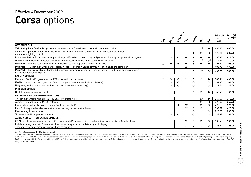### **Corsa** options Effective 4 December 2009

|                                                                                                                                                              |                     |               |             |                |                                  |                         |                                  | Price (£)          | Total $(E)$ |
|--------------------------------------------------------------------------------------------------------------------------------------------------------------|---------------------|---------------|-------------|----------------|----------------------------------|-------------------------|----------------------------------|--------------------|-------------|
|                                                                                                                                                              | $\ddot{\mathbf{x}}$ | <b>Active</b> | Active Road | Cres           | Design                           | ぶ                       | $\dot{\mathcal{S}}$              | exc.<br><b>VAT</b> | inc. VAT    |
| <b>OPTION PACKS</b>                                                                                                                                          |                     |               |             |                |                                  |                         |                                  |                    |             |
| VXR Styling Pack One <sup>1</sup> . Body-colour front lower spoiler/side sills/rear lower skirt/rear roof spoiler                                            |                     |               |             |                |                                  | O <sup>2</sup>          | $\bullet$                        | 695.65             | 800.00      |
| Sight and Light Pack . Rain-sensitive windscreen wipers . Electro-chromatic anti-dazzle rear-view mirror<br>• Automatic lighting control                     |                     |               |             |                |                                  | O                       | $\circ$                          | 173.91             | 200.00      |
| Protection Pack · Front seat side-impact airbags · Full-size curtain airbags · Pyrotechnic front lap belt pretensioner system                                | $\circ$             | $\circ$       | O           |                | $\bullet$                        | $\bullet$               | $\bullet$                        | 360.87             | 415.00      |
| Winter Pack . Electrically heated front seats . Electrically heated leather-covered steering wheel                                                           |                     |               |             | $\circ$        | $\circ$                          | $\bigcirc$ <sup>3</sup> | $\bigcirc$ <sup>3</sup>          | 182.61             | 210.00      |
| Plus Pack . Driver's seat height adjuster . Steering column adjustable for reach and rake                                                                    | $\circ$             | $\bullet$     | $\bullet$   | ●              | $\bullet$                        |                         | $\bullet$                        | 91.30              | 105.00      |
| Plus Pack • 15-inch alloy wheels (steel spare) • Front fog lights • Cruise control • Multi-function trip computer                                            |                     |               |             | $\circ$        |                                  |                         |                                  | 408.70             | 470.00      |
| Plus Pack • Electronic Climate Control (ECC) incorporating air conditioning • Cruise control • Multi-function trip computer<br>• Graphic information display |                     |               |             |                | $\circ$                          | $\circ$ <sup>4</sup>    | $\circlearrowright$ <sup>4</sup> | 434.78             | 500.00      |
| <b>SAFETY OPTIONS</b>                                                                                                                                        |                     |               |             |                |                                  |                         |                                  |                    |             |
| Electronic Stability Programme-plus (ESP-plus) with traction control                                                                                         | $\circ$             | $\circ$       | $\circ$     | $\circ$        | $\circ$                          | $\circ$                 | $\bullet$                        | 386.96             | 445.00      |
| ISOFIX child seat restraint system for front passenger's seat (does not include child seat)                                                                  | О                   | $\circ$       | O           | O              | O                                | $\circ$                 | $\circ$                          | 91.30              | 105.00      |
| Height-adjustable centre rear seat head restraint (five-door models only)                                                                                    | 0                   | $\circ$       | ∩           | O              | $\circ$                          | $\circ$                 | $\bigcirc$                       | 21.74              | 25.00       |
| <b>INTERIOR OPTION</b>                                                                                                                                       |                     |               |             |                |                                  |                         |                                  |                    |             |
| DualFloor luggage compartment                                                                                                                                |                     |               |             |                | $\circ$                          | $\circ$                 | ●                                | 43.48              | 50.00       |
| <b>EXTERIOR AND CONVENIENCE OPTIONS</b>                                                                                                                      |                     |               |             |                |                                  |                         |                                  |                    |             |
| 17-inch alloy wheels with 215/45 R 17 ultra-low profile tyres                                                                                                |                     |               |             |                | $\circlearrowright$ <sup>5</sup> | $\circ$ <sup>5</sup>    | $\bullet$                        | 269.57             | 310.00      |
| Adaptive Forward Lighting (AFL) - halogen                                                                                                                    |                     |               |             |                | $\circ$                          | $\circ$                 | $\circ$                          | 226.09             | 260.00      |
| Electrically operated sliding glass sunroof with interior blind <sup>6</sup>                                                                                 |                     |               |             | O <sup>7</sup> | $\circ$                          | $\circ$                 | $\circ$                          | 495.65             | 570.00      |
| Flex-Fix® integrated carrier system (includes two-bicycle carrier attachment) 8                                                                              |                     |               |             | O <sup>7</sup> | $\circ$                          | $\circ$                 |                                  | 369.57             | 425.00      |
| Rear parking distance sensors <sup>9</sup>                                                                                                                   |                     |               |             | $\circ$        | $\circ$                          | $\circ$                 | $\circ$                          | 226.09             | 260.00      |
| Two-coat metallic or pearlescent paint                                                                                                                       | $\circ$             | $\circ$       | $\bigcirc$  | $\circ$        | $\circ$                          | $\circ$                 | $\circ$                          | 343.48             | 395.00      |
| AUDIO AND COMMUNICATION OPTIONS                                                                                                                              |                     |               |             |                |                                  |                         |                                  |                    |             |
| CD 60 • Satellite navigation system • CD player with MP3 format • Stereo radio • Auxiliary-in socket • Graphic display                                       |                     |               |             | $\circ$        | $\circ$                          | $\circ$                 | $\circ$                          | 830.43             | 955.00      |
| Mobile phone system with Bluetooth® (does not include phone or cradle) and graphic display<br>- see your retailer for details of mobile phone compatibility  |                     |               |             | O              | $\circ$                          | $\circ$                 | $\circ$                          | 256.52             | 295.00      |

 $\bigcirc$  = Optional at extra cost.  $\bigcirc$  = Standard equipment.

1 = Not available in conjunction with Flex-Fix® integrated carrier system. The spare wheel is replaced by an emergency tyre inflation kit. 2 = Not available on 1.3CDTi 16y (75PS) models. 3 = Deletes sports steering wheel. available on 1.3CDTi 16v (75PS) models. Includes sports suspension with lower ride height and progressive-rate variable ratio power-assisted steering. 6 = Also includes front map reading lights and front passenger's seat h Roof panel is coloured black. 7 = Not available on 1.3CDTi 16v (75PS) 3-door models. 8 = Not available in conjunction with VXR Styling Pack One or rear parking distance sensors. The spare wheel is replaced by an emergency integrated carrier system.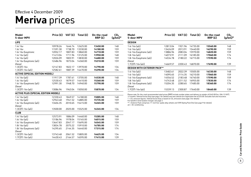### **Meriva** prices Effective 4 December 2009

| Model<br>5-door MPV                        | Price (£) | VAT(E)  | Total $(E)$ | On-the-road<br>RRP(E) | CO <sub>2</sub><br>$(g/km)^*$ |
|--------------------------------------------|-----------|---------|-------------|-----------------------|-------------------------------|
| <b>LIFE</b>                                |           |         |             |                       |                               |
| 1.4i 16v                                   | 10978.26  | 1646.74 | 12625.00    | 13450.00              | 148                           |
| 1.6i 16v                                   | 11591.30  | 1738.70 | 13330.00    | 14180.00              | 159                           |
| 1.6i 16v Easytronic                        | 12052.17  | 1807.83 | 13860.00    | 14710.00              | 159                           |
| 1.4i 16v (a/c)                             | 11413.04  | 1711.96 | 13125.00    | 13950.00              | 148                           |
| 1.6i $16v$ (a/c)                           | 12026.09  | 1803.91 | 13830.00    | 14680.00              | 159                           |
| 1.6i 16v Easytronic (a/c)                  | 12486.96  | 1873.04 | 14360.00    | 15210.00              | 159                           |
| Diesel                                     |           |         |             |                       |                               |
| 1.3CDTi 16v                                | 12147.83  | 1822.17 | 13970.00    | 14790.00              | 134                           |
| 1.3CDTi 16v (a/c)                          | 12582.61  | 1887.39 | 14470.00    | 15290.00              | 134                           |
| <b>ACTIVE (SPECIAL EDITION MODEL)</b>      |           |         |             |                       |                               |
| 1.4i $16v$ (a/c)                           | 11917.39  | 1787.61 | 13705.00    | 14530.00              | 148                           |
| 1.6i 16v (a/c)                             | 12530.43  | 1879.57 | 14410.00    | 15260.00              | 159                           |
| 1.6i 16v Easytronic (a/c)                  | 12991.30  | 1948.70 | 14940.00    | 15790.00              | 159                           |
| Diesel                                     |           |         |             |                       |                               |
| 1.3CDTi 16v (a/c)                          | 13086.96  | 1963.04 | 15050.00    | 15870.00              | 134                           |
| <b>ACTIVE PLUS (SPECIAL EDITION MODEL)</b> |           |         |             |                       |                               |
| 1.4i $16v$ (a/c)                           | 12330.43  | 1849.57 | 14180.00    | 15005.00              | 148                           |
| 1.6i $16v$ (a/c)                           | 12943.48  | 1941.52 | 14885.00    | 15735.00              | 159                           |
| 1.6i 16v Easytronic (a/c)                  | 13404.35  | 2010.65 | 15415.00    | 16265.00              | 159                           |
| Diesel                                     |           |         |             |                       |                               |
| 1.3CDTi 16v (a/c)                          | 13500.00  | 2025.00 | 15525.00    | 16345.00              | 134                           |
| <b>CLUB</b>                                |           |         |             |                       |                               |
| 1.4i 16v (a/c)                             | 12573.91  | 1886.09 | 14460.00    | 15285.00              | 148                           |
| 1.6i $16v$ (a/c)                           | 13186.96  | 1978.04 | 15165.00    | 16015.00              | 159                           |
| 1.6i 16v Easytronic (a/c)                  | 13647.83  | 2047.17 | 15695.00    | 16545.00              | 159                           |
| $1.8i$ 16 $v$ (a/c)                        | 13834.78  | 2075.22 | 15910.00    | 16785.00              | 174                           |
| 1.8i 16v Easytronic (a/c)                  | 14295.65  | 2144.35 | 16440.00    | 17315.00              | 174                           |
| Diesel                                     |           |         |             |                       |                               |
| 1.3CDTi 16v (a/c)                          | 13743.48  | 2061.52 | 15805.00    | 16625.00              | 134                           |
| 1.7CDTi 16v (a/c)                          | 14430.43  | 2164.57 | 16595.00    | 17415.00              | 139                           |

| Model<br>5-door MPV                | Price (£) | VAT(E)  | Total $(E)$ | On-the-road<br>RRP(E) | CO <sub>2</sub><br>$(g/km)^*$ |
|------------------------------------|-----------|---------|-------------|-----------------------|-------------------------------|
| <b>DESIGN</b>                      |           |         |             |                       |                               |
| 1.4i 16v (a/c)                     | 12813.04  | 1921.96 | 14735.00    | 15560.00              | 148                           |
| $1.6i$ 16y (a/c)                   | 13426.09  | 2013.91 | 15440.00    | 16290.00              | 159                           |
| 1.6i 16v Easytronic (a/c)          | 13886.96  | 2083.04 | 15970.00    | 16820.00              | 159                           |
| $1.8i$ 16y (a/c)                   | 14073.91  | 2111.09 | 16185.00    | 17060.00              | 174                           |
| 1.8i 16v Easytronic (a/c)          | 14534.78  | 2180.22 | 16715.00    | 17590.00              | 174                           |
| Diesel                             |           |         |             |                       |                               |
| 1.7CDTi 16v (a/c)                  | 14669.57  | 2200.43 | 16870.00    | 17690.00              | 139                           |
| <b>DESIGN WITH EXTERIOR PACK**</b> |           |         |             |                       |                               |
| 1.4i 16y (a/c)                     | 13482.61  | 2022.39 | 15505.00    | 16330.00              | 148                           |
| 1.6i 16 $v$ (a/c)                  | 14095.65  | 2114.35 | 16210.00    | 17060.00              | 159                           |
| 1.6i 16y Easytronic (a/c)          | 14556.52  | 2183.48 | 16740.00    | 17590.00              | 159                           |
| 1.8i $16v$ (a/c)                   | 14743.48  | 2211.52 | 16955.00    | 17830.00              | 174                           |
| 1.8i 16v Easytronic (a/c)          | 15204.35  | 2280.65 | 17485.00    | 18360.00              | 174                           |
| Diesel                             |           |         |             |                       |                               |
| $1.7$ CDTi $16v$ (a/c)             | 15339.13  | 2300.87 | 17640.00    | 18460.00              | 139                           |

Please note: On-the-road recommended retail prices (RRP) include number plates and delivery to retailer of £645.00 (inc. £84.13 VAT),<br>12 months' Vehicle Excise Duty (see page 2 for details) and new vehicle first registrati

 $*$  = CO<sub>2</sub> emission figures. Vehicle Excise Duty is based on CO<sub>2</sub> emissions (see page 2 for details).

For benefit in kind taxation charges see page 3.

\*\* = Exterior Pack comprises 17-inch five-spoke alloy wheels and VXR Styling Pack One (see page 9 for details).

a/c = Air conditioning.

 $\overline{8}$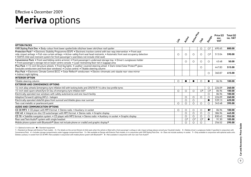### **Meriva** options Effective 4 December 2009

|                                                                                                                                                                                                                                                                                                                                                                                    |                      |                |                |                         |                                  | Price $(E)$        | Total $(E)$ |
|------------------------------------------------------------------------------------------------------------------------------------------------------------------------------------------------------------------------------------------------------------------------------------------------------------------------------------------------------------------------------------|----------------------|----------------|----------------|-------------------------|----------------------------------|--------------------|-------------|
|                                                                                                                                                                                                                                                                                                                                                                                    | $\ddot{\mathcal{S}}$ | <b>Prizike</b> | Active Play    | Cras                    | Desrien                          | exc.<br><b>VAT</b> | inc. VAT    |
| <b>OPTION PACKS</b>                                                                                                                                                                                                                                                                                                                                                                |                      |                |                |                         |                                  |                    |             |
| VXR Styling Pack One . Body-colour front lower spoiler/side sills/rear lower skirt/rear roof spoiler                                                                                                                                                                                                                                                                               |                      |                |                | O                       | $\circlearrowright$ <sup>1</sup> | 695.65             | 800.00      |
| Protection Pack <sup>2</sup> . Electronic Stability Programme (ESP) . Electronic traction control with two-way intervention . Front seat<br>side-impact airbags • Full-size curtain airbags • Active-safety front seat head restraints • Automatic front seat occupancy detection<br>• ISOFIX child seat restraint system for front passenger's seat (does not include child seat) | O                    | $\circ$        | $\circ$        | $\circ$                 | $\bigcirc$ <sup>3</sup>          | 513.04             | 590.00      |
| Convenience Pack . Front seat folding centre armrest . Front passenger's underseat storage tray . Driver's sunglasses holder<br>• Front passenger's storage net on lower centre console • Load-restraining floor net in luggage area                                                                                                                                               |                      | ∩              | $\circ$        | $\circ$                 | $\circ$                          | 43.48              | 50.00       |
| Plus Pack • 15-inch Structure wheels • Front fog lights • Leather-covered steering wheel • Dark-tinted Solar Protect® glass<br>(excludes windscreen and front door windows) • Cruise control • Tiltable steering column                                                                                                                                                            |                      |                |                | ◯                       |                                  | 447.83             | 515.00      |
| Plus Pack • Electronic Climate Control (ECC) • Solar Reflect <sup>®</sup> windscreen • Electro-chromatic anti-dazzle rear-view mirror<br>• Indirect night lighting                                                                                                                                                                                                                 |                      |                |                |                         | $\circ$                          | 360.87             | 415.00      |
| <b>INTERIOR OPTION</b>                                                                                                                                                                                                                                                                                                                                                             |                      |                |                |                         |                                  |                    |             |
| Tiltable steering column                                                                                                                                                                                                                                                                                                                                                           | $\circ$              |                |                | Ω                       |                                  | 86.96              | 100.00      |
| <b>EXTERIOR AND CONVENIENCE OPTIONS</b>                                                                                                                                                                                                                                                                                                                                            |                      |                |                |                         |                                  |                    |             |
| 16-inch alloy wheels (emergency tyre inflation kit) with locking bolts and 205/50 R 16 ultra-low profile tyres                                                                                                                                                                                                                                                                     |                      |                |                |                         | $\circ$                          | 226.09             | 260.00      |
| 15-inch steel spare wheel/tyre (in lieu of emergency tyre inflation kit) 4                                                                                                                                                                                                                                                                                                         | O                    | $\circ$        | $\circ$        | $\bigcirc$ <sup>5</sup> | $\circlearrowright$              | 86.96              | 100.00      |
| Electrically operated rear windows with safety autoreverse and one-touch facility                                                                                                                                                                                                                                                                                                  |                      |                |                |                         | $\circ$                          | 86.96              | 100.00      |
| Adaptive Forward Lighting (AFL) - halogen                                                                                                                                                                                                                                                                                                                                          |                      | O              | $\circ$        | $\circ$                 | $\circ$                          | 226.09             | 260.00      |
| Electrically operated slide/tilt glass front sunroof and tiltable glass rear sunroof                                                                                                                                                                                                                                                                                               |                      | $\circ$        | $\circ$        |                         | $\bullet$                        | 539.13             | 620.00      |
| Two-coat metallic or pearlescent paint                                                                                                                                                                                                                                                                                                                                             | $\circ$              | $\circ$        | $\circ$        | $\circ$                 | $\bigcirc$                       | 343.48             | 395.00      |
| AUDIO AND COMMUNICATION OPTIONS                                                                                                                                                                                                                                                                                                                                                    |                      |                |                |                         |                                  |                    |             |
| CD 30 MP3 • CD player with MP3 format • Stereo radio • Auxiliary-in socket                                                                                                                                                                                                                                                                                                         | O                    | O              | $\circ$        | $\circ$                 | $\bullet$ <sup>6</sup>           | 86.96              | 100.00      |
| CDC 40 • Integral six-disc CD autochanger with MP3 format • Stereo radio • Graphic display                                                                                                                                                                                                                                                                                         |                      | $\circ$        | $\circ$        | $\circ$                 | $\circ$                          | 386.96             | 445.00      |
| CD 70 • Satellite navigation system • CD player with MP3 format • Stereo radio • Auxiliary-in socket • Graphic display                                                                                                                                                                                                                                                             |                      | O              | $\circ$        | $\circ$                 | $\circ$                          | 830.43             | 955.00      |
| Rear seat Twin Audio <sup>®</sup> system with single headset                                                                                                                                                                                                                                                                                                                       |                      | O <sup>7</sup> | O <sup>7</sup> | O <sup>7</sup>          | $\bullet$                        | 91.30              | 105.00      |
| Mobile phone system with Bluetooth <sup>®</sup> (does not include phone or cradle) and graphic display <sup>8</sup>                                                                                                                                                                                                                                                                |                      | O              | O              | ∩                       |                                  | 256.52             | 295.00      |

 $\bigcirc$  = Optional at extra cost.  $\bigcirc$  = Standard equipment.

1 = Standard on Design with Exterior Pack models. 2 = For details on the correct fitment of child seats when the vehicle is fitted with a front passenger's airbag or side-impact airbags please consult your Vauxhall retaile Convenience Pack. 4 = Includes storage compartments under luggage compartment floor. 5 = Not available on Design with Exterior Pack models, or in conjunction with VXR Styling Pack One. 6 = Does not include auxiliary-in soc Deletes auxiliary-in socket from CD 30 MP3. Not available in conjunction with mobile phone system with Bluetooth®. 8 = Not available in conjunction with rear seat Twin Audio®.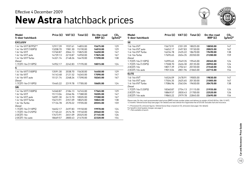### **New Astra** hatchback prices Effective 4 December 2009



| Model<br>5-door hatchback | Price $(E)$ | VAT $(E)$ | Total $(E)$ | On-the-road<br>RRP(E) | CO <sub>2</sub><br>$(g/km)^*$ | Model<br>5-door hatchback                                        |
|---------------------------|-------------|-----------|-------------|-----------------------|-------------------------------|------------------------------------------------------------------|
| <b>EXCLUSIV</b>           |             |           |             |                       |                               | <b>SE</b>                                                        |
| 1.4i 16v VVT (87PS)**     | 12917.39    | 1937.61   | 14855.00    | 15675.00              | 129                           | 1.6i 16v VVT                                                     |
| 1.4i 16y VVT (100PS)      | 13208.70    | 1981.30   | 15190.00    | 16010.00              | 129                           | 1.6i 16y VVT auto                                                |
| 1.6i 16v VVT              | 13760.87    | 2064.13   | 15825.00    | 16650.00              | 147                           | 1.4i 16y VVT Turbo                                               |
| 1.6i 16y VVT auto         | 14739.13    | 2210.87   | 16950.00    | 17825.00              | 167                           | 1.6i 16y Turbo                                                   |
| 1.4i 16y VVT Turbo        | 14321.74    | 2148.26   | 16470.00    | 17290.00              | 138                           | Diesel                                                           |
| Diesel                    |             |           |             |                       |                               | 1.7CDTi 16y (110PS)                                              |
| 1.7CDTi 16v (110PS)       | 14952.17    | 2242.83   | 17195.00    | 18015.00              | 124                           | 1.7CDTi 16y (125PS)                                              |
| S                         |             |           |             |                       |                               | 2.0CDTi 16v                                                      |
| 1.4i 16y VVT (100PS)      | 13591.30    | 2038.70   | 15630.00    | 16450.00              | 129                           | 2.0CDTi 16y auto                                                 |
| 1.6i 16v VVT              | 14143.48    | 2121.52   | 16265.00    | 17090.00              | 147                           | <b>ELITE</b>                                                     |
| 1.6i 16v VVT auto         | 15121.74    | 2268.26   | 17390.00    | 18265.00              | 167                           | 1.6i 16v VVT                                                     |
| Diesel                    |             |           |             |                       |                               | 1.6i 16y VVT auto                                                |
| 1.7CDTi 16v (110PS)       | 15465.22    | 2319.78   | 17785.00    | 18605.00              | 124                           | 1.4i 16y VVT Turbo                                               |
| <b>SRi</b>                |             |           |             |                       |                               | Diesel                                                           |
| 1.4i 16v VVT (100PS)      | 14560.87    | 2184.13   | 16745.00    | 17565.00              | 129                           | 1.7CDTi 16v (125PS)<br>2.0CDTi 16v                               |
| 1.6i 16v VVT              | 15113.04    | 2266.96   | 17380.00    | 18205.00              | 147                           | 2.0CDTi 16y auto                                                 |
| 1.6i 16y VVT auto         | 16091.30    | 2413.70   | 18505.00    | 19380.00              | 167                           |                                                                  |
| 1.4i 16y VVT Turbo        | 15673.91    | 2351.09   | 18025.00    | 18845.00              | 138                           | Please note: On-the-road rec                                     |
| 1.6i 16y Turbo            | 17134.78    | 2570.22   | 19705.00    | 20555.00              | 159                           | 12 months' Vehicle Excise Du                                     |
| Diesel                    |             |           |             |                       |                               | * = Provisional CO, emission                                     |
| 1.7CDTi 16v (110PS)       | 16652.17    | 2497.83   | 19150.00    | 19970.00              | 124                           | For benefit in kind taxation ch<br>** = Not available at launch. |
| 1.7CDTi 16v (125PS)       | 17165.22    | 2574.78   | 19740.00    | 20560.00              | 124                           |                                                                  |
| 2.0CDTi 16v               | 17673.91    | 2651.09   | 20325.00    | 21145.00              | 126                           |                                                                  |
| 2.0CDTi 16y auto          | 18669.57    | 2800.43   | 21470.00    | 22320.00              | 154                           |                                                                  |

| Model<br>5-door hatchback | Price $(E)$ VAT $(E)$ |         | Total $(E)$ | On-the-road<br>RRP(E) | CO <sub>2</sub><br>$(g/km)$ * |
|---------------------------|-----------------------|---------|-------------|-----------------------|-------------------------------|
| SE                        |                       |         |             |                       |                               |
| 1.6i 16v VVT              | 15673.91              | 2351.09 | 18025.00    | 18850.00              | 147                           |
| 1.6i 16v VVT auto         | 16652.17              | 2497.83 | 19150.00    | 20025.00              | 167                           |
| 1.4i 16y VVT Turbo        | 16234.78              | 2435.22 | 18670.00    | 19490.00              | 138                           |
| 1.6i 16v Turbo            | 17695.65              | 2654.35 | 20350.00    | 21200.00              | 159                           |
| Diesel                    |                       |         |             |                       |                               |
| 1.7CDTi 16v (110PS)       | 16995.65              | 2549.35 | 19545.00    | 20365.00              | 124                           |
| 1.7CDTi 16v (125PS)       | 17508.70              | 2626.30 | 20135.00    | 20955.00              | 124                           |
| 2.0CDTi 16v               | 18017.39              | 2702.61 | 20720.00    | 21540.00              | 126                           |
| 2.0CDTi 16v auto          | 19013.04              | 2851.96 | 21865.00    | 22715.00              | 154                           |
| <b>ELITE</b>              |                       |         |             |                       |                               |
| 1.6i 16v VVT              | 16526.09              | 2478.91 | 19005.00    | 19830.00              | 147                           |
| 1.6i 16y VVT auto         | 17504.35              | 2625.65 | 20130.00    | 21005.00              | 167                           |
| 1.4i 16v VVT Turbo        | 17086.96              | 2563.04 | 19650.00    | 20470.00              | 138                           |
| Diesel                    |                       |         |             |                       |                               |
| 1.7CDTi 16v (125PS)       | 18360.87              | 2754.13 | 21115.00    | 21935.00              | 124                           |
| 2.0CDTi 16v               | 18869.57              | 2830.43 | 21700.00    | 22520.00              | 126                           |
| 2.0CDTi 16v auto          | 19865.22              | 2979.78 | 22845.00    | 23695.00              | 154                           |
|                           |                       |         |             |                       |                               |

Please note: On-the-road recommended retail prices (RRP) include number plates and delivery to retailer of £645.00 (inc. £84.13 VAT),<br>12 months' Vehicle Excise Duty (see page 2 for details) and new vehicle first registrati

figures. Vehicle Excise Duty is based on CO<sub>2</sub> emissions (see page 2 for details).  $\frac{3}{10}$ narges see page 3.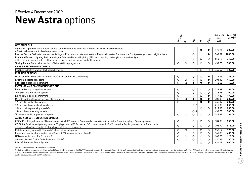### **New Astra options** Effective 4 December 2009

|                                                                                                                                                                                                               | Erclassi   |            |                         |            | exc.<br>Eite<br><b>VAT</b> | Price $(E)$ | Total $(E)$<br>inc. VAT |
|---------------------------------------------------------------------------------------------------------------------------------------------------------------------------------------------------------------|------------|------------|-------------------------|------------|----------------------------|-------------|-------------------------|
|                                                                                                                                                                                                               |            | S          | $\dot{\mathcal{S}}$     | is         |                            |             |                         |
| <b>OPTION PACKS</b>                                                                                                                                                                                           |            |            |                         |            |                            |             |                         |
| Sight and Light Pack . Automatic lighting control with tunnel detection . Rain-sensitive windscreen wipers<br>· Electro-chromatic anti-dazzle rear-view mirror                                                |            |            | $\circ$                 |            | $\bullet$                  | 173.91      | 200.00                  |
| Leather Pack . Perforated leather seat facings . Ergonomic sports front seats . Electrically heated front seats . Front passenger's seat height adjuster                                                      |            |            | $\circ$                 |            | $\bullet$                  | 869.57      | 1000.00                 |
| Premium Forward Lighting Pack • Intelligent Adaptive Forward Lighting (AFL) incorporating dark-style bi-xenon headlights<br>• LED daytime running lights • High beam assist • High-pressure headlight washers |            |            | $\bigcirc$ <sup>1</sup> | $\circ$    | $\circ$                    | 652.17      | 750.00                  |
| Towing Pack . Detachable tow bar . Trailer stability programme                                                                                                                                                | $\circ$    | $\circ$    | $\circ$                 | $\circ$    | $\circ$                    | 434.78      | 500.00                  |
| <b>CHASSIS TECHNOLOGY OPTION</b>                                                                                                                                                                              |            |            |                         |            |                            |             |                         |
| FlexRide (Adaptive Stability Technology) system <sup>2</sup>                                                                                                                                                  |            |            | $\bigcirc$ <sup>3</sup> | $\circ$    | $\circ$                    | 369.57      | 425.00                  |
| <b>INTERIOR OPTIONS</b>                                                                                                                                                                                       |            |            |                         |            |                            |             |                         |
| Dual-zone Electronic Climate Control (ECC) incorporating air conditioning                                                                                                                                     | О          |            | O                       | $\circ$    | $\bullet$                  | 247.83      | 285.00                  |
| Ergonomic sports front seats                                                                                                                                                                                  | $\circ$    | $\circ$    | $\circ$                 | $\circ$    | $\bullet$                  | 391.30      | 450.00                  |
| Flex Floor luggage compartment                                                                                                                                                                                | $\circ$    | $\bigcirc$ | $\bullet$               |            | $\bullet$                  | 43.48       | 50.00                   |
| <b>EXTERIOR AND CONVENIENCE OPTIONS</b>                                                                                                                                                                       |            |            |                         |            |                            |             |                         |
| Front and rear parking distance sensors                                                                                                                                                                       | $\circ$    |            | $\circ$                 | $\circ$    | $\circ$                    | 317.39      | 365.00                  |
| Tyre pressure monitoring system                                                                                                                                                                               | $\circ$    |            | $\circ$                 | $\circ$    | $\circ$                    | 86.96       | 100.00                  |
| Electrically foldable door mirrors                                                                                                                                                                            | $\circ$    |            | $\circ$                 | $\circ$    | $\bullet$                  | 147.83      | 170.00                  |
| Remote control ultrasonic security alarm system                                                                                                                                                               | $\circ$    | $\circ$    | $^{\bullet}$            |            | $\bullet$                  | 204.35      | 235.00                  |
| 17-inch 10-spoke alloy wheels                                                                                                                                                                                 | $\bigcirc$ |            |                         |            | $\bullet$                  | 260.87      | 300.00                  |
| 18-inch five-twin-spoke alloy wheels                                                                                                                                                                          |            |            | $\bigcirc$ 4,5          |            |                            | 217.39      | 250.00                  |
| 18-inch twin-spoke alloy wheels 5,6                                                                                                                                                                           |            |            |                         | $\circ$    | $\circ$                    | 217.39      | 250.00                  |
| 19-inch five-spoke alloy wheels                                                                                                                                                                               |            |            | O <sup>4,5</sup>        |            |                            | 434.78      | 500.00                  |
| Two-coat metallic or pearlescent paint                                                                                                                                                                        | $\circ$    | $\circ$    | $\circ$                 | $\circ$    | $\circ$                    | 343.48      | 395.00                  |
| AUDIO AND COMMUNICATION OPTIONS                                                                                                                                                                               |            |            |                         |            |                            |             |                         |
| CDC 400 . Integral six-disc CD autochanger with MP3 format . Stereo radio . Auxiliary-in socket . Graphic display . Seven speakers                                                                            | $\circ$    |            | $\circ$                 | $\circ$    | $\circ$                    | 304.35      | 350.00                  |
| CD 500 • Satellite navigation system • CD player with MP3 format • USB connection with iPod™ control • Auxiliary-in socket • Stereo radio                                                                     | $\circ$    |            | $\bigcirc$              | $\bigcirc$ | $\circ$                    | 708.70      | 815.00                  |
| • Seven-inch colour monitor • Shark fin aerial • Seven speakers                                                                                                                                               |            |            |                         |            |                            |             |                         |
| Mobile phone system with Bluetooth <sup>®</sup> (does not include phone)                                                                                                                                      | $\circ$    | $\circ$    | $\circ$                 | $\circ$    | $\circ$                    | 152.17      | 175.00                  |
| Embedded mobile phone system with Bluetooth® (does not include phone)7                                                                                                                                        | $\circ$    |            | $\circ$                 | $\circ$    | $\circ$                    | 347.83      | 400.00                  |
| USB connection with iPod™ control <sup>8</sup>                                                                                                                                                                | O          | $\circ$    | $\circ$                 | $\circ$    | $\circ$                    | 108.70      | 125.00                  |
| Stereo radio with Digital Audio Broadcast (DAB) 7                                                                                                                                                             | $\bigcirc$ | $\circ$    | $\circ$                 | $\circ$    | $\circ$                    | 130.43      | 150.00                  |
| Infinity® Premium Sound System                                                                                                                                                                                |            |            |                         | $\bigcirc$ | $\bigcirc$                 | 434.78      | 500.00                  |

 $O =$  Optional at extra cost.  $\bullet =$  Standard equipment.

1 = Only available in conjunction with Sight and Light Pack. 2 = Not available on 1.6i 16v VVT automatic models. 3 = Not available on 1.4i 16v VVT models. Deletes lowered and uprated sports suspension. 4 = Not available on 2.0CDTi 16v automatic models there will be a slight increase in benefit in kind charges for company car drivers. CO<sub>2</sub> emissions figure: 155g/km. 6 = Also includes lowered and uprated sports suspension unless FlexRide is s available in conjunction with CD 500 audio unit.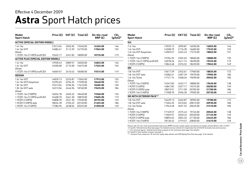### **Astra** Sport Hatch prices Effective 4 December 2009

| Model<br><b>Sport Hatch</b>                | Price (£) | VAT $(E)$ | Total $(E)$ | On-the-road<br>RRP(E) | CO <sub>2</sub><br>$(g/km)^*$ |
|--------------------------------------------|-----------|-----------|-------------|-----------------------|-------------------------------|
| <b>ACTIVE (SPECIAL EDITION MODEL)</b>      |           |           |             |                       |                               |
| 1.4i 16v                                   | 13513.04  | 2026.96   | 15540.00    | 16365.00              | 146                           |
| 1.6i 16v VVT                               | 14082.61  | 2112.39   | 16195.00    | 17045.00              | 155                           |
| Diesel                                     |           |           |             |                       |                               |
| 1.7CDTi 16v (110PS) ecoFLEX                | 15652.17  | 2347.83   | 18000.00    | 18735.00              | 119                           |
| <b>ACTIVE PLUS (SPECIAL EDITION MODEL)</b> |           |           |             |                       |                               |
| 1.4i 16v                                   | 13930.43  | 2089.57   | 16020.00    | 16845.00              | 146                           |
| 1.6i 16v VVT                               | 14500.00  | 2175.00   | 16675.00    | 17525.00              | 155                           |
| Diesel                                     |           |           |             |                       |                               |
| 1.7CDTi 16v (110PS) ecoFLEX                | 16069.57  | 2410.43   | 18480.00    | 19215.00              | 119                           |
| <b>DESIGN</b>                              |           |           |             |                       |                               |
| 1.6i 16v VVT                               | 14839.13  | 2225.87   | 17065.00    | 17915.00              | 155                           |
| 1.6i 16v VVT Easytronic                    | 15295.65  | 2294.35   | 17590.00    | 18440.00              | 151                           |
| 1.8i 16v VVT                               | 15313.04  | 2296.96   | 17610.00    | 18485.00              | 169                           |
| 1.8i 16v VVT auto                          | 16313.04  | 2446.96   | 18760.00    | 19635.00              | 184                           |
| Diesel                                     |           |           |             |                       |                               |
| 1.7CDTi 16y (100PS)                        | 16034.78  | 2405.22   | 18440.00    | 19260.00              | 135                           |
| 1.7CDTi 16y (110PS) ecoFLEX                | 16408.70  | 2461.30   | 18870.00    | 19605.00              | 119                           |
| 1.9CDTi (120PS)                            | 16808.70  | 2521.30   | 19330.00    | 20155.00              | 149                           |
| 1.9CDTi (120PS) auto                       | 18034.78  | 2705.22   | 20740.00    | 21655.00              | 186                           |
| 1.9CDTi 16v (150PS)                        | 17586.96  | 2638.04   | 20225.00    | 21050.00              | 149                           |

| Model<br><b>Sport Hatch</b>     | Price (E) | VAT (£) | Total $(E)$ | On-the-road<br>RRP(E) | CO <sub>2</sub><br>$(g/km)^*$ |
|---------------------------------|-----------|---------|-------------|-----------------------|-------------------------------|
| <b>SXi</b>                      |           |         |             |                       |                               |
| 1.4i 16v                        | 13939.13  | 2090.87 | 16030.00    | 16855.00              | 146                           |
| 1.6i 16v VVT                    | 14508.70  | 2176.30 | 16685.00    | 17535.00              | 155                           |
| 1.6i 16v VVT Easytronic         | 14969.57  | 2245.43 | 17215.00    | 18065.00              | 151                           |
| Diesel                          |           |         |             |                       |                               |
| 1.7CDTi 16v (100PS)             | 15704.35  | 2355.65 | 18060.00    | 18880.00              | 135                           |
| 1.7CDTi 16v (110PS) ecoFLEX     | 16078.26  | 2411.74 | 18490.00    | 19225.00              | 119                           |
| 1.9CDTi (120PS)                 | 15843.48  | 2376.52 | 18220.00    | 19045.00              | 149                           |
| <b>SRi</b>                      |           |         |             |                       |                               |
| 1.8i 16v VVT                    | 15617.39  | 2342.61 | 17960.00    | 18835.00              | 172                           |
| 1.8i 16v VVT auto               | 16582.61  | 2487.39 | 19070.00    | 19985.00              | 186                           |
| 1.6i 16v Turbo                  | 17121.74  | 2568.26 | 19690.00    | 20565.00              | 185                           |
| Diesel                          |           |         |             |                       |                               |
| 1.7CDTi 16y (100PS)             | 16347.83  | 2452.17 | 18800.00    | 19620.00              | 138                           |
| 1.9CDTi (120PS)                 | 16847.83  | 2527.17 | 19375.00    | 20200.00              | 149                           |
| 1.9CDTi (120PS) auto            | 18073.91  | 2711.09 | 20785.00    | 21700.00              | 186                           |
| 1.9CDTi 16v (150PS)             | 17308.70  | 2596.30 | 19905.00    | 20730.00              | 149                           |
| <b>SRI WITH EXTERIOR PACK**</b> |           |         |             |                       |                               |
| 1.8i 16v VVT                    | 16439.13  | 2465.87 | 18905.00    | 19780.00              | 172                           |
| 1.8i 16y VVT auto               | 17404.35  | 2610.65 | 20015.00    | 20930.00              | 186                           |
| 1.6i 16v Turbo                  | 17943.48  | 2691.52 | 20635.00    | 21510.00              | 185                           |
| Diesel                          |           |         |             |                       |                               |
| 1.7CDTi 16v (100PS)             | 17169.57  | 2575.43 | 19745.00    | 20565.00              | 138                           |
| 1.9CDTi (120PS)                 | 17669.57  | 2650.43 | 20320.00    | 21145.00              | 149                           |
| 1.9CDTi (120PS) auto            | 18895.65  | 2834.35 | 21730.00    | 22645.00              | 186                           |
| 1.9CDTi 16v (150PS)             | 18130.43  | 2719.57 | 20850.00    | 21675.00              | 149                           |

Please note: On-the-road recommended retail prices (RRP) include number plates and delivery to retailer of £645.00 (inc. £84.13 VAT), 12 months' Vehicle Excise Duty (see page 2 for details) and new vehicle first registration fee of £55.00. Excludes fuel and insurance.

 $*$  = CO<sub>2</sub> emission figures. Vehicle Excise Duty is based on CO<sub>2</sub> emissions (see page 2 for details).

For benefit in kind taxation charges see page 3.

\*\* = Exterior Pack comprises 18-inch five-spoke alloy wheels and VXR Styling Pack One (see page 16 for details).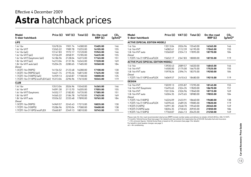### **Astra** hatchback prices Effective 4 December 2009

| Model<br>5-door hatchback                  | Price $(E)$ | VAT (£) | Total $(E)$ | On-the-road<br>RRP(E) | CO <sub>2</sub><br>$(g/km)^*$ | Model<br>5-door hatchback             | Price (£)                                  | VAT (£) | Total $(E)$ | On-the-road<br>RRP(E) | CO <sub>2</sub><br>$(g/km)^*$ |
|--------------------------------------------|-------------|---------|-------------|-----------------------|-------------------------------|---------------------------------------|--------------------------------------------|---------|-------------|-----------------------|-------------------------------|
| <b>LIFE</b>                                |             |         |             |                       |                               | <b>ACTIVE (SPECIAL EDITION MODEL)</b> |                                            |         |             |                       |                               |
| 1.4i 16v                                   | 12678.26    | 1901.74 | 14580.00    | 15405.00              | 146                           | 1.4i 16v                              | 13513.04                                   | 2026.96 | 15540.00    | 16365.00              | 146                           |
| 1.6i 16y VVT                               | 13265.22    | 1989.78 | 15255.00    | 16105.00              | 155                           | 1.6i 16v VVT                          | 14082.61                                   | 2112.39 | 16195.00    | 17045.00              | 155                           |
| 1.4i 16v (a/c)                             | 13147.83    | 1972.17 | 15120.00    | 15945.00              | 146                           | 1.8i 16y VVT auto                     | 15560.87                                   | 2334.13 | 17895.00    | 18770.00              | 184                           |
| 1.6i 16y VVT $(a/c)$                       | 13726.09    | 2058.91 | 15785.00    | 16635.00              | 155                           | Diesel                                |                                            |         |             |                       |                               |
| 1.6i 16v VVT Easytronic (a/c)              | 14186.96    | 2128.04 | 16315.00    | 17165.00              | 151                           | 1.7CDTi 16v (110PS) ecoFLEX           | 15652.17                                   | 2347.83 | 18000.00    | 18735.00              | 119                           |
| 1.8i 16v VVT (a/c)                         | 14213.04    | 2131.96 | 16345.00    | 17220.00              | 169                           |                                       | <b>ACTIVE PLUS (SPECIAL EDITION MODEL)</b> |         |             |                       |                               |
| 1.8i $16v$ VVT auto $(a/c)$                | 15204.35    | 2280.65 | 17485.00    | 18360.00              | 184                           | 1.4i 16v                              | 13930.43                                   | 2089.57 | 16020.00    | 16845.00              | 146                           |
| Diesel                                     |             |         |             |                       |                               | 1.6i 16v VVT                          | 14500.00                                   | 2175.00 | 16675.00    | 17525.00              | 155                           |
| 1.3CDTi 16y (90PS)                         | 14156.52    | 2123.48 | 16280.00    | 17100.00              | 130                           | 1.8i 16v VVT auto                     | 15978.26                                   | 2396.74 | 18375.00    | 19250.00              | 184                           |
| 1.3CDTi 16 $v$ (90PS) (a/c)                | 14621.74    | 2193.26 | 16815.00    | 17635.00              | 130                           | Diesel                                |                                            |         |             |                       |                               |
| 1.7CDTi 16v (100PS) (a/c)                  | 14939.13    | 2240.87 | 17180.00    | 18000.00              | 135                           | 1.7CDTi 16v (110PS) ecoFLEX           | 16069.57                                   | 2410.43 | 18480.00    | 19215.00              | 119                           |
| 1.7CDTi 16v (110PS) ecoFLEX (a/c) 15313.04 |             | 2296.96 | 17610.00    | 18345.00              | 119                           |                                       |                                            |         |             |                       |                               |
| <b>CLUB</b>                                |             |         |             |                       |                               | <b>DESIGN</b>                         |                                            |         |             |                       |                               |
| 1.4i 16v                                   | 13513.04    | 2026.96 | 15540.00    | 16365.00              | 146                           | 1.6i 16v VVT                          | 15039.13                                   | 2255.87 | 17295.00    | 18145.00              | 155                           |
| 1.6i 16v VVT                               | 14091.30    | 2113.70 | 16205.00    | 17055.00              | 155                           | 1.6i 16v VVT Easytronic               | 15495.65                                   | 2324.35 | 17820.00    | 18670.00              | 151                           |
| 1.6i 16v VVT Easytronic                    | 14552.17    | 2182.83 | 16735.00    | 17585.00              | 151                           | 1.8i 16v VVT                          | 15513.04                                   | 2326.96 | 17840.00    | 18715.00              | 169                           |
| 1.8i 16v VVT                               | 14565.22    | 2184.78 | 16750.00    | 17625.00              | 169                           | 1.8i 16y VVT auto                     | 16504.35                                   | 2475.65 | 18980.00    | 19855.00              | 184                           |
| 1.8i 16y VVT auto                          | 15556.52    | 2333.48 | 17890.00    | 18765.00              | 184                           | Diesel                                |                                            |         |             |                       |                               |
| Diesel                                     |             |         |             |                       |                               | 1.7CDTi 16v (100PS)                   | 16226.09                                   | 2433.91 | 18660.00    | 19480.00              | 138                           |
| 1.3CDTi 16v (90PS)                         | 14969.57    | 2245.43 | 17215.00    | 18035.00              | 130                           | 1.7CDTi 16v (110PS) ecoFLEX           | 16595.65                                   | 2489.35 | 19085.00    | 19820.00              | 119                           |
| 1.7CDTi 16v (100PS)                        | 15286.96    | 2293.04 | 17580.00    | 18400.00              | 138                           | 1.9CDTi (120PS)                       | 16991.30                                   | 2548.70 | 19540.00    | 20365.00              | 149                           |
| 1.7CDTi 16v (110PS) ecoFLEX                | 15660.87    | 2349.13 | 18010.00    | 18745.00              | 119                           | 1.9CDTi (120PS) auto                  | 18204.35                                   | 2730.65 | 20935.00    | 21850.00              | 186                           |
|                                            |             |         |             |                       |                               | 1.9CDTi 16v (150PS)                   | 17760.87                                   | 2664.13 | 20425.00    | 21250.00              | 149                           |

Please note: On-the-road recommended retail prices (RRP) include number plates and delivery to retailer of £645.00 (inc. £84.13 VAT),<br>12 months' Vehicle Excise Duty (see page 2 for details) and new vehicle first registrati

 $*$  = CO<sub>2</sub> emission figures. Vehicle Excise Duty is based on CO<sub>2</sub> emissions (see page 2 for details). For benefit in kind taxation charges see page 3.

a/c = Air conditioning.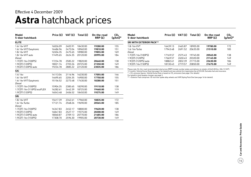## **Astra** hatchback prices

| Model<br>5-door hatchback         | Price (£) | VAT(E)  | Total $(E)$ | On-the-road<br>RRP(E) | CO <sub>2</sub><br>$(g/km)$ * |
|-----------------------------------|-----------|---------|-------------|-----------------------|-------------------------------|
| <b>ELITE</b>                      |           |         |             |                       |                               |
| 1.6i 16v VVT                      | 16026.09  | 2403.91 | 18430.00    | 19280.00              | 155                           |
| 1.6i 16v VVT Easytronic           | 16486.96  | 2473.04 | 18960.00    | 19810.00              | 151                           |
| 1.8i 16v VVT                      | 16504.35  | 2475.65 | 18980.00    | 19855.00              | 169                           |
| 1.8i 16y VVT auto                 | 17495.65  | 2624.35 | 20120.00    | 20995.00              | 184                           |
| Diesel                            |           |         |             |                       |                               |
| 1.7CDTi 16y (100PS)               | 17234.78  | 2585.22 | 19820.00    | 20640.00              | 138                           |
| 1.9CDTi (120PS)                   | 18021.74  | 2703.26 | 20725.00    | 21550.00              | 149                           |
| 1.9CDTi (120PS) auto              | 19234.78  | 2885.22 | 22120.00    | 23035.00              | 186                           |
| <b>SXi</b>                        |           |         |             |                       |                               |
| 1.4i 16v                          | 14113.04  | 2116.96 | 16230.00    | 17055.00              | 146                           |
| 1.6i 16v VVT                      | 14695.65  | 2204.35 | 16900.00    | 17750.00              | 155                           |
| 1.6i 16v VVT Easytronic<br>Diesel | 15156.52  | 2273.48 | 17430.00    | 18280.00              | 151                           |
| 1.7CDTi 16v (100PS)               | 15904.35  | 2385.65 | 18290.00    | 19110.00              | 138                           |
| 1.7CDTi 16y (110PS) ecoFLEX       | 16282.61  | 2442.39 | 18725.00    | 19460.00              | 119                           |
| 1.9CDTi (120PS)                   | 16043.48  | 2406.52 | 18450.00    | 19275.00              | 149                           |
| <b>SRi</b>                        |           |         |             |                       |                               |
| 1.8i 16v VVT                      | 15617.39  | 2342.61 | 17960.00    | 18835.00              | 172                           |
| 1.6i 16v Turbo                    | 17121.74  | 2568.26 | 19690.00    | 20565.00              | 185                           |
| Diesel                            |           |         |             |                       |                               |
| 1.7CDTi 16v (100PS)               | 16347.83  | 2452.17 | 18800.00    | 19620.00              | 138                           |
| 1.9CDTi (120PS)                   | 16847.83  | 2527.17 | 19375.00    | 20200.00              | 149                           |
| 1.9CDTi (120PS) auto              | 18060.87  | 2709.13 | 20770.00    | 21685.00              | 186                           |
| 1.9CDTi 16y (150PS)               | 17308.70  | 2596.30 | 19905.00    | 20730.00              | 149                           |

| Model<br>5-door hatchback       | Price $(E)$ | VAT(E)  | Total $(E)$ | On-the-road<br>RRP(E) | CO <sub>2</sub><br>$(g/km)^*$ |
|---------------------------------|-------------|---------|-------------|-----------------------|-------------------------------|
| <b>SRI WITH EXTERIOR PACK**</b> |             |         |             |                       |                               |
| 1.8i 16v VVT                    | 16439.13    | 2465.87 | 18905.00    | 19780.00              | 172                           |
| 1.6i 16y Turbo                  | 17943.48    | 2691.52 | 20635.00    | 21510.00              | 185                           |
| Diesel                          |             |         |             |                       |                               |
| 1.7CDTi 16y (100PS)             | 17169.57    | 2575.43 | 19745.00    | 20565.00              | 138                           |
| 1.9CDTi (120PS)                 | 17669.57    | 2650.43 | 20320.00    | 21145.00              | 149                           |
| 1.9CDTi (120PS) auto            | 18882.61    | 2832.39 | 21715.00    | 22630.00              | 186                           |
| 1.9CDTi 16y (150PS)             | 18130.43    | 2719.57 | 20850.00    | 21675.00              | 149                           |

Please note: On-the-road recommended retail prices (RRP) include number plates and delivery to retailer of £645.00 (inc. £84.13 VAT),<br>12 months' Vehicle Excise Duty (see page 2 for details) and new vehicle first registrati  $*$  = CO<sub>2</sub> emission figures. Vehicle Excise Duty is based on CO<sub>2</sub> emissions (see page 2 for details).

For benefit in kind taxation charges see page 3.

\*\* = Exterior Pack comprises 18-inch five-spoke alloy wheels and VXR Styling Pack One (see page 16 for details).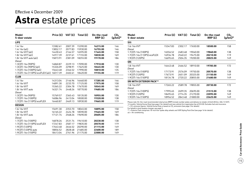## **Astra** estate prices

| Model<br>5-door estate                     | Price $(E)$ | VAT(E)  | Total $(E)$ | On-the-road<br>RRP(E) | CO <sub>2</sub><br>$(g/km)$ * |
|--------------------------------------------|-------------|---------|-------------|-----------------------|-------------------------------|
| <b>LIFE</b>                                |             |         |             |                       |                               |
| 1.4i 16v                                   | 13382.61    | 2007.39 | 15390.00    | 16215.00              | 146                           |
| 1.4i 16 $v$ (a/c)                          | 13852.17    | 2077.83 | 15930.00    | 16755.00              | 146                           |
| 1.6i 16v VVT (a/c)                         | 14430.43    | 2164.57 | 16595.00    | 17445.00              | 158                           |
| 1.8i $16v$ VVT $(a/c)$                     | 14917.39    | 2237.61 | 17155.00    | 18030.00              | 169                           |
| 1.8i 16y VVT auto (a/c)                    | 15873.91    | 2381.09 | 18255.00    | 19170.00              | 186                           |
| Diesel                                     |             |         |             |                       |                               |
| 1.3CDTi 16v (90PS)                         | 14860.87    | 2229.13 | 17090.00    | 17910.00              | 130                           |
| 1.3CDTi 16v (90PS) (a/c)                   | 15326.09    | 2298.91 | 17625.00    | 18445.00              | 130                           |
| 1.7CDTi 16y (100PS) (a/c)                  | 15643.48    | 2346.52 | 17990.00    | 18810.00              | 135                           |
| 1.7CDTi 16y (110PS) ecoFLEX (a/c) 16017.39 |             | 2402.61 | 18420.00    | 19155.00              | 119                           |
| <b>CLUB</b>                                |             |         |             |                       |                               |
| 1.4i 16v                                   | 14313.04    | 2146.96 | 16460.00    | 17285.00              | 146                           |
| 1.6i 16y VVT                               | 14891.30    | 2233.70 | 17125.00    | 17975.00              | 158                           |
| 1.8i 16v VVT                               | 15365.22    | 2304.78 | 17670.00    | 18545.00              | 169                           |
| 1.8i 16y VVT auto                          | 16321.74    | 2448.26 | 18770.00    | 19685.00              | 186                           |
| Diesel                                     |             |         |             |                       |                               |
| 1.3CDTi 16v (90PS)                         | 15769.57    | 2365.43 | 18135.00    | 18955.00              | 130                           |
| 1.7CDTi 16y (100PS)                        | 16086.96    | 2413.04 | 18500.00    | 19320.00              | 138                           |
| 1.7CDTi 16y (110PS) ecoFLEX                | 16460.87    | 2469.13 | 18930.00    | 19665.00              | 119                           |
| <b>DESIGN</b>                              |             |         |             |                       |                               |
| 1.6i 16v VVT                               | 15691.30    | 2353.70 | 18045.00    | 18895.00              | 158                           |
| 1.8i 16v VVT                               | 16165.22    | 2424.78 | 18590.00    | 19465.00              | 169                           |
| 1.8i 16v VVT auto                          | 17121.74    | 2568.26 | 19690.00    | 20605.00              | 186                           |
| Diesel                                     |             |         |             |                       |                               |
| 1.7CDTi 16y (100PS)                        | 16878.26    | 2531.74 | 19410.00    | 20230.00              | 138                           |
| 1.7CDTi 16v (110PS) ecoFLEX                | 17247.83    | 2587.17 | 19835.00    | 20570.00              | 119                           |
| 1.9CDTi (120PS)                            | 17643.48    | 2646.52 | 20290.00    | 21115.00              | 149                           |
| 1.9CDTi (120PS) auto                       | 18856.52    | 2828.48 | 21685.00    | 22600.00              | 189                           |
| 1.9CDTi 16v (150PS)                        | 18413.04    | 2761.96 | 21175.00    | 22000.00              | 149                           |

| Model<br>5-door estate      | Price (£) | VAT (£) | Total $(E)$ | On-the-road<br>RRP(E) | CO <sub>2</sub><br>$(g/km)^*$ |
|-----------------------------|-----------|---------|-------------|-----------------------|-------------------------------|
| SXi                         |           |         |             |                       |                               |
| 1.6i 16v VVT<br>Diesel      | 15347.83  | 2302.17 | 17650.00    | 18500.00              | 158                           |
| 1.7CDTi 16v (100PS)         | 16556.52  | 2483.48 | 19040.00    | 19860.00              | 138                           |
| 1.7CDTi 16v (110PS) ecoFLEX | 16934.78  | 2540.22 | 19475.00    | 20210.00              | 119                           |
| 1.9CDTi (120PS)             | 16695.65  | 2504.35 | 19200.00    | 20025.00              | 149                           |
| SRi                         |           |         |             |                       |                               |
| 1.8i 16v VVT                | 16443.48  | 2466.52 | 18910.00    | 19785.00              | 172                           |
| Diesel                      |           |         |             |                       |                               |
| 1.7CDTi 16v (100PS)         | 17173.91  | 2576.09 | 19750.00    | 20570.00              | 138                           |
| 1.9CDTi (120PS)             | 17673.91  | 2651.09 | 20325.00    | 21150.00              | 149                           |
| 1.9CDTi 16v (150PS)         | 18134.78  | 2720.22 | 20855.00    | 21680.00              | 149                           |
| SRI WITH EXTERIOR PACK**    |           |         |             |                       |                               |
| 1.8i 16v VVT<br>Diesel      | 17265.22  | 2589.78 | 19855.00    | 20730.00              | 172                           |
| 1.7CDTi 16v (100PS)         | 17995.65  | 2699.35 | 20695.00    | 21515.00              | 138                           |
| 1.9CDTi (120PS)             | 18495.65  | 2774.35 | 21270.00    | 22095.00              | 149                           |
| 1.9CDTi 16v (150PS)         | 18956.52  | 2843.48 | 21800.00    | 22625.00              | 149                           |
|                             |           |         |             |                       |                               |

Please note: On-the-road recommended retail prices (RRP) include number plates and delivery to retailer of £645.00 (inc. £84.13 VAT),<br>12 months' Vehicle Excise Duty (see page 2 for details) and new vehicle first registrati  $*$  = CO<sub>2</sub> emission figures. Vehicle Excise Duty is based on CO<sub>2</sub> emissions (see page 2 for details).

For benefit in kind taxation charges see page 3.

\*\* = Exterior Pack comprises 18-inch five-spoke alloy wheels and VXR Styling Pack One (see page 16 for details) .

a/c = Air conditioning.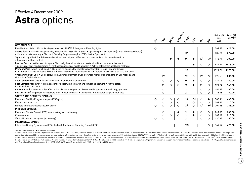### **Astra** options Effective 4 December 2009

|                                                                                                                                                                                                                                           | Life       | Cras                    | <b>Pccityle</b> | Active Plus | Design                  | Eitre                   | ぶ                       | $\dot{\mathcal{S}}$     | Price (£)<br>exc.<br><b>VAT</b> | Total $(E)$<br>inc. VAT |
|-------------------------------------------------------------------------------------------------------------------------------------------------------------------------------------------------------------------------------------------|------------|-------------------------|-----------------|-------------|-------------------------|-------------------------|-------------------------|-------------------------|---------------------------------|-------------------------|
| <b>OPTION PACKS</b>                                                                                                                                                                                                                       |            |                         |                 |             |                         |                         |                         |                         |                                 |                         |
| Plus Pack . 16-inch 10-spoke alloy wheels with 205/55 R 16 tyres . Front fog lights                                                                                                                                                       | $\circ$    | О                       |                 |             |                         |                         |                         |                         | 369.57                          | 425.00                  |
| Sports Pack . 17-inch 10-spoke alloy wheels with 225/45 R 17 tyres . Uprated sports suspension (standard on Sport Hatch)<br>• Uprated sports steering • Electronic Stability Programme-plus (ESP-plus) • Sport switch                     |            |                         |                 |             | $\bigcirc$ <sup>1</sup> |                         |                         |                         | 586.96                          | 675.00                  |
| Sight and Light Pack <sup>2</sup> • Rain-sensitive windscreen wipers • Electro-chromatic anti-dazzle rear-view mirror<br>• Automatic lighting control                                                                                     |            |                         | $\bullet$       |             |                         |                         | $\bigcirc$ <sup>3</sup> | $\bigcirc$ <sup>3</sup> | 173.91                          | 200.00                  |
| Leather Pack . Leather seat facings . Electrically heated sports front seats with tilt and lumbar adjustment<br>• Centre rear seat head restraint • Front passenger's seat height adjuster • Active-safety front seat head restraints     |            |                         |                 |             |                         | $\bullet$               | $\circ$                 | $\circ$                 | 882.61                          | 1015.00                 |
| Premium Pack (Sport Hatch only) ● 18-inch five-spoke alloy wheels with 225/40 R 18 ultra-low profile tyres<br>• Leather seat facings in Saddle Brown • Electrically heated sports front seats • Zebrano-effect inserts on facia and doors |            |                         |                 |             | $\bigcirc$ <sup>4</sup> |                         |                         |                         | 1021.74                         | 1175.00                 |
| VXR Styling Pack One . Body-colour front lower spoiler/rear lower skirt/rear roof spoiler (standard on SRi models) and<br>side sills • Aerial adaptor                                                                                     |            | $\bigcirc$ <sup>5</sup> |                 |             | $\circ$                 | $\circ$                 | $\circ$ <sup>5</sup>    | $\circ$ <sup>6</sup>    | 695.65                          | 800.00                  |
| Seat Comfort Pack One . Driver's seat with tilt and lumbar adjustment                                                                                                                                                                     |            | $\circ$                 | $\circ$         | $\circ$     | $\bullet$               | $\bullet$               | $\circ$                 | $\bigcirc$              | 139.13                          | 160.00                  |
| Seat Comfort Pack Two <sup>7</sup> • Front passenger's seat with height, tilt and lumbar adjustment • Active-safety<br>front seat head restraints                                                                                         |            | O                       | $\circ$         | $\circ$     | O                       |                         | O                       | $\circ$                 | 121.74                          | 140.00                  |
| Convenience Pack (estate only) • Vertical load-restraining net • 12-volt auxiliary power socket in luggage area                                                                                                                           |            | $\circ$                 |                 |             | $\circ$                 |                         | $\circ$                 | $\circ$                 | 156.52                          | 180.00                  |
| FlexOrganiser® Organiser Pack (estate only) • Four side rails • Divider net • Elasticated bag with four clips                                                                                                                             |            | $\circ$                 |                 |             | $\circ$                 |                         | $\circ$                 | $\circ$                 | 43.48                           | 50.00                   |
| <b>SAFETY AND SECURITY OPTIONS</b>                                                                                                                                                                                                        |            |                         |                 |             |                         |                         |                         |                         |                                 |                         |
| Electronic Stability Programme-plus (ESP-plus)                                                                                                                                                                                            | O          | O                       | $\circ$         | $\circ$     | O <sup>8</sup>          | $\bigcirc$ <sup>8</sup> | $\circ$                 | $\bullet$               | 386.96                          | 445.00                  |
| Keyless entry and start                                                                                                                                                                                                                   |            | $\circ$                 | $\circ$         | $\circ$     | O                       | $\circ$                 | $\circ$                 | $\circ$                 | 269.57                          | 310.00                  |
| Remote control ultrasonic security alarm                                                                                                                                                                                                  | $\bigcirc$ | $\circ$                 | $\circ$         | $\circ$     | O <sup>9</sup>          | $\circ$                 | O <sup>9</sup>          | $^{\bullet}$            | 204.35                          | 235.00                  |
| <b>INTERIOR OPTIONS</b>                                                                                                                                                                                                                   |            |                         |                 |             |                         |                         |                         |                         |                                 |                         |
| Electronic Climate Control (ECC) incorporating air conditioning                                                                                                                                                                           |            | O                       |                 |             | O                       | $\bullet$               | O                       | $\circ$                 | 247.83                          | 285.00                  |
| Cruise control                                                                                                                                                                                                                            |            | $\circ$                 | $\circ$         | $\circ$     | $\circ$                 | $\bullet$               | $\circ$                 | $\circ$                 | 182.61                          | 210.00                  |
| Vertical load-restraining net (estate only)                                                                                                                                                                                               | $\bigcirc$ | $\bigcirc$              |                 |             | O                       |                         | $\circ$                 | $\bigcirc$              | 130.43                          | 150.00                  |
| <b>MECHANICAL OPTION</b>                                                                                                                                                                                                                  |            |                         |                 |             |                         |                         |                         |                         |                                 |                         |
| Interactive Driving System-plus (IDS-plus) with Continuous Damping Control (CDC)                                                                                                                                                          |            |                         |                 |             | O <sup>10</sup>         |                         |                         | $\circ$                 | 369.57                          | 425.00                  |

 $\bigcirc$  = Optional at extra cost.  $\bigcirc$  = Standard equipment.

1 = Standard on 1.9CDTi 16v (150PS) models. Not available on 1.7CDTi 16v (110PS) ecoFLEX models or on models fitted with Easytronic transmission. 17-inch alloy wheels will affect the Vehicle Excise Duty payable on 1.8i 16v details. Due to increased CO<sub>2</sub> emissions, on certain engines there will be a slight increase in benefit in kind charges for company car drivers. CO<sub>2</sub> emissions figures: 1.8i 16v VVT (manual) - 172g/km; 1.8i 16v VVT (auto conjunction with panoramic windscreen on Sport Hatch models. 3 = Available on Sport Hatch and 5-door hatchback only. 4 = Only available on 1.9CDTi 16v (150PS) models. Not available in conjunction with Power Red solid paint 6 = Standard on SRi with Exterior Pack models. 7 = Only available in conjunction with Seat Comfort Pack One. 8 = Standard on 1.9CDTi models. 9 = If fitted in conjunction with panoramic windscreen on Sport Hatch models the with Sports Pack (Sports Pack is standard on 1.9CDTi 16v (150PS) models). Not available on 1.7CDTi 16v (110PS) ecoFLEX models.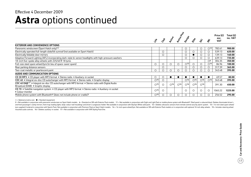### **Astra** options continued Effective 4 December 2009

|                                                                                                                                                    |                          |            |                          |                          |                           |                          |                          |                          | Price (£)          | Total (£) |
|----------------------------------------------------------------------------------------------------------------------------------------------------|--------------------------|------------|--------------------------|--------------------------|---------------------------|--------------------------|--------------------------|--------------------------|--------------------|-----------|
|                                                                                                                                                    | $\ddot{\mathcal{E}}$     | CAS        | <b>PCCCLB</b>            | Active Plus              | Design                    | Eife                     | ぶ                        |                          | exc.<br><b>VAT</b> | inc. VAT  |
| <b>EXTERIOR AND CONVENIENCE OPTIONS</b>                                                                                                            |                          |            |                          |                          |                           |                          |                          |                          |                    |           |
| Panoramic windscreen (Sport Hatch only) <sup>11</sup>                                                                                              |                          |            |                          |                          | O                         |                          | Ő                        | $\bigcirc$ <sup>12</sup> | 782.61             | 900.00    |
| Electrically operated full-length slide/tilt sunroof (not available on Sport Hatch)                                                                |                          | $\circ$    |                          |                          | ◯                         | $\circ$                  |                          |                          | 539.13             | 620.00    |
| Electrically foldable door mirrors                                                                                                                 |                          | $\circ$    |                          |                          | $\circ$                   |                          |                          | $\bigcirc$               | 139.13             | 160.00    |
| Adaptive Forward Lighting (AFL) incorporating dark-style bi-xenon headlights with high-pressure washers                                            |                          |            |                          |                          | $\circ$                   | $\circ$                  | $\lambda$                | $\circ$                  | 639.13             | 735.00    |
| 18-inch five-spoke alloy wheels with 225/40 R 18 tyres                                                                                             |                          |            |                          |                          |                           |                          |                          | $\bigcirc$ 6             | 304.35             | 350.00    |
| Full-size steel spare wheel/tyre (in lieu of space-saver spare)                                                                                    | $\circ$                  | $\circ$    | $\bigcirc$               | $\bigcirc$               | $\bigcirc$ 13             | $\bigcirc$               |                          | $\bigcirc$ <sup>14</sup> | 86.96              | 100.00    |
| Rear parking distance sensors                                                                                                                      |                          | $\bigcirc$ |                          |                          | $\circ$                   | $\circ$                  | ()                       |                          | 317.39             | 365.00    |
| Two-coat metallic or pearlescent paint                                                                                                             |                          | Ω          | ⊂                        |                          |                           | $\circ$                  |                          |                          | 343.48             | 395.00    |
| AUDIO AND COMMUNICATION OPTIONS                                                                                                                    |                          |            |                          |                          |                           |                          |                          |                          |                    |           |
| CD 30 MP3 • CD player with MP3 format • Stereo radio • Auxiliary-in socket                                                                         | $\circ$                  | O          |                          |                          |                           |                          |                          |                          | 69.57              | 80.00     |
| CDC 40 • Integral six-disc CD autochanger with MP3 format • Stereo radio • Graphic display                                                         | $\bigcirc$ <sup>15</sup> | $\circ$    |                          |                          | $\bigcap_{ }^{ }16 \big $ | $\bigcirc$ <sup>16</sup> | $\bigcap$ 16             | $\bigcap$ 16             | 343.48             | 395.00    |
| CDC 40 DAB <sup>17</sup> . Integral six-disc CD autochanger with MP3 format . Stereo radio with Digital Audio<br>Broadcast (DAB) . Graphic display | $\bigcirc$ <sup>15</sup> | $\bigcirc$ | $\bigcirc$ <sup>16</sup> | $\bigcirc$ <sup>16</sup> | $\bigcap_{16}$            | $\bigcirc$ <sup>16</sup> | $\bigcirc$ <sup>16</sup> |                          | 391.30             | 450.00    |
| CD 70 . Satellite navigation system . CD player with MP3 format . Stereo radio . Auxiliary-in socket<br>• Colour monitor                           | $\bigcirc$ 15            | ◯          |                          |                          | ∩                         | $\circ$                  | $\left( \quad \right)$   | ◯                        | 1065.22            | 1225.00   |
| Mobile phone system with Bluetooth <sup>®</sup> (does not include phone or cradle) <sup>2</sup>                                                    | $\bigcirc$ <sup>15</sup> |            | O                        | O                        | $\circ$                   | $\circ$                  |                          |                          | 256.52             | 295.00    |

 $\bigcirc$  = Optional at extra cost.  $\bullet$  = Standard equipment.

2 = Not available in conjunction with panoramic windscreen on Sport Hatch models. 6 = Standard on SRi with Exterior Pack models. 11 = Not available in conjunction with Sight and Light Pack or mobile phone system with Bluet and front passenger's vanity mirrors, front map reading lights, body-colour roof mouldings and driver's sunglasses holder. Not available in conjunction with Olympic White solid paint. 12 = Deletes ultrasonic sensors from r tyre supplied if ordered in conjunction with Sports Pack. Not available in conjunction with Premium Pack on Sport Hatch models. 14 = 16-inch spare wheel/tyre. Not available on SRi with Exterior Pack models or in conjunctio mounted audio controls. 16 = Deletes auxiliary-in socket. 17 = Not available in conjunction with VXR Styling Pack One.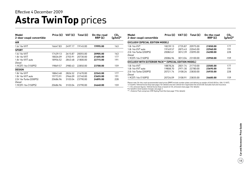### **Astra TwinTop** prices Effective 4 December 2009

| Model<br>2-door coupé convertible | Price $(E)$ | VAT (£) | Total $(E)$ | On-the-road<br>RRP(E) | CO <sub>2</sub><br>$(g/km)^*$ |
|-----------------------------------|-------------|---------|-------------|-----------------------|-------------------------------|
| <b>AIR</b>                        |             |         |             |                       |                               |
| 1.6i 16y VVT                      | 16647.83    | 2497.17 | 19145.00    | 19995.00              | 163                           |
| <b>SPORT</b>                      |             |         |             |                       |                               |
| 1.6i 16y VVT                      | 17439.13    | 2615.87 | 20055.00    | 20905.00              | 163                           |
| 1.8i 16v VVT                      | 18026.09    | 2703.91 | 20730.00    | 21605.00              | 177                           |
| 1.8i 16y VVT auto                 | 18956.52    | 2843.48 | 21800.00    | 22715.00              | 191                           |
| Diesel                            |             |         |             |                       |                               |
| 1.9CDTi 16v (150PS)               | 19869.57    | 2980.43 | 22850.00    | 23700.00              | 159                           |
| <b>DESIGN</b>                     |             |         |             |                       |                               |
| 1.8i 16y VVT                      | 18843.48    | 2826.52 | 21670.00    | 22545.00              | 177                           |
| 1.8i 16y VVT auto                 | 19773.91    | 2966.09 | 22740.00    | 23655.00              | 191                           |
| 2.0i 16y Turbo (200PS)            | 20686.96    | 3103.04 | 23790.00    | 24895.00              | 228                           |
| Diesel                            |             |         |             |                       |                               |
| 1.9CDTi 16y (150PS)               | 20686.96    | 3103.04 | 23790.00    | 24640.00              | 159                           |

| Model<br>2-door coupé convertible                     | Price $(E)$ | VAT $(f)$ | Total $(E)$ | On-the-road<br>RRP(E) | CO <sub>2</sub><br>$(g/km)^*$ |
|-------------------------------------------------------|-------------|-----------|-------------|-----------------------|-------------------------------|
| EXCLUSIV (SPECIAL EDITION MODEL)                      |             |           |             |                       |                               |
| 1.8i 16v VVT                                          | 18239.13    | 2735.87   | 20975.00    | 21850.00              | 177                           |
| 1.8i 16y VVT auto                                     | 19169.57    | 2875.43   | 22045.00    | 22960.00              | 191                           |
| 2.0i 16v Turbo (200PS)                                | 20082.61    | 3012.39   | 23095.00    | 24200.00              | 228                           |
| Diesel                                                |             |           |             |                       |                               |
| 1.9CDTi 16v (150PS)                                   | 20086.96    | 3013.04   | 23100.00    | 23950.00              | 159                           |
| EXCLUSIV WITH EXTERIOR PACK** (SPECIAL EDITION MODEL) |             |           |             |                       |                               |
| 1.8i 16v VVT                                          | 18878.26    | 2831.74   | 21710.00    | 22585.00              | 177                           |
| 1.8i 16y VVT auto                                     | 19808.70    | 2971.30   | 22780.00    | 23695.00              | 191                           |
| 2.0i 16v Turbo (200PS)                                | 20721.74    | 3108.26   | 23830.00    | 24935.00              | 228                           |
| Diesel                                                |             |           |             |                       |                               |
| 1.9CDTi 16v (150PS)                                   | 20726.09    | 3108.91   | 23835.00    | 24685.00              | 159                           |

Please note: On-the-road recommended retail prices (RRP) include number plates and delivery to retailer of £645.00 (inc. £84.13 VAT),<br>12 months' Vehicle Excise Duty (see page 2 for details) and new vehicle first registrati

 $*$  = CO<sub>2</sub> emission figures. Vehicle Excise Duty is based on CO<sub>2</sub> emissions (see page 2 for details).

For benefit in kind taxation charges see page 3. \*\* = Exterior Pack comprises VXR Styling Pack One (see page 19 for details).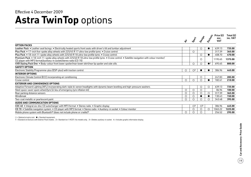### **Astra TwinTop** options Effective 4 December 2009

|                                                                                                                                                                                                                          | ❖       | Sport                   | Desrign                 | Exclusive | Price (£)<br>exc.<br><b>VAT</b> | Total $(E)$<br>inc. VAT |
|--------------------------------------------------------------------------------------------------------------------------------------------------------------------------------------------------------------------------|---------|-------------------------|-------------------------|-----------|---------------------------------|-------------------------|
| <b>OPTION PACKS</b>                                                                                                                                                                                                      |         |                         |                         |           |                                 |                         |
| Leather Pack . Leather seat facings . Electrically heated sports front seats with driver's tilt and lumbar adjustment                                                                                                    |         |                         | O                       |           | 639.13                          | 735.00                  |
| Plus Pack • 17-inch five-spoke alloy wheels with 225/45 R 17 ultra-low profile tyres • Cruise control                                                                                                                    |         | $\circ$                 |                         |           | 317.39                          | 365.00                  |
| Plus Pack • 18-inch 11-spoke alloy wheels with 225/40 R 18 ultra-low profile tyres • Cruise control                                                                                                                      |         |                         | $\circ$                 |           | 408.70                          | 470.00                  |
| Premium Pack • 18-inch 11-spoke alloy wheels with 225/40 R 18 ultra-low profile tyres • Cruise control • Satellite navigation with colour monitor/<br>CD player with MP3 format/auxiliary-in socket/stereo radio (CD 70) |         |                         | $\circ$                 |           | 1195.65                         | 1375.00                 |
| VXR Styling Pack One . Body-colour front lower spoiler/rear lower skirt/rear lip spoiler and side sills                                                                                                                  |         | $\circ$                 | O                       |           | 695.65                          | 800.00                  |
| <b>SAFETY OPTION</b>                                                                                                                                                                                                     |         |                         |                         |           |                                 |                         |
| Electronic Stability Programme-plus (ESP-plus) with traction control                                                                                                                                                     | $\circ$ | O <sup>2</sup>          |                         |           | 386.96                          | 445.00                  |
| <b>INTERIOR OPTIONS</b>                                                                                                                                                                                                  |         |                         |                         |           |                                 |                         |
| Electronic Climate Control (ECC) incorporating air conditioning                                                                                                                                                          |         |                         | $\circ$                 |           | 247.83                          | 285.00                  |
| Cruise control                                                                                                                                                                                                           | О       | $\bigcirc$              |                         |           | 182.61                          | 210.00                  |
| <b>EXTERIOR AND CONVENIENCE OPTIONS</b>                                                                                                                                                                                  |         |                         |                         |           |                                 |                         |
| Adaptive Forward Lighting (AFL) incorporating dark-style bi-xenon headlights with dynamic beam levelling and high-pressure washers                                                                                       |         |                         | O                       | $\circ$   | 639.13                          | 735.00                  |
| Steel space-saver spare wheel/tyre (in lieu of emergency tyre inflation kit)                                                                                                                                             | $\circ$ | $\circ$                 | $\circ$                 |           | 86.96                           | 100.00                  |
| Rear parking distance sensors                                                                                                                                                                                            | О       | $\circ$                 |                         | $\circ$   | 317.39                          | 365.00                  |
| Windbreak                                                                                                                                                                                                                | $\circ$ | $\circ$                 |                         |           | 130.43                          | 150.00                  |
| Two-coat metallic or pearlescent paint                                                                                                                                                                                   | $\circ$ | $\circ$                 | ∩                       | ∩         | 343.48                          | 395.00                  |
| AUDIO AND COMMUNICATION OPTIONS                                                                                                                                                                                          |         |                         |                         |           |                                 |                         |
| CDC 40 • Integral six-disc CD autochanger with MP3 format • Stereo radio • Graphic display                                                                                                                               |         | $\bigcirc$ <sup>3</sup> | $\bigcirc$ <sup>3</sup> |           | 386.96                          | 445.00                  |
| CD 70 • Satellite navigation system • CD player with MP3 format • Stereo radio • Auxiliary-in socket • Colour monitor                                                                                                    |         | $\circ$                 |                         | $\circ$   | 1065.22                         | 1225.00                 |
| Mobile phone system with Bluetooth® (does not include phone or cradle) <sup>4</sup>                                                                                                                                      | О       | $\circ$                 |                         |           | 256.52                          | 295.00                  |

 $O =$  Optional at extra cost.  $\bullet =$  Standard equipment.

1 = Standard on Exclusiv with Exterior Pack models. 2 = Standard on 1.9CDTi 16v models only. 3 = Deletes auxiliary-in socket. 4 = Includes graphic information display.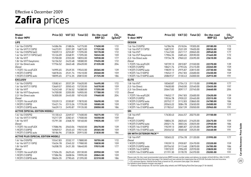### **Zafira** prices Effective 4 December 2009

| Model<br>5-door MPV                        |          |         | Price $(E)$ VAT $(E)$ Total $(E)$ | On-the-road<br>RRP(E) | CO <sub>2</sub><br>$(g/km)$ * | <b>Model</b><br>5-door MPV                                                                                                                                                                                                                                                     |          | Price $(E)$ VAT $(E)$ | Total (£) | On-the-road<br>RRP(E) | CO <sub>2</sub><br>$(g/km)^*$ |
|--------------------------------------------|----------|---------|-----------------------------------|-----------------------|-------------------------------|--------------------------------------------------------------------------------------------------------------------------------------------------------------------------------------------------------------------------------------------------------------------------------|----------|-----------------------|-----------|-----------------------|-------------------------------|
| <b>LIFE</b>                                |          |         |                                   |                       |                               | <b>DESIGN</b>                                                                                                                                                                                                                                                                  |          |                       |           |                       |                               |
| 1.6i 16v (105PS)                           | 14586.96 | 2188.04 | 16775.00                          | 17650.00              | 172                           | 1.6i 16v (105PS)                                                                                                                                                                                                                                                               | 16786.96 | 2518.04               | 19305.00  | 20180.00              | 172                           |
| 1.6i 16y VVT (115PS)                       | 14673.91 | 2201.09 | 16875.00                          | 17725.00              | 159                           | 1.6i 16v VVT (115PS)                                                                                                                                                                                                                                                           | 16873.91 | 2531.09               | 19405.00  | 20255.00              | 159                           |
| 1.6i 16y (105PS) (a/c)                     | 15039.13 | 2255.87 | 17295.00                          | 18170.00              | 172                           | 1.8i 16v VVT                                                                                                                                                                                                                                                                   | 17447.83 | 2617.17               | 20065.00  | 20940.00              | 177                           |
| 1.6i 16v VVT (115PS) (a/c)                 | 15126.09 | 2268.91 | 17395.00                          | 18245.00              | 159                           | 1.8i 16v VVT Easytronic                                                                                                                                                                                                                                                        | 17904.35 | 2685.65               | 20590.00  | 21465.00              | 172                           |
| 1.8i 16v VVT                               | 15700.00 | 2355.00 | 18055.00                          | 18930.00              | 177                           | 2.2i 16v Direct auto                                                                                                                                                                                                                                                           | 19734.78 | 2960.22               | 22695.00  | 23610.00              | 204                           |
| 1.8i 16v VVT Easytronic                    | 16156.52 | 2423.48 | 18580.00                          | 19455.00              | 172                           | <b>Diesel</b>                                                                                                                                                                                                                                                                  |          |                       |           |                       |                               |
| 2.2i 16v Direct auto                       | 17756.52 |         | 2663.48 20420.00                  | 21335.00              | 204                           | 1.7CDTi 16v ecoFLEX                                                                                                                                                                                                                                                            | 18739.13 | 2810.87               | 21550.00  | 22370.00              | 139                           |
| <b>Diesel</b>                              |          |         |                                   |                       |                               | 1.9CDTi (120PS)                                                                                                                                                                                                                                                                | 18621.74 | 2793.26               | 21415.00  | 22265.00              | 159                           |
| 1.7CDTi 16v ecoFLEX                        | 16995.65 | 2549.35 | 19545.00                          | 20365.00              | 139                           | 1.9CDTi (120PS) auto                                                                                                                                                                                                                                                           | 19839.13 | 2975.87               | 22815.00  | 23730.00              | 186                           |
| 1.9CDTi (120PS)                            | 16878.26 | 2531.74 | 19410.00                          | 20260.00              | 159                           | 1.9CDTi 16v (150PS)                                                                                                                                                                                                                                                            | 19652.17 | 2947.83               | 22600.00  | 23450.00              | 159                           |
| 1.9CDTi (120PS) auto                       | 18095.65 | 2714.35 | 20810.00                          | 21725.00              | 186                           | 1.9CDTi 16v (150PS) auto                                                                                                                                                                                                                                                       | 20869.57 | 3130.43               | 24000.00  | 24915.00              | 191                           |
| <b>EXCLUSIV</b>                            |          |         |                                   |                       |                               | <b>ELITE</b>                                                                                                                                                                                                                                                                   |          |                       |           |                       |                               |
| 1.6i 16v (105PS)                           | 13582.61 | 2037.39 | 15620.00                          | 16495.00              | 172                           | 1.8i 16v VVT                                                                                                                                                                                                                                                                   | 18360.87 | 2754.13               | 21115.00  | 21990.00              | 177                           |
| 1.6i 16v VVT (115PS)                       | 13669.57 | 2050.43 | 15720.00                          | 16570.00              | 159                           | 2.2i 16v Direct                                                                                                                                                                                                                                                                | 19600.00 | 2940.00               | 22540.00  | 23455.00              | 197                           |
| 1.8i 16v VVT                               | 14243.48 | 2136.52 | 16380.00                          | 17255.00              | 177                           | 2.2i 16y Direct auto                                                                                                                                                                                                                                                           | 20647.83 | 3097.17               | 23745.00  | 24660.00              | 204                           |
| 1.8i 16v VVT Easytronic                    | 14700.00 | 2205.00 | 16905.00                          | 17780.00              | 172                           | Diesel                                                                                                                                                                                                                                                                         |          |                       |           |                       |                               |
| 2.2i 16v Direct auto                       | 16300.00 | 2445.00 | 18745.00                          | 19660.00              | 204                           | 1.7CDTi 16v ecoFLEX                                                                                                                                                                                                                                                            | 19652.17 | 2947.83               | 22600.00  | 23420.00              | 139                           |
| <b>Diesel</b>                              |          |         |                                   |                       |                               | 1.9CDTi (120PS)                                                                                                                                                                                                                                                                | 19534.78 | 2930.22               | 22465.00  | 23315.00              | 159                           |
| 1.7CDTi 16v ecoFLEX                        | 15539.13 | 2330.87 | 17870.00                          | 18690.00              | 139                           | 1.9CDTi (120PS) auto                                                                                                                                                                                                                                                           | 20752.17 | 3112.83               | 23865.00  | 24780.00              | 186                           |
| 1.9CDTi (120PS)                            | 15421.74 | 2313.26 | 17735.00                          | 18585.00              | 159                           | 1.9CDTi 16v (150PS)                                                                                                                                                                                                                                                            | 20565.22 | 3084.78               | 23650.00  | 24500.00              | 159                           |
| 1.9CDTi (120PS) auto                       | 16639.13 | 2495.87 | 19135.00                          | 20050.00              | 186                           | 1.9CDTi 16v (150PS) auto                                                                                                                                                                                                                                                       | 21782.61 | 3267.39               | 25050.00  | 25965.00              | 191                           |
| <b>ACTIVE (SPECIAL EDITION MODEL)</b>      |          |         |                                   |                       |                               | <b>SRi</b>                                                                                                                                                                                                                                                                     |          |                       |           |                       |                               |
| 1.6i 16y (105PS)                           | 15130.43 | 2269.57 | 17400.00                          | 18275.00              | 172                           | 1.8i 16v VVT                                                                                                                                                                                                                                                                   | 17630.43 | 2644.57               | 20275.00  | 21150.00              | 177                           |
| 1.6i 16v VVT (115PS)                       | 15217.39 | 2282.61 | 17500.00                          | 18350.00              | 159                           | Diesel                                                                                                                                                                                                                                                                         |          |                       |           |                       |                               |
| 1.8i 16v VVT                               | 15791.30 | 2368.70 | 18160.00                          | 19035.00              | 177                           | 1.9CDTi (120PS)                                                                                                                                                                                                                                                                | 18804.35 | 2820.65               | 21625.00  | 22475.00              | 159                           |
| Diesel                                     |          |         |                                   |                       |                               | 1.9CDTi (120PS) auto                                                                                                                                                                                                                                                           | 20021.74 | 3003.26               | 23025.00  | 23940.00              | 186                           |
| 1.7CDTi 16v ecoFLEX                        | 17086.96 | 2563.04 | 19650.00                          | 20470.00              | 139                           | 1.9CDTi 16v (150PS)                                                                                                                                                                                                                                                            | 19239.13 | 2885.87               | 22125.00  | 22975.00              | 159                           |
| 1.9CDTi (120PS)                            | 16969.57 | 2545.43 | 19515.00                          | 20365.00              | 159                           | 1.9CDTi 16v (150PS) auto                                                                                                                                                                                                                                                       | 20456.52 | 3068.48               | 23525.00  | 24440.00              | 191                           |
| 1.9CDTi (120PS) auto                       | 18186.96 |         | 2728.04 20915.00                  | 21830.00              | 186                           | <b>SRI WITH EXTERIOR PACK**</b>                                                                                                                                                                                                                                                |          |                       |           |                       |                               |
| <b>ACTIVE PLUS (SPECIAL EDITION MODEL)</b> |          |         |                                   |                       |                               | 1.8i 16v VVT                                                                                                                                                                                                                                                                   | 18365.22 | 2754.78               | 21120.00  | 21995.00              | 177                           |
| 1.6i 16v (105PS)                           | 15547.83 | 2332.17 | 17880.00                          | 18755.00              | 172                           | Diesel                                                                                                                                                                                                                                                                         |          |                       |           |                       |                               |
| 1.6i 16y VVT (115PS)                       | 15634.78 |         | 2345.22 17980.00                  | 18830.00              | 159                           | 1.9CDTi (120PS)                                                                                                                                                                                                                                                                | 19539.13 | 2930.87               | 22470.00  | 23320.00              | 159                           |
| 1.8i 16v VVT                               | 16208.70 | 2431.30 | 18640.00                          | 19515.00              | 177                           | 1.9CDTi (120PS) auto                                                                                                                                                                                                                                                           | 20756.52 | 3113.48               | 23870.00  | 24785.00              | 186                           |
| Diesel                                     |          |         |                                   |                       |                               | 1.9CDTi 16v (150PS)                                                                                                                                                                                                                                                            | 19973.91 | 2996.09               | 22970.00  | 23820.00              | 159                           |
| 1.7CDTi 16v ecoFLEX                        | 17504.35 | 2625.65 | 20130.00                          | 20950.00              | 139                           | 1.9CDTi 16v (150PS) auto                                                                                                                                                                                                                                                       | 21191.30 | 3178.70               | 24370.00  | 25285.00              | 191                           |
| 1.9CDTi (120PS)                            | 17386.96 |         | 2608.04 19995.00                  | 20845.00              | 159                           |                                                                                                                                                                                                                                                                                |          |                       |           |                       |                               |
| 1.9CDTi (120PS) auto                       | 18604.35 |         | 2790.65 21395.00                  | 22310.00              | 186                           | Please note: On-the-road recommended retail prices (RRP) include number plates and delivery to retailer of £645.00 (inc. £84.13 VAT),<br>12 months' Vohicle Excise Duty (see nage 2 for details) and now vohicle first registration foo of SEE 00. Excludes fuel and insurance |          |                       |           |                       |                               |

12 months' Vehicle Excise Duty (see page 2 for details) and new vehicle first registration fee of £55.00. Excludes fuel and insurance.<br>\* = CO<sub>2</sub> emission figures. Vehicle Excise Duty is based on CO<sub>2</sub> emissions (see page 2

For benefit in kind taxation charges see page 3. \*\* = Exterior Pack comprises 18-inch five-spoke alloy wheels and VXR Styling Pack One (see page 21 for details).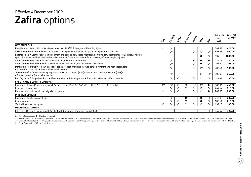### **Zafira** options Effective 4 December 2009

|                                                                                                                                                                                                                                                |                         | Erclusiv                | <b>Prickle</b> | Active Plus | Design               | Eife                    | ې<br>چ         | Price (£)<br>exc.<br><b>VAT</b> | Total $(E)$<br>inc. VAT |
|------------------------------------------------------------------------------------------------------------------------------------------------------------------------------------------------------------------------------------------------|-------------------------|-------------------------|----------------|-------------|----------------------|-------------------------|----------------|---------------------------------|-------------------------|
| <b>OPTION PACKS</b>                                                                                                                                                                                                                            |                         |                         |                |             |                      |                         |                |                                 |                         |
| Plus Pack . 16-inch 10-spoke alloy wheels with 205/55 R 16 tyres . Front fog lights                                                                                                                                                            | $\circ$                 | O                       |                |             |                      |                         |                | 369.57                          | 425.00                  |
| VXR Styling Pack One • Body-colour lower front spoiler/rear lower skirt/rear roof spoiler and side sills                                                                                                                                       |                         | $\bigcirc$ <sup>1</sup> |                |             | O <sup>1</sup>       | $\bigcirc$ <sup>1</sup> | O <sup>2</sup> | 695.65                          | 800.00                  |
| Leather Pack . Leather seat facings on front and second-row seats, Morrocana on third-row seat facings . Electrically heated<br>sports front seats with tilt and lumbar adjustment . Driver's armrest . Front passenger's seat height adjuster |                         |                         |                |             |                      |                         | $\circ$        | 939.13                          | 1080.00                 |
| Seat Comfort Pack One . Driver's seat with tilt and lumbar adjustment                                                                                                                                                                          |                         | $\circ$                 |                |             | $\bullet$            |                         | $\bullet$      | 139.13                          | 160.00                  |
| Seat Comfort Pack Two . Front passenger's seat with height, tilt and lumbar adjustment                                                                                                                                                         |                         | $\bigcirc$ <sup>3</sup> |                |             | $\circ$              |                         | ◯              | 91.30                           | 105.00                  |
| Panoramic Roof Pack <sup>4</sup> • Four glass roof panels • Roof-mounted storage console for front and rear passengers<br>• Alloy-effect roof rails • Heat-reflective windscreen                                                               |                         | $\bigcirc$              |                |             | $\circ$ <sup>5</sup> | $\bigcirc$              | $\circ$        | 782.61                          | 900.00                  |
| Towing Pack <sup>5</sup> • Trailer stability programme • Hill Start Assist (HSA) <sup>6</sup> • Deflation Detection System (DDS) <sup>6</sup><br>• Cruise control • Detachable tow bar                                                         |                         | $\bigcirc$              |                |             | O <sup>7</sup>       | $\bigcirc$ <sup>7</sup> | O <sup>7</sup> | 300.00                          | 345.00                  |
| FlexOrganiser <sup>®</sup> Organiser Pack • 3D storage net • Side net pocket • Four side rail hooks • Four side rails                                                                                                                          |                         | $\circ$                 | О              | ◯           | $\circ$              | $\bigcirc$              | $\bigcirc$     | 43.48                           | 50.00                   |
| <b>SAFETY AND SECURITY OPTIONS</b>                                                                                                                                                                                                             |                         |                         |                |             |                      |                         |                |                                 |                         |
| Electronic Stability Programme-plus (ESP-plus) (1.6i 16v/1.8i 16v/1.7CDTi 16v/1.9CDTi (120PS) only)                                                                                                                                            | $\bigcirc$ <sup>8</sup> | $\bigcirc$ <sup>8</sup> | О              | O           | O <sup>9</sup>       | O <sup>9</sup>          |                | 386.96                          | 445.00                  |
| Keyless entry and start                                                                                                                                                                                                                        |                         | $\circ$                 | $\circ$        | О           | $\circ$              | O                       | $\circ$        | 269.57                          | 310.00                  |
| Remote control ultrasonic security alarm system                                                                                                                                                                                                | $\circ$                 | ◯                       | ∩              | ∩           | $\bigcirc$           | ∩                       |                | 204.35                          | 235.00                  |
| <b>INTERIOR OPTIONS</b>                                                                                                                                                                                                                        |                         |                         |                |             |                      |                         |                |                                 |                         |
| Electronic Climate Control (ECC)                                                                                                                                                                                                               |                         | $\circ$                 |                |             |                      |                         | $\circ$        | 247.83                          | 285.00                  |
| Cruise control                                                                                                                                                                                                                                 |                         | $\circ$                 | O              | О           | $\circ$              |                         | $\circ$        | 182.61                          | 210.00                  |
| Vertical load-restraining net                                                                                                                                                                                                                  | $\circ$                 | ◯                       | О              | Ω           | $\circ$              | ∩                       | $\circ$        | 139.13                          | 160.00                  |
| <b>MECHANICAL OPTION</b>                                                                                                                                                                                                                       |                         |                         |                |             |                      |                         |                |                                 |                         |
| Interactive Driving System-plus (IDS-plus) with Continuous Damping Control (CDC)                                                                                                                                                               |                         |                         |                |             |                      |                         | $\bigcirc$     | 369.57                          | 425.00                  |

 $\bigcirc$  = Optional at extra cost.  $\bigcirc$  = Standard equipment.

1 = Not available on 1.7CDTi 16v ecoFLEX models. 2 = Standard on SRi with Exterior Pack models. 3 = Only available in conjunction with Seat Comfort Pack Done. 4 = Deletes sunglasses holder. Not available on 1.9CDTi 16v (15 with Olympic White solid paint. 5 = Only available in conjunction with Electronic Stability Programme-plus. 6 = Not available on models fitted with automatic transmission. 7 = Requires 13-pin adaptor (available as a Vauxha on 2.2i 16v Direct and 1.9CDTi 16v (150PS) models.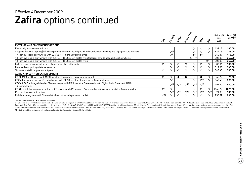### **Zafira** options continued Effective 4 December 2009

|                                                                                                                                              | <b>Maritime Riverside</b><br>Creeks |                          |                          |                |                          |                          |                          | Price (£)<br>exc. | Total (£)<br>inc. VAT |
|----------------------------------------------------------------------------------------------------------------------------------------------|-------------------------------------|--------------------------|--------------------------|----------------|--------------------------|--------------------------|--------------------------|-------------------|-----------------------|
|                                                                                                                                              |                                     |                          |                          |                | Design                   | <b>Elle</b>              |                          | <b>VAT</b>        |                       |
| <b>EXTERIOR AND CONVENIENCE OPTIONS</b>                                                                                                      |                                     |                          |                          |                |                          |                          |                          |                   |                       |
| Electrically foldable door mirrors                                                                                                           |                                     |                          |                          |                | $\circ$                  | $\circ$                  | $\circ$                  | 139.13            | 160.00                |
| Adaptive Forward Lighting (AFL) incorporating bi-xenon headlights with dynamic beam levelling and high-pressure washers                      |                                     | $\bigcirc$ 10            |                          |                | $\circ$                  | $\circ$                  | $\circ$                  | 639.13            | 735.00                |
| 17-inch 10-spoke alloy wheels with 225/45 R 17 ultra-low profile tyres                                                                       |                                     | $\circ$ <sup>5</sup>     |                          |                | $^{\bullet}$             | $\bullet^9$              |                          | 360.87            | 415.00                |
| 18-inch five-spoke alloy wheels with 225/40 R 18 ultra-low profile tyres (different style to optional SRi alloy wheels)                      |                                     |                          |                          |                | $\bigcap$ 11,12          |                          |                          | 304.35            | 350.00                |
| 18-inch five-spoke alloy wheels with 225/40 R 18 ultra-low profile tyres                                                                     |                                     |                          |                          |                |                          |                          | $\bigcirc$ 2,11          | 304.35            | 350.00                |
| Full-size steel spare wheel (in lieu of emergency tyre inflation kit) 13                                                                     | $\circ$                             | О                        | Ο                        | O              | $\circ$                  | ∩                        |                          | 86.96             | 100.00                |
| Front and rear parking distance sensors                                                                                                      |                                     | O                        | О                        | O              | $\circ$                  | $\circ$                  | $\circ$                  | 317.39            | 365.00                |
| Two-coat metallic or pearlescent paint                                                                                                       | $\circ$                             | О                        | ◯                        | ◯              | $\circ$                  | $\bigcirc$               |                          | 343.48            | 395.00                |
| AUDIO AND COMMUNICATION OPTIONS                                                                                                              |                                     |                          |                          |                |                          |                          |                          |                   |                       |
| CD 30 MP3 • CD player with MP3 format • Stereo radio • Auxiliary-in socket                                                                   | $\circ$                             | Ο                        |                          |                | $\circ$                  |                          |                          | 65.22             | 75.00                 |
| CDC 40 • Integral six-disc CD autochanger with MP3 format • Stereo radio • Graphic display                                                   |                                     | $\bigcirc$ <sup>14</sup> |                          |                | $\bigcirc$ <sup>14</sup> | $\bigcirc$ <sup>14</sup> |                          | 343.48            | 395.00                |
| CDC 40 DAB . Integral six-disc CD autochanger with MP3 format . Stereo radio with Digital Audio Broadcast (DAB)<br>$\bullet$ Graphic display |                                     | $\bigcirc$ <sup>15</sup> | $\bigcirc$ <sup>16</sup> | $\bigcap_{16}$ | $\bigcirc$ 15            | $\bigcap$ 15             |                          | 391.30            | 450.00                |
| CD 70 • Satellite navigation system • CD player with MP3 format • Stereo radio • Auxiliary-in socket • Colour monitor                        | O <sup>17</sup>                     | $\circ$                  |                          |                | $\circ$                  | $\circ$                  | $\circ$                  | 1065.22           | 1225.00               |
| Rear seat Twin Audio <sup>®</sup> system                                                                                                     |                                     | $\bigcap$ 18             | $\bigcirc$ <sup>16</sup> | $\bigcap_{16}$ | $\bigcirc$ <sup>18</sup> | $\bigcirc$ <sup>16</sup> | $\bigcirc$ <sup>18</sup> | 91.30             | 105.00                |
| Mobile phone system with Bluetooth <sup>®</sup> (does not include phone or cradle)                                                           | O <sup>17</sup>                     | С                        |                          |                |                          |                          |                          | 256.52            | 295.00                |

 $\bigcirc$  = Optional at extra cost.  $\bigcirc$  = Standard equipment.

2 = Standard on SRi with Exterior Pack models. 5 = Only available in conjunction with Electronic Stability Programme-olus. 9 = Standard on 2.2i 16y Direct and 1.9CDTi 16y (150PS) models. 10 = Includes front fog lights. 11 Panoramic Roof Pack. 12 = Not available on 1.6i 16v, 1.6i 16v VVT, 1.8i 16v VVT, 1.8i 16v VVT, 1.8i 16v VVT, 1.7CDTi 16v ecoFLEX and 1.9CDTi (120PS) models. 13 = Not available on SRi with Exterior Pack models and 18-inch a available in conjunction with VXR Styling Pack One. Deletes auxiliary-in socket (where fitted). 15 = Not available in conjunction with VXR Styling Pack One. Deletes auxiliary-in socket (where fitted). 16 = Deletes auxiliar 18 = Only available in conjunction with optional audio units. Deletes auxiliary-in socket (where fitted).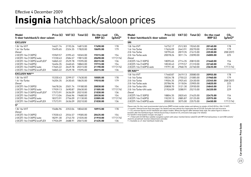### **Insignia** hatchback/saloon prices Effective 4 December 2009

| Model<br>5-door hatchback/4-door saloon  | Price $(E)$ VAT $(E)$ |         | Total $(E)$ | On-the-road<br>RRP(E) | CO <sub>2</sub><br>$(g/km)$ * |
|------------------------------------------|-----------------------|---------|-------------|-----------------------|-------------------------------|
| <b>EXCLUSIV</b>                          |                       |         |             |                       |                               |
| 1.8i 16v VVT                             | 14621.74              | 2193.26 | 16815.00    | 17690.00              | 178                           |
| 1.6i 16y Turbo                           | 15495.65              | 2324.35 | 17820.00    | 18695.00              | 179                           |
| Diesel                                   |                       |         |             |                       |                               |
| 2.0CDTi 16v (130PS)                      | 15969.57              | 2395.43 | 18365.00    | 19215.00              | 154                           |
| 2.0CDTi 16y (130PS) auto                 | 17230.43              | 2584.57 | 19815.00    | 20690.00              | 177 (174)                     |
| 2.0CDTi 16v (130PS) ecoFLEX <sup>+</sup> | 16865.22              | 2529.78 | 19395.00    | 20215.00              | 136                           |
| 2.0CDTi 16y (160PS)                      | 16404.35              | 2460.65 | 18865.00    | 19715.00              | 154                           |
| 2.0CDTi 16v (160PS) auto                 | 17665.22              | 2649.78 | 20315.00    | 21190.00              | 177 (174)                     |
| 2.0CDTi 16v (160PS) ecoFLEX              | 16865.22              | 2529.78 | 19395.00    | 20215.00              | 136                           |
| <b>EXCLUSIV NAV**</b>                    |                       |         |             |                       |                               |
| 1.8i 16v VVT                             | 15330.43              | 2299.57 | 17630.00    | 18505.00              | 178                           |
| 1.6i 16y Turbo                           | 16204.35              | 2430.65 | 18635.00    | 19510.00              | 179                           |
| Diesel                                   |                       |         |             |                       |                               |
| 2.0CDTi 16v (130PS)                      | 16678.26              | 2501.74 | 19180.00    | 20030.00              | 154                           |
| 2.0CDTi 16y (130PS) auto                 | 17939.13              | 2690.87 | 20630.00    | 21505.00              | 177 (174)                     |
| 2.0CDTi 16v (130PS) ecoFLEX <sup>+</sup> | 17573.91              | 2636.09 | 20210.00    | 21030.00              | 136                           |
| 2.0CDTi 16y (160PS)                      | 17113.04              | 2566.96 | 19680.00    | 20530.00              | 154                           |
| 2.0CDTi 16v (160PS) auto                 | 18373.91              | 2756.09 | 21130.00    | 22005.00              | 177 (174)                     |
| 2.0CDTi 16v (160PS) ecoFLEX              | 17573.91              | 2636.09 | 20210.00    | 21030.00              | 136                           |
| $S^{\dagger}$                            |                       |         |             |                       |                               |
| 1.8i 16v VVT                             | 15686.96              | 2353.04 | 18040.00    | 18915.00              | 178                           |
| Diesel                                   |                       |         |             |                       |                               |
| 2.0CDTi 16v (130PS)                      | 17030.43              | 2554.57 | 19585.00    | 20435.00              | 154                           |
| 2.0CDTi 16y (130PS) auto                 | 18291.30              | 2743.70 | 21035.00    | 21910.00              | 177 (174)                     |
| 2.0CDTi 16v (160PS) ecoFLEX              | 17926.09              | 2688.91 | 20615.00    | 21435.00              | 136                           |

| Model<br>5-door hatchback/4-door saloon |          |         | Price $(E)$ VAT $(E)$ Total $(E)$ | On-the-road<br>RRP(E) | CO <sub>2</sub><br>$(g/km)^*$ |
|-----------------------------------------|----------|---------|-----------------------------------|-----------------------|-------------------------------|
| SRi                                     |          |         |                                   |                       |                               |
| 1.8i 16v VVT                            | 16752.17 | 2512.83 | 19265.00                          | 20140.00              | 178                           |
| 1.6i 16v Turbo                          | 17626.09 | 2643.91 | 20270.00                          | 21145.00              | 179                           |
| 2.0i 16y Turbo                          | 18795.65 | 2819.35 | 21615.00                          | 22530.00              | 208 (207)                     |
| 2.0i 16y Turbo auto                     | 20078.26 | 3011.74 | 23090.00                          | 24005.00              | 225                           |
| Diesel                                  |          |         |                                   |                       |                               |
| 2.0CDTi 16v (130PS)                     | 18095.65 | 2714.35 | 20810.00                          | 21660.00              | 154                           |
| 2.0CDTi 16v (160PS)                     | 18530.43 | 2779.57 | 21310.00                          | 22160.00              | 154                           |
| 2.0CDTi 16v (160PS) auto                | 19791.30 | 2968.70 | 22760.00                          | 23635.00              | 177 (174)                     |
| <b>SRi NAV**</b>                        |          |         |                                   |                       |                               |
| 1.8i 16y VVT                            | 17460.87 | 2619.13 | 20080.00                          | 20955.00              | 178                           |
| 1.6i 16y Turbo                          | 18334.78 | 2750.22 | 21085.00                          | 21960.00              | 179                           |
| 2.0i 16v Turbo                          | 19504.35 | 2925.65 | 22430.00                          | 23345.00              | 208 (207)                     |
| 2.0i 16y Turbo auto                     | 20786.96 | 3118.04 | 23905.00                          | 24820.00              | 225                           |
| 2.0i 16y Turbo 4X4                      | 20808.70 | 3121.30 | 23930.00                          | 24845.00              | 215                           |
| 2.0i 16y Turbo 4X4 auto                 | 21926.09 | 3288.91 | 25215.00                          | 26320.00              | 229                           |
| Diesel                                  |          |         |                                   |                       |                               |
| 2.0CDTi 16v (130PS)                     | 18804.35 | 2820.65 | 21625.00                          | 22475.00              | 154                           |
| 2.0CDTi 16v (160PS)                     | 19239.13 | 2885.87 | 22125.00                          | 22975.00              | 154                           |
| 2.0CDTi 16v (160PS) auto                | 20500.00 | 3075.00 | 23575.00                          | 24450.00              | 177 (174)                     |

Please note: On-the-road recommended retail prices (RRP) include number plates and delivery to retailer of £645.00 (inc. £84.13 VAT), 12 months' Vehicle Excise Duty (see page 2 for details) and new vehicle first registration fee of £55.00. Excludes fuel and insurance.  $*$  = CO<sub>2</sub> emission figures are for hatchback and saloon models. Where the figures differ between body style, the saloon figure is shown in brackets after the hatchback figure. Vehicle Excise Duty is based on CO<sub>2</sub> emissions (see page 2 for details).

For benefit in kind taxation charges see page 3.

\*\* = Fitted with CD 500 Navi satellite navigation system with colour monitor/stereo radio/CD with MP3 format/auxiliary-in and USB sockets/ shark fin aerial/multi-function infotainment controller.

† = Available as a 5-door hatchback model only.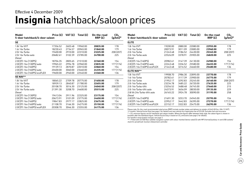### **Insignia** hatchback/saloon prices Effective 4 December 2009

| Model<br>5-door hatchback/4-door saloon | Price (£) | VAT(E)  | Total (£) | On-the-road<br>RRP(E) | CO <sub>2</sub><br>$(g/km)^*$ | Model<br>5-door hatchback/4-door saloon                              | Price (£) | V٨ |
|-----------------------------------------|-----------|---------|-----------|-----------------------|-------------------------------|----------------------------------------------------------------------|-----------|----|
| <b>SE</b>                               |           |         |           |                       |                               | <b>ELITE</b>                                                         |           |    |
| 1.8i 16v VVT                            | 17356.52  | 2603.48 | 19960.00  | 20835.00              | 178                           | 1.8i 16v VVT                                                         | 19200.00  | 28 |
| 1.6i 16v Turbo                          | 18230.43  | 2734.57 | 20965.00  | 21840.00              | 179                           | 1.6i 16y Turbo                                                       | 20073.91  | 30 |
| 2.0i 16v Turbo                          | 19400.00  | 2910.00 | 22310.00  | 23225.00              | 208 (207)                     | 2.0i 16v Turbo                                                       | 21243.48  | 31 |
| 2.0i 16v Turbo auto                     | 20682.61  | 3102.39 | 23785.00  | 24700.00              | 225                           | 2.0i 16y Turbo auto                                                  | 22526.09  | 33 |
| Diesel                                  |           |         |           |                       |                               | Diesel                                                               |           |    |
| 2.0CDTi 16v (130PS)                     | 18704.35  | 2805.65 | 21510.00  | 22360.00              | 154                           | 2.0CDTi 16v (160PS)                                                  | 20982.61  | 31 |
| 2.0CDTi 16y (130PS) auto                | 19965.22  | 2994.78 | 22960.00  | 23835.00              | 177 (174)                     | 2.0CDTi 16y (160PS) auto                                             | 22243.48  | 33 |
| 2.0CDTi 16v (160PS)                     | 19139.13  | 2870.87 | 22010.00  | 22860.00              | 154                           | 2.0CDTi 16v (160PS) ecoFLEX                                          | 21443.48  | 32 |
| 2.0CDTi 16y (160PS) auto                | 20400.00  | 3060.00 | 23460.00  | 24335.00              | 177 (174)                     | <b>ELITE NAV**</b>                                                   |           |    |
| 2.0CDTi 16v (160PS) ecoFLEX             | 19600.00  | 2940.00 | 22540.00  | 23360.00              | 136                           | 1.8i 16v VVT                                                         | 19908.70  | 29 |
| <b>SE NAV**</b>                         |           |         |           |                       |                               | 1.6i 16y Turbo                                                       | 20782.61  | 31 |
| 1.8i 16v VVT                            | 18065.22  | 2709.78 | 20775.00  | 21650.00              | 178                           | 2.0i 16v Turbo                                                       | 21952.17  | 32 |
| 1.6i 16y Turbo                          | 18939.13  | 2840.87 | 21780.00  | 22655.00              | 179                           | 2.0i 16y Turbo auto                                                  | 23234.78  | 34 |
| 2.0i 16v Turbo                          | 20108.70  | 3016.30 | 23125.00  | 24040.00              | 208 (207)                     | 2.0i 16y Turbo 4X4                                                   | 23256.52  | 34 |
| 2.0i 16y Turbo auto                     | 21391.30  | 3208.70 | 24600.00  | 25515.00              | 225                           | 2.0i 16y Turbo 4X4 auto                                              | 24373.91  | 36 |
| Diesel                                  |           |         |           |                       |                               | 2.8i V6 24y Turbo 4X4 auto                                           | 26165.22  | 39 |
| 2.0CDTi 16v (130PS)                     | 19413.04  | 2911.96 | 22325.00  | 23175.00              | 154                           | Diesel                                                               |           |    |
| 2.0CDTi 16v (130PS) auto                | 20673.91  | 3101.09 | 23775.00  | 24650.00              | 177 (174)                     | 2.0CDTi 16v (160PS)                                                  | 21691.30  | 32 |
| 2.0CDTi 16v (160PS)                     | 19847.83  | 2977.17 | 22825.00  | 23675.00              | 154                           | 2.0CDTi 16v (160PS) auto                                             | 22952.17  | 34 |
| 2.0CDTi 16v (160PS) auto                | 21108.70  | 3166.30 | 24275.00  | 25150.00              | 177 (174)                     | 2.0CDTi 16v (160PS) ecoFLEX                                          | 22152.17  | 33 |
| 2.0CDTi 16v (160PS) ecoFLEX             | 20308.70  | 3046.30 | 23355.00  | 24175.00              | 136                           | Blogge pate: On the read recommended retail prices (BBB) include put |           |    |

**AT(E)** Total (E) On-the-road **CO<sub>2</sub>**<br>\*RRP (E) (g/km) **5-door hatchback/4-door saloon RRP (£) (g/km)\*** 1.8i 16v VVT 19200.00 2880.00 22080.00 **22955.00** 178 1.6i 16v Turbo 20073.91 3011.09 23085.00 **23960.00** 179 2.0i 16v Turbo 21243.48 3186.52 24430.00 **25345.00** 208 (207) 2.0i 16v Turbo auto 22526.09 3378.91 25905.00 **26820.00** 225 2.0CDTi 16v (160PS) 20982.61 3147.39 24130.00 **24980.00** 154 2**.**0CDTi 16v (1609) 336.52 25580.00 **26455.00** 177 (174) 2.0CDTi 16v (160PS) ecoFLEX 21443.48 3216.52 24660.00 **25480.00** 136 1.8i 16v VVT 19908.70 2986.30 22895.00 **23770.00** 178 1.6i 16v Turbo 20782.61 3117.39 23900.00 **24775.00** 179 2.0i 16v Turbo 21952.17 3292.83 25245.00 **26160.00** 208 (207) 2.0i 16v Turbo auto 23234.78 3485.22 26720.00 **27635.00** 225 2.0i 16v Turbo 4X4 23256.52 3488.48 26745.00 **27660.00** 215 2.0i 16v Turbo 4X4 auto 24373.91 3656.09 28030.00 **29135.00** 229 2.8i V6 24v Turbo 4X4 auto 26165.22 3924.78 30090.00 **31195.00** 258 2.0CDTi 16v (160PS) 21691.30 3253.70 24945.00 **25795.00** 154 2.0CDTi 16v (160PS) auto 22952.17 3442.83 26395.00 **27270.00** 177 (174) 2.0CDTi 16v (160PS) ecoFLEX 22152.17 3322.83 25475.00 **26295.00** 136

Please note: On-the-road recommended retail prices (RRP) include number plates and delivery to retailer of £645.00 (inc. £84.13 VAT), 12 months' Vehicle Excise Duty (see page 2 for details) and new vehicle first registration fee of £55.00. Excludes fuel and insurance.

\* = CO<sub>2</sub> emission figures are for hatchback and saloon models. Where the figures differ between body style, the saloon figure is shown in brackets after the hatchback figure. Vehicle Excise Duty is based on CO<sub>3</sub> emissions (see page 2 for details).

For benefit in kind taxation charges see page 3.

\*\* = Fitted with CD 500 Navi satellite navigation system with colour monitor/stereo radio/CD with MP3 format/auxiliary-in and USB sockets/ shark fin aerial/multi-function infotainment controller.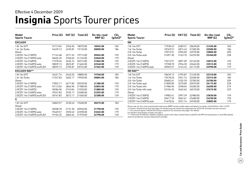### **Insignia** Sports Tourer prices Effective 4 December 2009

| Model<br><b>Sports Tourer</b> | Price $(E)$ |         | VAT $(E)$ Total $(E)$ | On-the-road<br>RRP(E) | CO <sub>2</sub><br>$(g/km)^*$ | Model<br><b>Sports Tourer</b>                                                                                      |
|-------------------------------|-------------|---------|-----------------------|-----------------------|-------------------------------|--------------------------------------------------------------------------------------------------------------------|
| <b>EXCLUSIV</b>               |             |         |                       |                       |                               | SRi                                                                                                                |
| 1.8i 16v VVT                  | 15713.04    | 2356.96 | 18070.00              | 18945.00              | 183                           | 1.8i 16v VVT                                                                                                       |
| 1.6i 16y Turbo                | 16639.13    | 2495.87 | 19135.00              | 20050.00              | 186                           | 1.6i 16y Turbo                                                                                                     |
| Diesel                        |             |         |                       |                       |                               | 2.0i 16y Turbo                                                                                                     |
| 2.0CDTi 16v (130PS)           | 17143.48    | 2571.52 | 19715.00              | 20565.00              | 159                           | 2.0i 16y Turbo auto                                                                                                |
| 2.0CDTi 16v (130PS) auto      | 18404.35    | 2760.65 | 21165.00              | 22040.00              | 179                           | Diesel                                                                                                             |
| 2.0CDTi 16v (160PS)           | 17578.26    | 2636.74 | 20215.00              | 21065.00              | 159                           | 2.0CDTi 16v (130PS)                                                                                                |
| 2.0CDTi 16v (160PS) auto      | 18839.13    | 2825.87 | 21665.00              | 22540.00              | 179                           | 2.0CDTi 16v (160PS)                                                                                                |
| 2.0CDTi 16v (160PS) ecoFLEX   | 18039.13    | 2705.87 | 20745.00              | 21565.00              | 139                           | 2.0CDTi 16v (160PS) auto                                                                                           |
| <b>EXCLUSIV NAV**</b>         |             |         |                       |                       |                               | <b>SRi NAV**</b>                                                                                                   |
| 1.8i 16v VVT                  | 16421.74    | 2463.26 | 18885.00              | 19760.00              | 183                           | 1.8i 16v VVT                                                                                                       |
| 1.6i 16y Turbo                | 17347.83    | 2602.17 | 19950.00              | 20865.00              | 186                           | 1.6i 16y Turbo                                                                                                     |
| Diesel                        |             |         |                       |                       |                               | 2.0i 16y Turbo                                                                                                     |
| 2.0CDTi 16v (130PS)           | 17852.17    | 2677.83 | 20530.00              | 21380.00              | 159                           | 2.0i 16y Turbo auto                                                                                                |
| 2.0CDTi 16v (130PS) auto      | 19113.04    | 2866.96 | 21980.00              | 22855.00              | 179                           | 2.0i 16y Turbo 4X4                                                                                                 |
| 2.0CDTi 16v (160PS)           | 18286.96    | 2743.04 | 21030.00              | 21880.00              | 159                           | 2.0i 16y Turbo 4X4 auto                                                                                            |
| 2.0CDTi 16v (160PS) auto      | 19547.83    | 2932.17 | 22480.00              | 23355.00              | 179                           | Diesel                                                                                                             |
| 2.0CDTi 16v (160PS) ecoFLEX   | 18747.83    | 2812.17 | 21560.00              | 22380.00              | 139                           | 2.0CDTi 16v (130PS)                                                                                                |
| S                             |             |         |                       |                       |                               | 2.0CDTi 16v (160PS)                                                                                                |
| 1.8i 16y VVT                  | 16869.57    | 2530.43 | 19400.00              | 20275.00              | 183                           | 2.0CDTi 16v (160PS) auto                                                                                           |
| Diesel                        |             |         |                       |                       |                               | Please note: On-the-road recommended retail p                                                                      |
| 2.0CDTi 16v (130PS)           | 18208.70    | 2731.30 | 20940.00              | 21790.00              | 159                           | 12 months' Vehicle Excise Duty (see page 2 for d                                                                   |
| 2.0CDTi 16v (130PS) auto      | 19469.57    | 2920.43 | 22390.00              | 23265.00              | 179                           | * = CO <sub>2</sub> emission figures. Vehicle Excise Duty is b<br>For benefit in kind taxation charges see page 3. |
| 2.0CDTi 16v (160PS) ecoFLEX   | 19104.35    | 2865.65 | 21970.00              | 22790.00              | 139                           | ** = Fitted with CD 500 Navi satellite navigation :<br>alaanka 21 aastal (sacchi). Loo ailaa ladabalaasaan aasta   |

| Model<br>Sports Tourer   | Price (£) | VAT (£) | Total $(E)$ | On-the-road<br>RRP(E) | CO <sub>2</sub><br>$(g/km)$ * |
|--------------------------|-----------|---------|-------------|-----------------------|-------------------------------|
| SRi                      |           |         |             |                       |                               |
| 1.8i 16v VVT             | 17930.43  | 2689.57 | 20620.00    | 21495.00              | 183                           |
| 1.6i 16v Turbo           | 18769.57  | 2815.43 | 21585.00    | 22500.00              | 186                           |
| 2.0i 16v Turbo           | 19973.91  | 2996.09 | 22970.00    | 23885.00              | 209                           |
| 2.0i 16v Turbo auto      | 21091.30  | 3163.70 | 24255.00    | 25360.00              | 228                           |
| Diesel                   |           |         |             |                       |                               |
| 2.0CDTi 16v (130PS)      | 19273.91  | 2891.09 | 22165.00    | 23015.00              | 159                           |
| 2.0CDTi 16v (160PS)      | 19708.70  | 2956.30 | 22665.00    | 23515.00              | 159                           |
| 2.0CDTi 16v (160PS) auto | 20969.57  | 3145.43 | 24115.00    | 24990.00              | 179                           |
| <b>SRi NAV**</b>         |           |         |             |                       |                               |
| 1.8i 16v VVT             | 18639.13  | 2795.87 | 21435.00    | 22310.00              | 183                           |
| 1.6i 16v Turbo           | 19478.26  | 2921.74 | 22400.00    | 23315.00              | 186                           |
| 2.0i 16v Turbo           | 20682.61  | 3102.39 | 23785.00    | 24700.00              | 209                           |
| 2.0i 16v Turbo auto      | 21800.00  | 3270.00 | 25070.00    | 26175.00              | 228                           |
| 2.0i 16v Turbo 4X4       | 21986.96  | 3298.04 | 25285.00    | 26200.00              | 219                           |
| 2.0i 16v Turbo 4X4 auto  | 23104.35  | 3465.65 | 26570.00    | 27675.00              | 233                           |
| Diesel                   |           |         |             |                       |                               |
| 2.0CDTi 16v (130PS)      | 19982.61  | 2997.39 | 22980.00    | 23830.00              | 159                           |
| 2.0CDTi 16v (160PS)      | 20417.39  | 3062.61 | 23480.00    | 24330.00              | 159                           |
| 2.0CDTi 16v (160PS) auto | 21678.26  | 3251.74 | 24930.00    | 25805.00              | 179                           |

prices (RRP) include number plates and delivery to retailer of £645.00 (inc. £84.13 VAT), details) and new vehicle first registration fee of £55.00. Excludes fuel and insurance. based on CO<sub>2</sub> emissions (see page 2 for details).

i system with colour monitor/stereo radio/CD with MP3 format/auxiliary-in and USB sockets/<br>:roller. shark fin aerial/multi-function infotainment controller.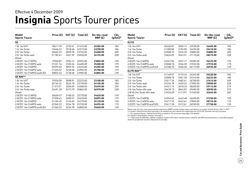### **Insignia** Sports Tourer prices Effective 4 December 2009

| Model<br><b>Sports Tourer</b> | Price (£) | VAT $(f)$ | Total $(E)$ | On-the-road<br>RRP(E) | CO <sub>2</sub><br>$(g/km)^*$ | Model<br><b>Sports Tourer</b>                                                                                                        | Price (£) | VAT (£) | Total (£) | On-the-road<br>RRP(E) | CO <sub>2</sub><br>$(g/km)^*$ |
|-------------------------------|-----------|-----------|-------------|-----------------------|-------------------------------|--------------------------------------------------------------------------------------------------------------------------------------|-----------|---------|-----------|-----------------------|-------------------------------|
| <b>SE</b>                     |           |           |             |                       |                               | <b>ELITE</b>                                                                                                                         |           |         |           |                       |                               |
| 1.8i 16v VVT                  | 18617.39  | 2792.61   | 21410.00    | 22285.00              | 183                           | 1.8i 16v VVT                                                                                                                         | 20460.87  | 3069.13 | 23530.00  | 24405.00              | 183                           |
| 1.6i 16v Turbo                | 19456.52  | 2918.48   | 22375.00    | 23290.00              | 186                           | 1.6i 16v Turbo                                                                                                                       | 21300.00  | 3195.00 | 24495.00  | 25410.00              | 186                           |
| 2.0i 16y Turbo                | 20665.22  | 3099.78   | 23765.00    | 24680.00              | 209                           | 2.0i 16y Turbo                                                                                                                       | 22508.70  | 3376.30 | 25885.00  | 26800.00              | 209                           |
| 2.0i 16y Turbo auto<br>Diesel | 21782.61  | 3267.39   | 25050.00    | 26155.00              | 228                           | 2.0i 16y Turbo auto<br>Diesel                                                                                                        | 23626.09  | 3543.91 | 27170.00  | 28275.00              | 228                           |
| 2.0CDTi 16y (130PS)           | 19960.87  | 2994.13   | 22955.00    | 23805.00              | 159                           | 2.0CDTi 16v (160PS)                                                                                                                  | 22247.83  | 3337.17 | 25585.00  | 26435.00              | 159                           |
| 2.0CDTi 16y (130PS) auto      | 21221.74  | 3183.26   | 24405.00    | 25280.00              | 179                           | 2.0CDTi 16v (160PS) auto                                                                                                             | 23508.70  | 3526.30 | 27035.00  | 27910.00              | 179                           |
| 2.0CDTi 16v (160PS)           | 20395.65  | 3059.35   | 23455.00    | 24305.00              | 159                           | 2.0CDTi 16v (160PS) ecoFLEX                                                                                                          | 22708.70  | 3406.30 | 26115.00  | 26935.00              | 139                           |
| 2.0CDTi 16v (160PS) auto      | 21656.52  | 3248.48   | 24905.00    | 25780.00              | 179                           | <b>ELITE NAV**</b>                                                                                                                   |           |         |           |                       |                               |
| 2.0CDTi 16y (160PS) ecoFLEX   | 20856.52  | 3128.48   | 23985.00    | 24805.00              | 139                           | 1.8i 16v VVT                                                                                                                         | 21169.57  | 3175.43 | 24345.00  | 25220.00              | 183                           |
| <b>SE NAV**</b>               |           |           |             |                       |                               | 1.6i 16y Turbo                                                                                                                       | 22008.70  | 3301.30 | 25310.00  | 26225.00              | 186                           |
| 1.8i 16y VVT                  | 19326.09  | 2898.91   | 22225.00    | 23100.00              | 183                           | 2.0i 16y Turbo                                                                                                                       | 23217.39  | 3482.61 | 26700.00  | 27615.00              | 209                           |
| 1.6i 16v Turbo                | 20165.22  | 3024.78   | 23190.00    | 24105.00              | 186                           | 2.0i 16y Turbo auto                                                                                                                  | 24334.78  | 3650.22 | 27985.00  | 29090.00              | 228                           |
| 2.0i 16y Turbo                | 21373.91  | 3206.09   | 24580.00    | 25495.00              | 209                           | 2.0i 16y Turbo 4X4                                                                                                                   | 24521.74  | 3678.26 | 28200.00  | 29115.00              | 219                           |
| 2.0i 16y Turbo auto           | 22491.30  | 3373.70   | 25865.00    | 26970.00              | 228                           | 2.0i 16v Turbo 4X4 auto                                                                                                              | 25639.13  | 3845.87 | 29485.00  | 30590.00              | 233                           |
| Diesel                        |           |           |             |                       |                               | 2.8i V6 24y Turbo 4X4 auto                                                                                                           | 27426.09  | 4113.91 | 31540.00  | 32645.00              | 265                           |
| 2.0CDTi 16y (130PS)           | 20669.57  | 3100.43   | 23770.00    | 24620.00              | 159                           | Diesel                                                                                                                               |           |         |           |                       |                               |
| 2.0CDTi 16y (130PS) auto      | 21930.43  | 3289.57   | 25220.00    | 26095.00              | 179                           | 2.0CDTi 16v (160PS)                                                                                                                  | 22956.52  | 3443.48 | 26400.00  | 27250.00              | 159                           |
| 2.0CDTi 16v (160PS)           | 21104.35  | 3165.65   | 24270.00    | 25120.00              | 159                           | 2.0CDTi 16v (160PS) auto                                                                                                             | 24217.39  | 3632.61 | 27850.00  | 28725.00              | 179                           |
| 2.0CDTi 16v (160PS) auto      | 22365.22  | 3354.78   | 25720.00    | 26595.00              | 179                           | 2.0CDTi 16y (160PS) ecoFLEX                                                                                                          | 23417.39  | 3512.61 | 26930.00  | 27750.00              | 139                           |
| 2.0CDTi 16v (160PS) ecoFLEX   | 21565.22  | 3234.78   | 24800.00    | 25620.00              | 139                           | Diazes note. On the road recommended ratail prices (DDD) include number plates and deliverate retailer of CALE 00 (ins. CQL 12 )/AT) |           |         |           |                       |                               |

Please note: On-the-road recommended retail prices (RRP) include number plates and delivery to retailer of £645.00 (inc. £84.13 VAT),

12 months' Vehicle Excise Duty (see page 2 for details) and new vehicle first registration fee of £55.00. Excludes fuel and insurance. \* = CO2 emission figures. Vehicle Excise Duty is based on CO2 emissions (see page 2 for details).

For benefit in kind taxation charges see page 3. \*\* = Fitted with CD 500 Navi satellite navigation system with colour monitor/stereo radio/CD with MP3 format/auxiliary-in and USB sockets/

shark fin aerial/multi-function infotainment controller.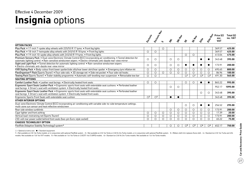### **Insignia** options Effective 4 December 2009

|                                                                                                                                                                                                                                           | Erclassic Map           |                  |                     |            |         |                     |                     |                         |                         |                   |                         |
|-------------------------------------------------------------------------------------------------------------------------------------------------------------------------------------------------------------------------------------------|-------------------------|------------------|---------------------|------------|---------|---------------------|---------------------|-------------------------|-------------------------|-------------------|-------------------------|
|                                                                                                                                                                                                                                           |                         |                  |                     |            |         |                     |                     |                         |                         | Price (£)<br>exc. | Total $(E)$<br>inc. VAT |
|                                                                                                                                                                                                                                           | Exclusive               | ທ                | $\dot{\mathcal{S}}$ | SRI-Mal    | ぷ       | <b>SEMB</b>         | Eife                | Elite Nat               | <b>VAT</b>              |                   |                         |
| <b>OPTION PACKS</b>                                                                                                                                                                                                                       |                         |                  |                     |            |         |                     |                     |                         |                         |                   |                         |
| Plus Pack . 17-inch 7-spoke alloy wheels with 225/55 R 17 tyres . Front fog lights                                                                                                                                                        |                         |                  | O                   |            |         |                     |                     |                         |                         | 369.57            | 425.00                  |
| Plus Pack • 18-inch 7-twinspoke alloy wheels with 245/45 R 18 tyres • Front fog lights                                                                                                                                                    | $\circ$                 | $\circ$          |                     |            |         |                     |                     |                         |                         | 369.57            | 425.00                  |
| Plus Pack . 19-inch 10-spoke alloy wheels with 245/40 R 19 tyres . Front fog lights                                                                                                                                                       |                         |                  |                     |            |         | $\circ$             | $\circ$             |                         |                         | 413.04            | 475.00                  |
| Premium Sensory Pack • Dual-zone Electronic Climate Control (ECC) incorporating air conditioning • Tunnel detection for<br>automatic lighting control • Rain-sensitive windscreen wipers • Electro-chromatic anti-dazzle rear-view mirror | $\bigcirc$              | $\circ$          |                     | $\circ$    | $\circ$ |                     |                     |                         |                         | 343.48            | 395.00                  |
| Sight and Light Pack • Tunnel detection for automatic lighting control • Rain-sensitive windscreen wipers<br>• Electro-chromatic anti-dazzle rear-view mirror                                                                             | $\circ$                 | $\circ$          |                     | $\circ$    | $\circ$ |                     |                     |                         | $\bullet$               | 173.91            | 200.00                  |
| VXR Styling Pack • Body-colour front lower spoiler/side sills/rear lower skirt/rear spoiler • Emergency tyre inflation kit                                                                                                                | $\circ$                 | $\circ$          |                     | $\circ$    | $\circ$ | $\circ$             | $\circ$             | $\circ$                 | $\circ$                 | 695.65            | 800.00                  |
| FlexOrganiser® Pack (Sports Tourer) • Four side rails • 3D storage net • Side net pocket • Four side rail hooks                                                                                                                           | $\circ$                 | $\circ$          | O                   | $\circ$    | $\circ$ | $\circ$             | $\circ$             | $\circ$                 | $\circ$                 | 86.96             | 100.00                  |
| Towing Pack (Sports Tourer) • Trailer stability programme • Automatic self-levelling rear suspension • Retractable tow bar                                                                                                                | $\circ$                 | $\circ$          |                     |            |         | O <sup>1</sup>      | O <sup>1</sup>      | $\bigcirc$ <sup>2</sup> | $\bigcirc$ <sup>2</sup> | 491.30            | 565.00                  |
| <b>SEATING OPTIONS</b>                                                                                                                                                                                                                    |                         |                  |                     |            |         |                     |                     |                         |                         |                   |                         |
| Comfort Leather Pack . Leather seat facings . Electrically heated front seats                                                                                                                                                             | $\circ$                 | О                |                     |            |         | $\circ$             | $\circ$             |                         |                         | 865.22            | 995.00                  |
| Ergonomic Sport Seats Leather Pack . Ergonomic sports front seats with extendable seat cushions . Perforated leather<br>seat facings . Driver's seat with ventilation system . Electrically heated front seats                            |                         |                  |                     | $\circ$    | $\circ$ |                     |                     |                         |                         | 952.17            | 1095.00                 |
| Ergonomic Sport Seats Leather Pack . Ergonomic sports front seats with extendable seat cushions . Perforated leather<br>seat facings . Driver's seat with ventilation system . Electrically heated front seats                            |                         |                  |                     |            |         |                     |                     | $\circ$                 | $\circ$                 | 343.48            | 395.00                  |
| Ergonomic Sports Front Seats with extendable seat cushion                                                                                                                                                                                 | $\bigcirc$ <sup>3</sup> | $\overline{O^3}$ |                     | $\bullet$  | ●       |                     |                     |                         |                         | 343.48            | 395.00                  |
| <b>OTHER INTERIOR OPTIONS</b>                                                                                                                                                                                                             |                         |                  |                     |            |         |                     |                     |                         |                         |                   |                         |
| Dual-zone Electronic Climate Control (ECC) incorporating air conditioning with variable side-to-side temperature settings,<br>multi-zone sun sensor and heat reflective windscreen                                                        |                         |                  |                     |            |         | $\circ$             | $\circ$             |                         | $\bullet$               | 256.52            | 295.00                  |
| Rear side window sunblinds                                                                                                                                                                                                                |                         |                  |                     | $\circ$    | $\circ$ | $\circ$             | $\circ$             | $\circ$                 | $\circ$                 | 173.91            | 200.00                  |
| Cigar lighter and front ashtray                                                                                                                                                                                                           | $\circ$                 | $\circ$          | O                   | $\circ$    | $\circ$ | O                   | $\circ$             | $\circ$                 | $\circ$                 | 17.39             | 20.00                   |
| Vertical load-restraining net (Sports Tourer)                                                                                                                                                                                             | $\circ$                 | $\circ$          | $\circ$             | $\circ$    | $\circ$ | $\circ$             | $\circ$             | $\circ$                 | $\circ$                 | 173.91            | 200.00                  |
| 230-volt rear power outlet behind front seats (two-pin Euro-style socket)                                                                                                                                                                 | $\circ$                 | ∩                | $\circ$             | $\bigcirc$ | $\circ$ | $\bigcirc$          | $\circ$             | $\bigcirc$              | ◯                       | 65.22             | 75.00                   |
| <b>CHASSIS TECHNOLOGY OPTION</b>                                                                                                                                                                                                          |                         |                  |                     |            |         |                     |                     |                         |                         |                   |                         |
| FlexRide (Adaptive Stability Technology) system <sup>4</sup>                                                                                                                                                                              |                         |                  |                     | $\circ$    | $\circ$ | $\circlearrowright$ | $\circlearrowright$ | $\circ$ <sup>6</sup>    | $\circ$ <sup>6</sup>    | 652.17            | 750.00                  |

 $\bigcirc$  = Optional at extra cost.  $\bigcirc$  = Standard equipment.

1 = Not available on 2.0i 16v Turbo models, or in conjunction with optional FlexRide system. 2 = Not available on 2.0i 16v Turbo or 2.8i V6 24v Turbo models, or in conjunction with optional FlexRide system 3 = Ribbon cloth models. Not available on 1.8i 16v VVT models. 5 = Not available on 1.6i 16v Turbo or 2.0CDTi 16v (130PS) models. 6 = Standard on 2.8i V6 24v Turbo models. Not available on 1.6i 16v Turbo models.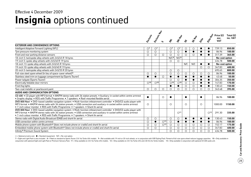### **Insignia** options continued Effective 4 December 2009

|                                                                                                                                                                                                                                                                                                                                            | Erclassic      | Erclasiv May   | ທ                        | $\dot{\mathcal{S}}$      | SRI-NaV          | sy         | <b>SETRA</b> | <b>Eife</b> | Elite Nat       | Price $(E)$<br>exc.<br><b>VAT</b> | Total $(E)$<br>inc. VAT |
|--------------------------------------------------------------------------------------------------------------------------------------------------------------------------------------------------------------------------------------------------------------------------------------------------------------------------------------------|----------------|----------------|--------------------------|--------------------------|------------------|------------|--------------|-------------|-----------------|-----------------------------------|-------------------------|
| <b>EXTERIOR AND CONVENIENCE OPTIONS</b>                                                                                                                                                                                                                                                                                                    |                |                |                          |                          |                  |            |              |             |                 |                                   |                         |
| Intelligent Adaptive Forward Lighting (AFL)                                                                                                                                                                                                                                                                                                | O <sup>7</sup> | O <sup>7</sup> |                          | O <sup>7</sup>           | O <sup>7</sup>   | $\circ$    | O            |             | $\bullet$       | 739.13                            | 850.00                  |
| Tyre pressure monitoring system                                                                                                                                                                                                                                                                                                            | $\circ$        | $\circ$        |                          | $\circ$                  | $\circ$          | $\bullet$  | $\bullet$    | $\bullet$   | $\bullet$       | 86.96                             | 100.00                  |
| Front and rear parking distance sensors                                                                                                                                                                                                                                                                                                    | $\circ$        | $\circ$        | $\circ$                  | $\circ$                  | $\bigcirc$       | $\bigcirc$ | $\circ$      | $\bullet$   |                 | 317.39                            | 365.00                  |
| 18-inch 5-twinspoke alloy wheels with 245/45 R 18 tyres                                                                                                                                                                                                                                                                                    |                |                |                          | N/C <sup>8</sup>         | N/C <sup>8</sup> |            |              |             |                 | No-cost option                    |                         |
| 19-inch 5-spoke alloy wheels with 245/40 R 19 tyres                                                                                                                                                                                                                                                                                        |                |                |                          | $\circ$                  | $\circ$          |            |              |             |                 | 434.78                            | 500.00                  |
| 18-inch 13-spoke alloy wheels with 245/45 R 18 tyres                                                                                                                                                                                                                                                                                       |                |                |                          |                          |                  | N/C        | N/C          | $\bullet$   | $\bullet$       | No-cost option                    |                         |
| 19-inch 10-spoke alloy wheels with 245/40 R 19 tyres                                                                                                                                                                                                                                                                                       |                |                |                          |                          |                  |            |              | $\circ$     | $\circ$         | 347.83                            | 400.00                  |
| 20-inch 5-twinspoke alloy wheels with 245/35 R 20 tyres                                                                                                                                                                                                                                                                                    |                |                |                          | $\circ$                  | $\circ$          |            |              |             |                 | 695.65                            | 800.00                  |
| Full-size steel spare wheel (in lieu of space-saver wheel) 9                                                                                                                                                                                                                                                                               | $\circ$        | $\circ$        |                          | $\circ$                  | $\circ$          | $\circ$    | $\circ$      | $\circ$     | $\circ$         | 86.96                             | 100.00                  |
| Stainless steel trim on luggage compartment lip (Sports Tourer)                                                                                                                                                                                                                                                                            | $\bullet$      |                | $\circ$                  | $\bullet$                | $\bullet$        | $\bullet$  | $\bullet$    | $\bullet$   |                 | 43.48                             | 50.00                   |
| Power tailgate (Sports Tourer)                                                                                                                                                                                                                                                                                                             |                |                |                          | $\circ$                  | $\circ$          | $\bullet$  | $\bullet$    | $\bullet$   | $\bullet$       | 304.35                            | 350.00                  |
| Electrically foldable door mirrors                                                                                                                                                                                                                                                                                                         | $\bigcirc$ 10  | $\bigcirc$ 10  |                          | $\bigcirc$ <sup>10</sup> | O <sup>10</sup>  | $\circ$    | $\circ$      | $\bullet$   | $\bullet$       | 147.83                            | 170.00                  |
| Front fog lights                                                                                                                                                                                                                                                                                                                           |                |                |                          | $\bullet$                | $\bullet$        | $\circ$    | $\circ$      | $\bullet$   | $\bullet$       | 130.43                            | 150.00                  |
| Two-coat metallic or pearlescent paint                                                                                                                                                                                                                                                                                                     | $\circ$        | $\circ$        | $\circ$                  | $\bigcirc$               | $\circ$          | $\circ$    | $\circ$      | $\circ$     | $\circ$         | 343.48                            | 395.00                  |
| AUDIO AND COMMUNICATION OPTIONS                                                                                                                                                                                                                                                                                                            |                |                |                          |                          |                  |            |              |             |                 |                                   |                         |
| CD 400 . CD player with MP3 format . AM/FM stereo radio with 36 station presets . Auxiliary-in socket within centre armrest<br>• Graphic display • RDS with Traffic Programme • 7 speakers • Roof-mounted flexible aerial                                                                                                                  | $\bullet$      |                | $\circ$                  | $\bullet$                |                  | $\bullet$  |              | $\bullet$   |                 | 86.96                             | 100.00                  |
| DVD 800 Navi . DVD-based satellite navigation system . Multi-function infotainment controller . DVD/CD audio player with<br>MP3 format • AM/FM stereo radio with 36 station presets • USB connection and auxiliary-in socket within centre armrest<br>• 7-inch colour monitor • RDS with Traffic Programme • 7 speakers • Shark fin aerial | $\circ$        |                |                          | $\circ$                  |                  | $\bigcirc$ |              | $\circ$     |                 | 1000.00                           | 1150.00                 |
| DVD 800 Navi . DVD-based satellite navigation system . Multi-function infotainment controller . DVD/CD audio player with<br>MP3 format • AM/FM stereo radio with 36 station presets • USB connection and auxiliary-in socket within centre armrest<br>• 7-inch colour monitor • RDS with Traffic Programme • 7 speakers • Shark fin aerial |                |                |                          |                          | O <sup>11</sup>  |            |              |             | O <sup>12</sup> | 291.30                            | 335.00                  |
| Stereo radio with Digital Audio Broadcast (DAB) and shark fin aerial                                                                                                                                                                                                                                                                       | $\circ$        | $\circ$        |                          | $\circ$                  | $\circ$          | $\bullet$  | $\bullet$    | $\bullet$   | $\bullet$       | 130.43                            | 150.00                  |
| USB connection within centre armrest                                                                                                                                                                                                                                                                                                       | $\bigcirc$     | $\bullet$      | O <sup>13</sup>          | $\circ$                  | $\bullet$        | $\bullet$  | $\bullet$    | $\bullet$   | $\bullet$       | 86.96                             | 100.00                  |
| Mobile phone system with Bluetooth® (does not include phone or cradle) and shark fin aerial                                                                                                                                                                                                                                                | $\circ$        | $\circ$        | $\bigcirc$ <sup>13</sup> | $\circ$                  | $\circ$          | $\circ$    | $\circ$      | $\circ$     | $\circ$         | 152.17                            | 175.00                  |
| Embedded mobile phone system with Bluetooth® (does not include phone or cradle) and shark fin aerial                                                                                                                                                                                                                                       | $\bigcirc$     | $\bigcirc$     |                          | $\bigcirc$               | $\circ$          | $\bigcirc$ | $\circ$      | $\circ$     | $\circ$         | 347.83                            | 400.00                  |
| Infinity® Premium Sound System                                                                                                                                                                                                                                                                                                             |                |                |                          | $\circ$                  | $\circ$          | $\circ$    | $\circ$      | $\circ$     | $\bigcirc$      | 434.78                            | 500.00                  |

 $O =$  Optional at extra cost.  $\bullet =$  Standard equipment. N/C = No-cost option.

7 = Sight and Light Pack is also included. 8 = Fitted as standard to Sports Tourer 2.0i 16v Turbo 4X4 models. 9 = Not available with 19-inch or 20-inch wheels, or in conjunction with VXR Styling Pack. Fitment of full-size conjunction with optional Sight and Light Pack or Premium Sensory Pack. 11 = Only available on 2.0i 16y Turbo 4X4 models. 12 = Only available on 2.0i 16y Turbo 4X4 models. 12 = Only available on 2.0i 16y Turbo 4X4 and 2.8i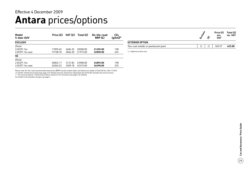### **Antara** prices/options Effective 4 December 2009

| Model<br>5-door SUV | Price $(E)$ | VAT $(f)$ | Total $(E)$ | On-the-road<br>RRP(E) | CO <sub>2</sub><br>$(q/km)^*$ |
|---------------------|-------------|-----------|-------------|-----------------------|-------------------------------|
| <b>EXCLUSIV</b>     |             |           |             |                       |                               |
| Diesel              |             |           |             |                       |                               |
| 2.0CDTi 16v         | 17895.65    | 2684.35   | 20580.00    | 21495.00              | 198                           |
| 2.0CDTi 16y auto    | 19108.70    | 2866.30   | 21975.00    | 22890.00              | 225                           |
| <b>SE</b>           |             |           |             |                       |                               |
| Diesel              |             |           |             |                       |                               |
| 2.0CDTi 16v         | 20852.17    | 3127.83   | 23980.00    | 24895.00              | 198                           |
| 2.0CDTi 16y auto    | 22065.22    | 3309.78   | 25375.00    | 26290.00              | 225                           |

|                                        |  |   | Price $(E)$ Total $(E)$<br>exc.<br><b>VAT</b> | inc. VAT |
|----------------------------------------|--|---|-----------------------------------------------|----------|
| <b>EXTERIOR OPTION</b>                 |  |   |                                               |          |
| Two-coat metallic or pearlescent paint |  | Ω | 369.57                                        | 425.00   |
|                                        |  |   |                                               |          |

 $O =$  Optional at extra cost.

Please note: On-the-road recommended retail prices (RRP) include number plates and delivery to retailer of £645.00 (inc. £84.13 VAT), 12 months' Vehicle Excise Duty (see page 2 for details) and new vehicle first registration fee of £55.00. Excludes fuel and insurance. \* = CO<sub>2</sub> emission figures. Vehicle Excise Duty is based on CO<sub>2</sub> emissions (see page 2 for details).<br>For benefit in kind taxation charges see page 3.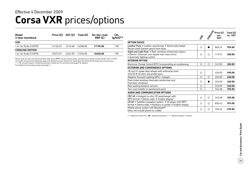### **Corsa VXR** prices/options Effective 4 December 2009

| Model<br>3-door hatchback | Price $(E)$ VAT $(E)$ |         | Total (£) | On-the-road<br>RRP(E) | CO <sub>2</sub><br>$(g/km)**$ |
|---------------------------|-----------------------|---------|-----------|-----------------------|-------------------------------|
| <b>VXR</b>                |                       |         |           |                       |                               |
| 1.6i 16v Turbo (192PS)    | 14156.52              | 2123.48 | 16280.00  | 17195.00              | 190                           |
| <b>VXRACING EDITION</b>   |                       |         |           |                       |                               |
| 1.6i 16y Turbo (192PS)    | 15073.91              | 2261.09 | 17335.00  | 18250.00              | 190                           |

Please note: On-the-road recommended retail prices (RRP) include number plates and delivery to retailer of £645.00 (inc. £84.13 VAT), 12 months' Vehicle Excise Duty (see page 2 for details) and new vehicle first registration fee of £55.00. Excludes fuel and insurance. \*\* = CO<sub>2</sub> emission figures. Vehicle Excise Duty is based on CO<sub>2</sub> emissions (see page 2 for details).

For benefit in kind taxation charges see page 3.

|                                                                                                                                             |                      |        | Price $(E)$        | Total (£) |  |
|---------------------------------------------------------------------------------------------------------------------------------------------|----------------------|--------|--------------------|-----------|--|
|                                                                                                                                             | $\frac{1}{\sqrt{2}}$ | Hacita | exc.<br><b>VAT</b> | inc. VAT  |  |
| <b>OPTION PACKS</b>                                                                                                                         |                      |        |                    |           |  |
| Leather Pack • Leather seat facings • Electrically heated<br>Recaro shell-backed sports front seats                                         | О                    |        | 865.22             | 995.00    |  |
| Sight and Light Pack . Rain-sensitive windscreen wipers<br>• Electro-chromatic anti-dazzle rear-view mirror<br>• Automatic lighting control | ∩                    | О      | 173.91             | 200.00    |  |
| <b>INTERIOR OPTION</b>                                                                                                                      |                      |        |                    |           |  |
| Electronic Climate Control (ECC) incorporating air conditioning                                                                             | Ω                    | Ω      | 247.83             | 285.00    |  |
| <b>EXTERIOR AND CONVENIENCE OPTIONS</b>                                                                                                     |                      |        |                    |           |  |
| 18-inch V-spoke alloy wheels with anthracite inner,<br>225/35 R 18 ultra-low profile tyres                                                  | Ω                    |        | 426.09             | 490.00    |  |
| Adaptive Forward Lighting (AFL) - halogen                                                                                                   | O                    | О      | 226.09             | 260.00    |  |
| Dark-tinted windows (excludes windscreen and<br>front door windows)                                                                         | Ω                    |        | 226.09             | 260.00    |  |
| Rear parking distance sensors                                                                                                               | Ο                    |        | 226.09             | 260.00    |  |
| Two-coat metallic or pearlescent paint                                                                                                      | O                    |        | 343.48             | 395.00    |  |
| AUDIO AND COMMUNICATION OPTIONS                                                                                                             |                      |        |                    |           |  |
| CDC 40 . Integral six-disc CD autochanger with<br>MP3 format • Stereo radio • Graphic display <sup>1</sup>                                  | О                    | О      | 343.48             | 395.00    |  |
| CD 60 . Satellite navigation system . CD player with MP3<br>format · Stereo radio · Auxiliary-in socket · Graphic display                   | O                    | Ω      | 830.43             | 955.00    |  |
| Mobile phone system with Bluetooth <sup>®</sup><br>(does not include phone or cradle)                                                       | Ω                    | Ο      | 256.52             | 295.00    |  |

 $O =$  Optional at extra cost.  $\bullet =$  Standard equipment. 1 = Deletes auxiliary-in socket.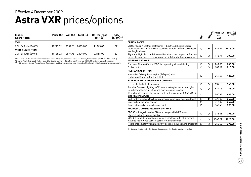### **Astra VXR** prices/options Effective 4 December 2009

| Model<br><b>Sport Hatch</b> | Price $(E)$ VAT $(E)$ |         | Total (£) | On-the-road<br>RRP(E) | $\mathsf{CO_2}$<br>$(g/km)**$ |
|-----------------------------|-----------------------|---------|-----------|-----------------------|-------------------------------|
| <b>VXR</b>                  |                       |         |           |                       |                               |
| 2.0i 16v Turbo (240PS)      | 18217.39              | 2732.61 | 20950.00  | 21865.00              | 221                           |
| <b>VXRACING EDITION</b>     |                       |         |           |                       |                               |
| 2.0i 16y Turbo (240PS)      | 1916522               | 2874.78 | 22040.00  | 22955.00              | 221                           |

Please note: On-the-road recommended retail prices (RRP) include number plates and delivery to retailer of £645.00 (inc. £84.13 VAT), 12 months' Vehicle Excise Duty (see page 2 for details) and new vehicle first registration fee of £55.00. Excludes fuel and insurance.  $^{\star\star}$  = CO<sub>2</sub> emission figures. Vehicle Excise Duty is based on CO<sub>2</sub> emissions (see page 2 for details). For benefit in kind taxation charges see page 3.

|                                                                                                                                                                      | $\mathcal{F}_\mathcal{L}$ | <b>Wasci</b> sta | Price $(E)$<br>exc.<br><b>VAT</b> | Total (£)<br>inc. VAT |
|----------------------------------------------------------------------------------------------------------------------------------------------------------------------|---------------------------|------------------|-----------------------------------|-----------------------|
| <b>OPTION PACKS</b>                                                                                                                                                  |                           |                  |                                   |                       |
| Leather Pack • Leather seat facings • Electrically heated Recaro<br>sports front seats . Centre rear seat head restraint . Front passenger's<br>seat height adjuster | ◯                         |                  | 882.61                            | 1015.00               |
| Sight and Light Pack • Rain-sensitive windscreen wipers • Electro-<br>chromatic anti-dazzle rear-view mirror • Automatic lighting control                            | О                         | O                | 173.91                            | 200.00                |
| <b>INTERIOR OPTIONS</b>                                                                                                                                              |                           |                  |                                   |                       |
| Electronic Climate Control (ECC) incorporating air conditioning                                                                                                      | О                         | $\circ$          | 247.83                            | 285.00                |
| Cruise control                                                                                                                                                       | ◯                         | O                | 182.61                            | 210.00                |
| <b>MECHANICAL OPTION</b>                                                                                                                                             |                           |                  |                                   |                       |
| Interactive Driving System-plus (IDS-plus) with<br>Continuous Damping Control (CDC)                                                                                  | O                         |                  | 369.57                            | 425.00                |
| <b>EXTERIOR AND CONVENIENCE OPTIONS</b>                                                                                                                              |                           |                  |                                   |                       |
| Electrically foldable door mirrors                                                                                                                                   | $\circ$                   | $\circ$          | 139.13                            | 160.00                |
| Adaptive Forward Lighting (AFL) incorporating bi-xenon headlights<br>with dynamic beam levelling and high-pressure washers                                           | $\bigcirc$                | $\bigcirc$       | 639.13                            | 735.00                |
| 19-inch multi-spoke alloy wheels with anthracite inner, 235/35 R 19<br>ultra-low profile tyres                                                                       | Ω                         |                  | 560.87                            | 645.00                |
| Dark-tinted windows (excludes windscreen and front door windows)                                                                                                     | $\bigcirc$                | ●                | 226.09                            | 260.00                |
| Rear parking distance sensor                                                                                                                                         | O                         |                  | 317.39                            | 365.00                |
| Two-coat metallic or pearlescent paint                                                                                                                               | $\circ$                   |                  | 343.48                            | 395.00                |
| AUDIO AND COMMUNICATION OPTIONS                                                                                                                                      |                           |                  |                                   |                       |
| CDC 40 . Integral six-disc CD autochanger with MP3 format<br>• Stereo radio • Graphic display <sup>1</sup>                                                           | O                         | $\bigcirc$       | 343.48                            | 395.00                |
| CD 70 • Satellite navigation system • CD player with MP3 format<br>· Stereo radio · Auxiliary-in socket · Colour monitor                                             | O                         | O                | 1065.22                           | 1225.00               |
| Mobile phone system with Bluetooth <sup>®</sup> (does not include phone or cradle)                                                                                   | Ο                         | Ο                | 256.52                            | 295.00                |

 $\bigcirc$  = Optional at extra cost.  $\bigcirc$  = Standard equipment. 1 = Deletes auxiliary-in socket.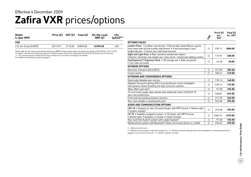### **Zafira VXR** prices/options Effective 4 December 2009

| Model<br>5-door MPV                                                                                                                                                                                                                                                                                                                                                                                                                                               |          |         | Price $(E)$ VAT $(E)$ Total $(E)$ | On-the-road<br>RRP(E) | CO <sub>2</sub><br>$(q/km)**$ |
|-------------------------------------------------------------------------------------------------------------------------------------------------------------------------------------------------------------------------------------------------------------------------------------------------------------------------------------------------------------------------------------------------------------------------------------------------------------------|----------|---------|-----------------------------------|-----------------------|-------------------------------|
| <b>VXR</b>                                                                                                                                                                                                                                                                                                                                                                                                                                                        |          |         |                                   |                       |                               |
| 2.0i 16y Turbo (240PS)                                                                                                                                                                                                                                                                                                                                                                                                                                            | 20773.91 | 3116.09 | 23890.00                          | 24995.00              | 230                           |
| Please note: On-the-road recommended retail prices (RRP) include number plates and delivery to retailer of £645.00 (inc. £84.13 VAT),<br>12 months' Vehicle Excise Duty (see page 2 for details) and new vehicle first registration fee of £55.00. Excludes fuel and insurance.<br>** = CO <sub>2</sub> emission figures. Vehicle Excise Duty is based on CO <sub>2</sub> emissions (see page 2 for details).<br>For benefit in kind taxation charges see page 3. |          |         |                                   |                       |                               |

**options Packs** Leather Pack<sup>1</sup> • Leather seat facings • Electrically heated Recaro sports front seats with tilt and lumbar adjustment • Front passenger's seat 939.13 **1080.00** height adjuster • Centre rear seat head restraint Sight and Light Pack • Rain-sensitive windscreen wipers • Electro-chromatic anti-dazzle rear-view mirror • Automatic lighting control 173.91 **200.00** FlexOrganiser® Organiser Pack • 3D storage net • Side net pocket **FIEXUTGanISEr® UrganISER Pack •** 3D storage net • Side net pocket Text Text 43.48 **50.00**<br>• Four side rail hooks **Interior options** Electronic Climate Control (ECC) 247.83 **285.00** Cruise control 182.61 **210.00 Exterior and convenience options** Electrically foldable door mirrors 139.13 **160.00** Adaptive Forward Lighting (AFL) incorporating bi-xenon headlights Adaptive Forward Lighting (AFL) incorporating bi-xenon neadlights<br>with dynamic beam levelling and high-pressure washers **639.13 735.00** Alloy-effect roof rails2 91.30 **105.00** 19-inch multi-spoke alloy wheels with anthracite inner, 235/35 R 19 ultra-low profile tyres by wheels with anthracite inner, 235/35 R 19<br>ultra-low profile tyres **645.00** Front and rear parking distance sensors 317.39 **365.00** Two-coat metallic or pearlescent paint 343.48 **395.00 Audio and communication options** CDC 40 • Integral six-disc CD autochanger with MP3 format • Stereo radio • Graphic display<sup>3</sup> 343.48 **395.00** CD 70 • Satellite navigation system • CD player with MP3 format CD 70 • Satellite navigation system • CD player with MP3 format<br>• Stereo radio • Auxiliary-in socket • Colour monitor **1066.00 1065.22 1225.00**  $z^2$ **Price (£) Total (£) exc. VAT inc. VAT**

 $O =$  Optional at extra cost.

1 = Deletes front passenger's underseat storage tray. 2 = Must be used with separate base carrier (available as a Vauxhall accessory) if luggage is to be carried on the roof.  $3$  = Deletes auxiliary-in socket.

Rear seat Twin Audio<sup>®</sup> system with single headset<sup>3</sup> 91.30 **105.00** 91.30 **105.00** Mobile phone system with Bluetooth<sup>®</sup> (does not include phone or cradle)  $\Box$  256.52 **295.00**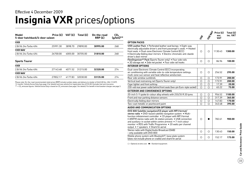### **Insignia VXR** prices/options Effective 4 December 2009

| Price (£) | VAT (£)                        | Total $(E)$ | On-the-road<br>RRP(E) | CO <sub>2</sub><br>$(g/km)**$ |
|-----------|--------------------------------|-------------|-----------------------|-------------------------------|
|           |                                |             |                       |                               |
| 25991.30  | 3898.70                        | 29890.00    | 30995.00              | 268                           |
|           |                                |             |                       |                               |
| 26700.00  | 4005.00                        | 30705.00    | 31810.00              | 268                           |
|           |                                |             |                       |                               |
|           |                                |             |                       |                               |
| 27143.48  | 4071.52                        | 31215.00    | 32320.00              | 274                           |
|           |                                |             |                       |                               |
| 27852.17  | 4177.83                        | 32030.00    | 33135.00              | 274                           |
|           | 5-door hatchback/4-door saloon |             |                       |                               |

Please note: On-the-road recommended retail prices (RRP) include number plates and delivery to retailer of £645.00 (inc. £84.13 VAT), 12 months' Vehicle Excise Duty (see page 2 for details) and new vehicle first registration fee of £55.00. Excludes fuel and insurance.

 $^{\star\star}$  = CO<sub>2</sub> emission figures. Vehicle Excise Duty is based on CO<sub>2</sub> emissions (see page 2 for details). For benefit in kind taxation charges see page 3.

|                                                                                                                                                                                                                                                                                                                                                                                                                                     | $\boldsymbol{\hat{z}}$ | <b>STRAND</b> | Price (£)<br>exc.<br><b>VAT</b> | Total $(E)$<br>inc. VAT |
|-------------------------------------------------------------------------------------------------------------------------------------------------------------------------------------------------------------------------------------------------------------------------------------------------------------------------------------------------------------------------------------------------------------------------------------|------------------------|---------------|---------------------------------|-------------------------|
| <b>OPTION PACKS</b>                                                                                                                                                                                                                                                                                                                                                                                                                 |                        |               |                                 |                         |
| VXR Leather Pack • Perforated leather seat facings • Eight-way<br>electrically adjustable driver's and front passenger's seats . Heated<br>front seats • Dual-zone Electronic Climate Control (ECC)<br>• Electrically folding door mirrors • Electro-chromatic anti-dazzle<br>driver's door mirror                                                                                                                                  | O                      | $\bigcirc$    | 1130.43                         | 1300.00                 |
| FlexOrganiser <sup>®</sup> Pack (Sports Tourer only) . Four side rails<br>• 3D storage net • Side net pocket • Four side rail hooks                                                                                                                                                                                                                                                                                                 | $\circ$                | $\circ$       | 86.96                           | 100.00                  |
| <b>INTERIOR OPTIONS</b>                                                                                                                                                                                                                                                                                                                                                                                                             |                        |               |                                 |                         |
| Dual-zone Electronic Climate Control (ECC) incorporating<br>air conditioning with variable side-to-side temperature settings,<br>multi-zone sun sensor and heat reflective windscreen                                                                                                                                                                                                                                               | $\circ$                | $\bigcirc$    | 256.52                          | 295.00                  |
| Rear side window sunblinds                                                                                                                                                                                                                                                                                                                                                                                                          | O                      | O             | 173.91                          | 200.00                  |
| Vertical load restraining net (Sports Tourer only)                                                                                                                                                                                                                                                                                                                                                                                  | $\circ$                | $\circ$       | 173.91                          | 200.00                  |
| Cigar lighter and front ashtray                                                                                                                                                                                                                                                                                                                                                                                                     | $\circ$                | $\circ$       | 17.39                           | 20.00                   |
| 230-volt rear power outlet behind front seats (two-pin Euro-style socket)                                                                                                                                                                                                                                                                                                                                                           | $\circ$                | $\bigcirc$    | 65.22                           | 75.00                   |
| <b>EXTERIOR AND CONVENIENCE OPTIONS</b>                                                                                                                                                                                                                                                                                                                                                                                             |                        |               |                                 |                         |
| 20-inch 5-Y spoke bi-colour alloy wheels with 255/35 R 20 tyres                                                                                                                                                                                                                                                                                                                                                                     | О                      | $\circ$       | 956.52                          | 1100.00                 |
| Front and rear parking distance sensors                                                                                                                                                                                                                                                                                                                                                                                             | O                      | $\circ$       | 317.39                          | 365.00                  |
| Electrically folding door mirrors                                                                                                                                                                                                                                                                                                                                                                                                   | $\circ$                | O             | 147.83                          | 170.00                  |
| Two-coat metallic or pearlescent paint                                                                                                                                                                                                                                                                                                                                                                                              | $\bigcirc$             | $\bigcirc$    | 343.48                          | 395.00                  |
| AUDIO AND COMMUNICATION OPTIONS                                                                                                                                                                                                                                                                                                                                                                                                     |                        |               |                                 |                         |
| DVD 800 Satellite navigation/CD player with MP3 format/<br>stereo radio . DVD-based satellite navigation system . Multi-<br>function infotainment controller . CD player with MP3 format<br>• AM/FM stereo radio with 36 station presets • USB connection<br>and auxiliary-in socket within centre armrest • 7-inch colour<br>monitor • RDS with Traffic Programme • 20 watts per channel<br>output • 7 speakers • Shark fin aerial | Ω                      |               | 782.61                          | 900.00                  |
| Stereo radio with Digital Audio Broadcast (DAB)<br>- only available with DVD 800                                                                                                                                                                                                                                                                                                                                                    | $\circ$                | $\circ$       | 130.43                          | 150.00                  |
| Mobile phone system with Bluetooth <sup>®</sup> , base plate system<br>(does not include phone or cradle) and shark fin aerial                                                                                                                                                                                                                                                                                                      | О                      | O             | 152.17                          | 175.00                  |

 $O =$  Optional at extra cost.  $\bullet =$  Standard equipment.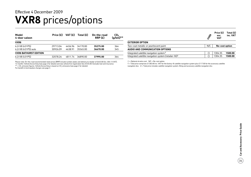### **VXR8** prices/options Effective 4 December 2009

| Model<br>4-door saloon       | Price $(E)$ | VAT (£) | Total $(E)$ | On-the-road<br>RRP(E) | CO <sub>2</sub><br>$(g/km)**$ |
|------------------------------|-------------|---------|-------------|-----------------------|-------------------------------|
| VXR8                         |             |         |             |                       |                               |
| 6.2i V8 (431PS)              | 29713.04    | 4456.96 | 34170.00    | 35275.00              | 364                           |
| 6.2i V8 (431PS) auto         | 30926.09    | 4638.91 | 35565.00    | 36670.00              | 345                           |
| <b>VXR8 BATHURST EDITION</b> |             |         |             |                       |                               |
| 6.2i V8 (431PS)              | 32078.26    | 481174  | 36890.00    | 37995.00              | 364                           |

Please note: On-the-road recommended retail prices (RRP) include number plates and delivery to retailer of £645.00 (inc. £84.13 VAT), 12 months' Vehicle Excise Duty (see page 2 for details) and new vehicle first registration fee of £55.00. Excludes fuel and insurance.<br>\*\* = CO<sub>2</sub> emission figures. Vehicle Excise Duty is based on CO<sub>2</sub> emissions (see page For benefit in kind taxation charges see page 3.

|                                                                    | <b>A</b> BO | Price $(E)$<br>exc.<br><b>VAT</b> | Total $(E)$<br>inc. VAT |
|--------------------------------------------------------------------|-------------|-----------------------------------|-------------------------|
| <b>EXTERIOR OPTION</b>                                             |             |                                   |                         |
| Two-coat metallic or pearlescent paint                             | N/C         | No-cost option                    |                         |
| <b>AUDIO AND COMMUNICATION OPTIONS</b>                             |             |                                   |                         |
| Integrated satellite navigation system <sup>1</sup>                |             | 1304.35                           | 1500.00                 |
| Integrated satellite navigation system (retailer-fit) <sup>2</sup> |             | 1304.35                           | 1500.00                 |

 $O =$  Optional at extra cost.  $N/C = No$ -cost option.

1 = Total price comprises £1383.00 inc. VAT for the factory-fit satellite navigation system plus £117.00 for the accessory satellite navigation disc. 2 = Total price includes satellite navigation system, fitting and accessory satellite navigation disc.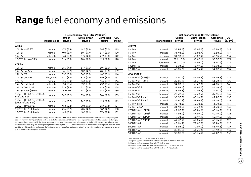## **Range** fuel economy and emissions

|                                                     | Fuel economy mpg (litres/100km) |              |             |                 |                 |  |  |
|-----------------------------------------------------|---------------------------------|--------------|-------------|-----------------|-----------------|--|--|
|                                                     |                                 | <b>Urban</b> | Extra-urban | <b>Combined</b> | CO <sub>2</sub> |  |  |
|                                                     | <b>Transmission</b>             | driving      | driving     | figure          | (g/km)          |  |  |
| <b>AGILA</b>                                        |                                 |              |             |                 |                 |  |  |
| 1.0i 12v ecoFLEX                                    | manual                          | 47.9 (5.9)   | 64.2(4.4)   | 56.5(5.0)       | 119             |  |  |
| 1.2i 16v                                            | manual                          | 40.9(6.9)    | 60.1(4.7)   | 51.4(5.5)       | 129             |  |  |
| 1.2i 16v                                            | automatic                       | 36.2(7.8)    | 57.6 (4.9)  | 47.9 (5.9)      | 142             |  |  |
| 1.3CDTi 16v ecoFLEX                                 | manual                          | 51.4 (5.5)   | 70.6 (4.0)  | 62.8(4.5)       | 120             |  |  |
| <b>CORSA</b>                                        |                                 |              |             |                 |                 |  |  |
| 1.0i 12v                                            | manual                          | 38.7(7.3)    | 61.4(4.6)   | 50.4(5.6)       | 134             |  |  |
| 1.2i 16y exc. SXi                                   | manual                          | 36.7(7.7)    | 60.1(4.7)   | 48.7 (5.8)      | 139             |  |  |
| 1.2i 16y SXi                                        | manual                          | 35.3(8.0)    | 56.5(5.0)   | 46.3(6.1)       | 146             |  |  |
| 1.2i 16y exc. SXi                                   | Easytronic                      | 37.2(7.6)    | 61.4(4.6)   | 49.6 (5.7)      | 137             |  |  |
| 1.4i 16v                                            | manual                          | 35.3(8.0)    | 56.5(5.0)   | 46.3(6.1)       | 146             |  |  |
| 1.4i 16y 3-dr hatch                                 | automatic                       | 33.2(8.5)    | 53.3(5.3)   | 43.5(6.5)       | 154             |  |  |
| 1.4i 16y 5-dr hatch                                 | automatic                       | 32.8(8.6)    | 52.3(5.4)   | 42.8(6.6)       | 158             |  |  |
| 1.6i 16v Turbo (150PS)                              | manual                          | 26.9 (10.5)  | 44.1(6.4)   | 35.8(7.9)       | 189             |  |  |
| 1.3CDTi 16v (75PS) ecoFLEX<br>Life/Club 3-dr        | manual                          | 54.3(5.2)    | 85.6(3.3)   | 70.6 (4.0)      | 105             |  |  |
| 1.3CDTi 16v (75PS) ecoFLEX<br>(exc. Life/Club 3-dr) | manual                          | 49.6 (5.7)   | 74.3 (3.8)  | 62.8(4.5)       | 119             |  |  |
| 1.3CDTi 16v (90PS)                                  | manual                          | 45.6(6.2)    | 70.6 (4.0)  | 58.9 (4.8)      | 127             |  |  |
| 1.7CDTi 16y 3-dr hatch                              | manual                          | 45.6(6.2)    | 70.6 (4.0)  | 58.9 (4.8)      | 130             |  |  |
| 1.7CDTi 16y 5-dr hatch                              | manual                          | 44.8 (6.3)   | 68.9(4.1)   | 57.6 (4.9)      | 132             |  |  |

The fuel consumption figures shown comply with EC directive 1999/100 to provide a realistic indication of fuel consumption by taking into account everyday driving conditions, such as cold starts, acceleration and braking. These figures take account of the vehicle's kerbweight, ascertained in accordance with the above regulation. Important: the results given relate to the particular vehicle tested. Variations in trim level and equipment may result in slightly higher fuel consumption and CO<sub>2</sub> emission levels than those quoted. Driving style, road and traffic conditions, vehicle mileage and standard of maintenance may also affect fuel consumption; therefore the results do not express or imply any guarantee of fuel consumption attainable.

|                                  | Fuel economy mpg (litres/100km) |             |             |                 |                 |  |  |
|----------------------------------|---------------------------------|-------------|-------------|-----------------|-----------------|--|--|
|                                  |                                 | Urban       | Extra-urban | <b>Combined</b> | CO <sub>2</sub> |  |  |
|                                  | <b>Transmission</b>             | driving     | driving     | figure          | (g/km)          |  |  |
| <b>MERIVA</b>                    |                                 |             |             |                 |                 |  |  |
| 1.4i 16v                         | manual                          | 34.9(8.1)   | 55.4(5.1)   | 45.6(6.2)       | 148             |  |  |
| 1.6i 16v                         | manual                          | 31.7(8.9)   | 52.3(5.4)   | 42.2(6.7)       | 159             |  |  |
| 1.6i 16v                         | Easytronic                      | 31.7(8.9)   | 52.3(5.4)   | 42.2 (6.7)      | 159             |  |  |
| 1.8i 16v                         | manual                          | 27.4 (10.3) | 50.4 (5.6)  | 38.7(7.3)       | 174             |  |  |
| 1.8i 16v                         | Easytronic                      | 28.0 (10.1) | 49.6 (5.7)  | 38.7(7.3)       | 174             |  |  |
| 1.3CDTi 16v                      | manual                          | 45.6(6.2)   | 65.7(4.3)   | 56.5(5.0)       | 134             |  |  |
| 1.7CDTi 16v                      | manual                          | 42.8(6.6)   | 64.2(4.4)   | 54.3(5.2)       | 139             |  |  |
| <b>NEW ASTRA*</b>                |                                 |             |             |                 |                 |  |  |
| 1.4i 16v VVT (87PS)**            | manual                          | 39.8(7.1)   | 61.4(4.6)   | 51.4(5.5)       | 129             |  |  |
| 1.4i 16v VVT (100PS)             | manual                          | 39.8(7.1)   | 61.4(4.6)   | 51.4(5.5)       | 129             |  |  |
| 1.6i 16v VVT1                    | manual                          | 34.0(8.3)   | 55.4(5.1)   | 44.8(6.3)       | 147             |  |  |
| 1.6i 16v VVT <sup>2</sup>        | manual                          | 33.6(8.4)   | 54.3(5.2)   | 44.1(6.4)       | 149             |  |  |
| 1.6i 16v VVT1                    | automatic                       | 28.8(9.8)   | 50.4(5.6)   | 39.8(7.1)       | 167             |  |  |
| 1.6i 16v VVT2                    | automatic                       | 28.5(9.9)   | 49.6 (5.7)  | 39.2 (7.2)      | 169             |  |  |
| 1.4i 16y VVT Turbo <sup>1</sup>  | manual                          | 36.2 (7.8)  | 60.1(4.7)   | 47.9 (5.9)      | 138             |  |  |
| 1.4i 16v VVT Turbo <sup>2</sup>  | manual                          | 35.8(7.9)   | 58.9 (4.8)  | 47.1 (6.0)      | 139             |  |  |
| 1.6i 16y Turbo 3                 | manual                          | 32.1 (8.8)  | 50.4(5.6)   | 41.5(6.8)       | 159             |  |  |
| 1.6i 16y Turbo <sup>4</sup>      | manual                          | 31.7(8.9)   | 50.4(5.6)   | 41.5(6.8)       | 160             |  |  |
| 1.7CDTi 16v (110PS)3             | manual                          | 49.6(5.7)   | 68.9(4.1)   | 60.1(4.7)       | 124             |  |  |
| 1.7CDTi 16v (110PS) 4            | manual                          | 49.6(5.7)   | 67.3(4.2)   | 60.1(4.7)       | 125             |  |  |
| 1.7CDTi 16v (125PS) <sup>3</sup> | manual                          | 49.6 (5.7)  | 68.9 (4.1)  | 60.1(4.7)       | 124             |  |  |
| 1.7CDTi 16v (125PS)4             | manual                          | 49.6 (5.7)  | 67.3(4.2)   | 60.1(4.7)       | 125             |  |  |
| 2.0CDTi 16v3                     | manual                          | 45.6(6.2)   | 72.4 (3.9)  | 58.9 (4.8)      | 126             |  |  |
| 2.0CDTi 16v <sup>4</sup>         | manual                          | 45.6(6.2)   | 70.6 (4.0)  | 58.9 (4.8)      | 127             |  |  |
| 2.0CDTi 16v3                     | automatic                       | 35.8(7.9)   | 61.4(4.6)   | 48.7 (5.8)      | 154             |  |  |
| 2.0CDTi 16v4                     | automatic                       | 35.8 (7.9)  | 60.1(4.7)   | 47.9 (5.9)      | 155             |  |  |

 $*$  = Provisional data.  $**$  = Not available at launch.

1 = Figures apply to vehicles fitted with wheels up to 18 inches in diameter.

2 = Figures apply to vehicles fitted with 19-inch wheels.

3 = Figures apply to vehicles fitted with wheels up to 17 inches in diameter.

4 = Figures apply to vehicles fitted with 18-inch or 19-inch wheels.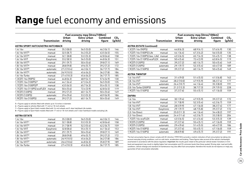## **Range** fuel economy and emissions

|            | <b>Urban</b>                                       | Extra-urban                                         | <b>Combined</b> | CO <sub>2</sub>                           |
|------------|----------------------------------------------------|-----------------------------------------------------|-----------------|-------------------------------------------|
|            |                                                    |                                                     |                 | (g/km)                                    |
|            |                                                    |                                                     |                 |                                           |
| manual     | 35.3(8.0)                                          | 56.5(5.0)                                           | 46.3(6.1)       | 146                                       |
| manual     | 32.5(8.7)                                          | 54.3(5.2)                                           | 43.5(6.5)       | 155                                       |
| manual     | 32.1(8.8)                                          | 53.3(5.3)                                           | 42.8(6.6)       | 158                                       |
| Easytronic | 33.2(8.5)                                          | 56.5(5.0)                                           | 44.8(6.3)       | 151                                       |
| manual     | 29.1 (9.7)                                         | 50.4(5.6)                                           | 39.8 (7.1)      | 169                                       |
| manual     | 28.8(9.8)                                          | 49.6(5.7)                                           | 39.2(7.2)       | 172                                       |
| automatic  | 27.2(10.4)                                         | 46.3(6.1)                                           | 36.7(7.7)       | 184                                       |
| automatic  | 26.9(10.5)                                         | 45.6(6.2)                                           | 36.2(7.8)       | 186                                       |
| manual     | 27.4 (10.3)                                        | 45.6(6.2)                                           | 36.7(7.7)       | 185                                       |
| manual     | 44.8 (6.3)                                         | 68.9(4.1)                                           | 57.6 (4.9)      | 130                                       |
| manual     | 44.1(6.4)                                          | 67.3(4.2)                                           | 56.5(5.0)       | 135                                       |
| manual     | 43.5(6.5)                                          | 65.7(4.3)                                           | 55.4(5.1)       | 138                                       |
| manual     | 50.4(5.6)                                          | 72.4 (3.9)                                          | 62.8(4.5)       | 119                                       |
| manual     | 39.2 (7.2)                                         | 60.1(4.7)                                           | 50.4(5.6)       | 149                                       |
| automatic  | 29.4 (9.6)                                         | 53.3(5.3)                                           | 40.9(6.9)       | 186                                       |
| manual     | 39.2 (7.2)                                         | 60.1(4.7)                                           | 50.4(5.6)       | 149                                       |
|            | <b>Transmission</b><br>1.7CDTi 16v (110PS) ecoFLEX | driving<br><b>ASTRA SPORT HATCH/ASTRA HATCHBACK</b> | driving         | Fuel economy mpg (litres/100km)<br>figure |

5 = Figures apply to vehicles fitted with wheels up to 16 inches in diameter.

6 = Figures apply to vehicles fitted with 17-inch or 18-inch wheels.

7 = Figures apply to Sport Hatch models fitted with 16-inch wheels and 5-door hatchback Life models.

8 = Figures apply to Sport Hatch models fitted with 17-inch or 18-inch wheels and 5-door hatchback models excluding Life.

#### **Astra estate**

| 1.4i 16v                  | manual     | 35.3(8.0)   | 56.5(5.0) | 46.3(6.1) | 146 |
|---------------------------|------------|-------------|-----------|-----------|-----|
| 1.6i 16y VVT1             | manual     | 32.1(8.8)   | 53.3(5.3) | 42.8(6.6) | 158 |
| 1.6i 16y VVT2             | manual     | 31.7(8.9)   | 52.3(5.4) | 42.2(6.7) | 159 |
| 1.6i 16v VVT              | Easytronic | 32.8(8.6)   | 55.4(5.1) | 44.1(6.4) | 153 |
| 1.8i 16v VVT1             | manual     | 29.1(9.7)   | 50.4(5.6) | 39.8(7.1) | 169 |
| 1.8i 16y VVT2             | manual     | 28.8(9.8)   | 49.6(5.7) | 39.2(7.2) | 172 |
| 1.8i 16v VVT1             | automatic  | 26.9(10.5)  | 45.6(6.2) | 36.2(7.8) | 186 |
| 1.8i 16y VVT <sup>2</sup> | automatic  | 26.6(10.6)  | 44.8(6.3) | 35.8(7.9) | 189 |
| 1.6i 16v Turbo            | manual     | 27.4 (10.3) | 45.6(6.2) | 36.7(7.7) | 185 |
|                           |            |             |           |           |     |

|                                        |                     | Fuel economy mpg (litres/100km) |                        |                           |                           |  |  |  |
|----------------------------------------|---------------------|---------------------------------|------------------------|---------------------------|---------------------------|--|--|--|
|                                        | <b>Transmission</b> | Urban<br>driving                | Extra-urban<br>driving | <b>Combined</b><br>figure | CO <sub>2</sub><br>(g/km) |  |  |  |
| <b>ASTRA ESTATE (continued)</b>        |                     |                                 |                        |                           |                           |  |  |  |
| 1.3CDTi 16v (90PS)                     | manual              | 44.8 (6.3)                      | 68.9 (4.1)             | 57.6 (4.9)                | 130                       |  |  |  |
| 1.7CDTi 16v (100PS) Life               | manual              | 44.1(6.4)                       | 67.3(4.2)              | 56.5(5.0)                 | 135                       |  |  |  |
| 1.7CDTi 16y (100PS) (exc. Life) manual |                     | 43.5(6.5)                       | 65.7(4.3)              | 55.4(5.1)                 | 138                       |  |  |  |
| 1.7CDTi 16v (110PS) ecoFLEX            | manual              | 50.4(5.6)                       | 72.4 (3.9)             | 62.8(4.5)                 | 119                       |  |  |  |
| 1.9CDTi (120PS)                        | manual              | 39.2 (7.2)                      | 60.1(4.7)              | 50.4(5.6)                 | 149                       |  |  |  |
| 1.9CDTi (120PS)                        | automatic           | 29.1 (9.7)                      | 52.3(5.4)              | 40.4 (7.0)                | 189                       |  |  |  |
| 1.9CDTi 16v (150PS)                    | manual              | 39.2 (7.2)                      | 60.1(4.7)              | 50.4(5.6)                 | 149                       |  |  |  |
| <b>ASTRA TWINTOP</b>                   |                     |                                 |                        |                           |                           |  |  |  |
| 1.6i 16v VVT                           | manual              | 31.4 (9.0)                      | 51.4(5.5)              | 41.5(6.8)                 | 163                       |  |  |  |
| 1.8i 16v VVT                           | manual              | 28.2 (10.0)                     | 47.9 (5.9)             | 38.2 (7.4)                | 177                       |  |  |  |
| 1.8i 16v VVT                           | automatic           | 26.4 (10.7)                     | 44.1(6.4)              | 35.3(8.0)                 | 191                       |  |  |  |
| 2.0i 16y Turbo (200PS)                 | manual              | 21.2 (13.3)                     | 38.7(7.3)              | 29.7 (9.5)                | 228                       |  |  |  |
| 1.9CDTi 16v (150PS)                    | manual              | 37.2(7.6)                       | 55.4 (5.1)             | 47.1 (6.0)                | 159                       |  |  |  |
| <b>ZAFIRA</b>                          |                     |                                 |                        |                           |                           |  |  |  |
| 1.6i 16v                               | manual              | 30.1(9.4)                       | 47.9 (5.9)             | 39.2 (7.2)                | 172                       |  |  |  |
| 1.6i 16v VVT                           | manual              | 31.7(8.9)                       | 52.3(5.4)              | 42.2 (6.7)                | 159                       |  |  |  |
| 1.8i 16v VVT                           | manual              | 28.5(9.9)                       | 47.1 (6.0)             | 38.2 (7.4)                | 177                       |  |  |  |
| 1.8i 16v VVT                           | Easytronic          | 29.1(9.7)                       | 48.7 (5.8)             | 39.2 (7.2)                | 172                       |  |  |  |
| 2.2i 16v Direct                        | manual              | 25.0 (11.3)                     | 44.1(6.4)              | 34.4(8.2)                 | 197                       |  |  |  |
| 2.2i 16v Direct                        | automatic           | 24.4 (11.6)                     | 42.2(6.7)              | 33.2(8.5)                 | 204                       |  |  |  |
| 1.7CDTi 16v ecoFLEX                    | manual              | 43.5(6.5)                       | 61.4(4.6)              | 53.3(5.3)                 | 139                       |  |  |  |
| 1.9CDTi (120PS)                        | manual              | 37.2(7.6)                       | 55.4(5.1)              | 47.1 (6.0)                | 159                       |  |  |  |
| 1.9CDTi (120PS)                        | automatic           | 29.4(9.6)                       | 51.4(5.5)              | 40.4 (7.0)                | 186                       |  |  |  |
| 1.9CDTi 16v (150PS)                    | manual              | 37.2(7.6)                       | 55.4(5.1)              | 47.1 (6.0)                | 159                       |  |  |  |
| 1.9CDTi 16v (150PS)                    | automatic           | 28.8(9.8)                       | 49.6(5.7)              | 39.2 (7.2)                | 191                       |  |  |  |

The fuel consumption figures shown comply with EC directive 1999/100 to provide a realistic indication of fuel consumption by taking into account everyday driving conditions, such as cold starts, acceleration and braking. These figures take account of the vehicle's kerbweight, ascertained in accordance with the above regulation. Important: the results given relate to the particular vehicle tested. Variations in trim level and equipment may result in slightly higher fuel consumption and CO<sub>2</sub> emission levels than those quoted. Driving style, road and traffic conditions, vehicle mileage and standard of maintenance may also affect fuel consumption; therefore the results do not express or imply any guarantee of fuel consumption attainable.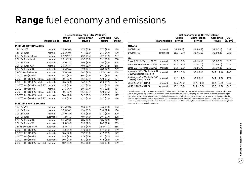## **Range** fuel economy and emissions

|                             | Fuel economy mpg (litres/100km) |             |             |                 |                 |  |
|-----------------------------|---------------------------------|-------------|-------------|-----------------|-----------------|--|
|                             |                                 | Urban       | Extra-urban | <b>Combined</b> | CO <sub>2</sub> |  |
|                             | <b>Transmission</b>             | driving     | driving     | figure          | (g/km)          |  |
| INSIGNIA HATCH/SALOON       |                                 |             |             |                 |                 |  |
| 1.8i 16v VVT                | manual                          | 26.9(10.5)  | 47.9 (5.9)  | 37.2(7.6)       | 178             |  |
| 1.6i 16v Turbo              | manual                          | 26.6(10.6)  | 47.1(6.0)   | 36.7(7.7)       | 179             |  |
| 2.0i 16y Turbo saloon       | manual                          | 22.2(12.7)  | 43.5(6.5)   | 32.1(8.8)       | 207             |  |
| 2.0i 16y Turbo hatch        | manual                          | 22.1(12.8)  | 43.5(6.5)   | 32.1(8.8)       | 208             |  |
| 2.0i 16y Turbo              | automatic                       | 19.9 (14.2) | 40.9(6.9)   | 29.4(9.6)       | 225             |  |
| 2.0i 16y Turbo 4X4          | manual                          | 21.6(13.1)  | 40.9(6.9)   | 30.7(9.2)       | 215             |  |
| 2.0i 16y Turbo 4X4          | automatic                       | 19.6 (14.4) | 39.8(7.1)   | 28.8(9.8)       | 229             |  |
| 2.8i V6 24y Turbo 4X4       | automatic                       | 17.0 (16.6) | 36.7(7.7)   | 25.7(11.0)      | 258             |  |
| 2.0CDTi 16v (130PS)         | manual                          | 36.7(7.7)   | 60.1(4.7)   | 48.7(5.8)       | 154             |  |
| 2.0CDTi 16v (130PS) saloon  | automatic                       | 30.7(9.2)   | 55.4(5.1)   | 42.8(6.6)       | 174             |  |
| 2.0CDTi 16v (130PS) hatch   | automatic                       | 30.4(9.3)   | 54.3(5.2)   | 42.2(6.7)       | 177             |  |
| 2.0CDTi 16v (130PS) ecoFLEX | manual                          | 41.5(6.8)   | 67.3(4.2)   | 54.3(5.2)       | 136             |  |
| 2.0CDTi 16v (160PS)         | manual                          | 36.7(7.7)   | 60.1(4.7)   | 48.7(5.8)       | 154             |  |
| 2.0CDTi 16v (160PS) saloon  | automatic                       | 30.7(9.2)   | 55.4(5.1)   | 42.8(6.6)       | 174             |  |
| 2.0CDTi 16v (160PS) hatch   | automatic                       | 30.4(9.3)   | 54.3(5.2)   | 42.2(6.7)       | 177             |  |
| 2.0CDTi 16y (160PS) ecoFLEX | manual                          | 41.5(6.8)   | 67.3(4.2)   | 54.7(5.2)       | 136             |  |

|                                                            | Fuel economy mpg (litres/100km) |                  |                        |                           |                           |  |  |
|------------------------------------------------------------|---------------------------------|------------------|------------------------|---------------------------|---------------------------|--|--|
|                                                            | <b>Transmission</b>             | Urban<br>driving | Extra-urban<br>driving | <b>Combined</b><br>figure | CO <sub>2</sub><br>(g/km) |  |  |
| <b>ANTARA</b>                                              |                                 |                  |                        |                           |                           |  |  |
| 2.0CDTi 16v                                                | manual                          | 32.5(8.7)        | 41.5(6.8)              | 37.2(7.6)                 | 198                       |  |  |
| 2.0CDTi 16v                                                | automatic                       | 25.9 (10.9)      | 38.7(7.3)              | 32.8(8.6)                 | 225                       |  |  |
| <b>VXR</b>                                                 |                                 |                  |                        |                           |                           |  |  |
| Corsa 1.6i 16v Turbo (192PS)                               | manual                          | 26.9(10.5)       | 44.1(6.4)              | 35.8(7.9)                 | 190                       |  |  |
| Astra 2.0i 16y Turbo (240PS)                               | manual                          | 21.7(13.0)       | 40.4 (7.0)             | 30.7(9.2)                 | 221                       |  |  |
| Zafira 2.0i 16v Turbo (240PS)                              | manual                          | 21.1(13.4)       | 38.2(7.4)              | 29.4(9.6)                 | 230                       |  |  |
| Insignia 2.8i V6 24v Turbo 4X4<br>(325PS) hatchback/saloon | manual                          | 17.0(16.6)       | 33.6(8.4)              | 24.7(11.4)                | 268                       |  |  |
| Insignia 2.8i V6 24v Turbo 4X4<br>(325PS) Sports Tourer    | manual                          | 16.6(17.0)       | 32.8(8.6)              | 24.2(11.7)                | 274                       |  |  |
| VXR8 6.2i V8 (431PS)                                       | manual                          | 12.7(22.3)       | 25.4(11.1)             | 18.6 (15.2)               | 364                       |  |  |
| VXR8 6.2i V8 (431PS)                                       | automatic                       | 13.6 (20.8)      | 26.2(10.8)             | 19.5 (14.5)               | 345                       |  |  |

The fuel consumption figures shown comply with EC directive 1999/100 to provide a realistic indication of fuel consumption by taking into account everyday driving conditions, such as cold starts, acceleration and braking. These figures take account of the vehicle's kerbweight, ascertained in accordance with the above regulation. Important: the results given relate to the particular vehicle tested. Variations in trim level and equipment may result in slightly higher fuel consumption and CO<sub>2</sub> emission levels than those quoted. Driving style, road and traffic conditions, vehicle mileage and standard of maintenance may also affect fuel consumption; therefore the results do not express or imply any guarantee of fuel consumption attainable.

#### **Insignia Sports Tourer**

| 1.8i 16v VVT                | manual    | 26.6(10.6)  | 45.6(6.2) | 36.2(7.8)  | 183 |
|-----------------------------|-----------|-------------|-----------|------------|-----|
| 1.6i 16y Turbo              | manual    | 25.9(10.9)  | 45.6(6.2) | 35.8(7.9)  | 186 |
| 2.0i 16y Turbo              | manual    | 21.9(12.9)  | 42.8(6.6) | 31.7(8.9)  | 209 |
| 2.0i 16y Turbo              | automatic | 19.8 (14.3) | 40.4(7.0) | 29.1(9.7)  | 228 |
| 2.0i 16y Turbo 4X4          | manual    | 21.4(13.2)  | 40.4(7.0) | 30.4(9.3)  | 219 |
| 2.0i 16y Turbo 4X4          | automatic | 19.5 (14.5) | 39.2(7.2) | 28.5(9.9)  | 233 |
| 2.8i V6 24v Turbo 4X4       | automatic | 16.5(17.1)  | 35.8(7.9) | 25.0(11.3) | 265 |
| 2.0CDTi 16y (130PS)         | manual    | 35.8(7.9)   | 57.6(4.9) | 47.1(6.0)  | 159 |
| 2.0CDTi 16v (130PS)         | automatic | 30.4(9.3)   | 53.3(5.3) | 41.5(6.8)  | 179 |
| 2.0CDTi 16v (160PS)         | manual    | 35.8(7.9)   | 57.6(4.9) | 47.1(6.0)  | 159 |
| 2.0CDTi 16v (160PS)         | automatic | 30.4(9.3)   | 53.3(5.3) | 41.5(6.8)  | 179 |
| 2.0CDTi 16v (160PS) ecoFLEX | manual    | 40.9(6.9)   | 65.7(4.3) | 53.3(5.3)  | 139 |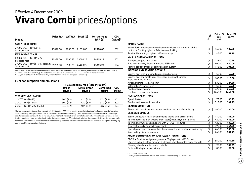### **Vivaro Combi** prices/options Effective 4 December 2009

| Model                                              | Price $(E)$ | VAT (£) | Total $(E)$ | On-the-road<br>RRP(E) | CO <sub>2</sub><br>$(g/km)^*$ |
|----------------------------------------------------|-------------|---------|-------------|-----------------------|-------------------------------|
| <b>SWB 9-SEAT COMBI</b>                            |             |         |             |                       |                               |
| 2900 2.0CDTI 16y (90PS)<br>Standard roof           | 19020.00    | 2853.00 | 21873.00    | 22788.00              | 202                           |
| LWB 9-SEAT COMBI                                   |             |         |             |                       |                               |
| 2900 2.0CDTI 16y (115PS)<br>Standard roof          | 20435.00    | 3065.25 | 2350025     | 24415.25              | 202                           |
| 2900 2.0CDTI 16v (115PS) Tecshift<br>Standard roof | 21235,00    | 3185.25 | 2442025     | 25335.25              | 194                           |

Please note: On-the-road recommended retail prices (RRP) include number plates and delivery to retailer of £645.00 (inc. £84.13 VAT), 12 months' Vehicle Excise Duty (£215.00) and new vehicle first registration fee of £55.00. Excludes fuel and insurance.

 $*$  = CO<sub>2</sub> emission figures. Vehicle Excise Duty is based on CO<sub>3</sub> emissions (see page 2 for details).

#### **Fuel consumption and emissions**

| <b>Urban</b><br>driving | Extra-urban<br>driving | <b>Combined</b><br>figure | CO <sub>2</sub><br>(g/km)       |  |
|-------------------------|------------------------|---------------------------|---------------------------------|--|
|                         |                        |                           |                                 |  |
| 30.7(9.2)               | 42.2(6.7)              | 37.2(7.6)                 | 202                             |  |
| 30.7(9.2)               | 42.2(6.7)              | 37.2(7.6)                 | 202                             |  |
| 34.4(8.2)               | 40.9(6.9)              | 38.2(7.4)                 | 194                             |  |
|                         |                        |                           | Fuel economy mpg (litres/100km) |  |

The fuel consumption figures shown comply with EC directive 1999/100 to provide a realistic indication of fuel consumption by taking into account everyday driving conditions, such as cold starts, acceleration and braking. These figures take account of the vehicle's kerbweight, ascertained in accordance with the above regulation. Important: the results given relate to the particular vehicle tested. Variations in trim level and equipment may result in slightly higher fuel consumption and CO<sub>2</sub> emission levels than those quoted. Driving style, road and traffic conditions, vehicle mileage and standard of maintenance may also affect fuel consumption; therefore the results do not express or imply any guarantee of fuel consumption attainable.

| <b>OPTION PACKS</b>                                                                                                                        |            |         |         |
|--------------------------------------------------------------------------------------------------------------------------------------------|------------|---------|---------|
|                                                                                                                                            |            |         |         |
| Vision Pack • Rain-sensitive windscreen wipers • Automatic lighting<br>control . Front fog lights . Selective door locking                 | Ο          | 165.00  | 189.75  |
| Smoker Pack . Cigar lighter . Front ashtray                                                                                                | О          | 45.00   | 51.75   |
| <b>SAFETY AND SECURITY OPTIONS</b>                                                                                                         |            |         |         |
| Front passengers' twin airbag                                                                                                              | О          | 235.00  | 270.25  |
| Electronic Stability Programme-plus (ESP-plus)                                                                                             | Ω          | 400.00  | 460.00  |
| Remote control ultrasonic security alarm system                                                                                            | Ω          | 175.00  | 201.25  |
| <b>INTERIOR AND SEATING OPTIONS</b>                                                                                                        |            |         |         |
| Driver's seat with lumbar adjustment and armrest                                                                                           | Ω          | 50.00   | 57.50   |
| Driver's seat and single front passenger's seat with lumbar<br>adjustment and armrest                                                      | Ω          | 100.00  | 115.00  |
| Air conditioning - cab area only                                                                                                           | Ω          | 630.00  | 724.50  |
| Solar Reflect <sup>®</sup> windscreen                                                                                                      | Ω          | 55.00   | 63.25   |
| Additional rear heating 1                                                                                                                  | Ω          | 225.00  | 258.75  |
| Front and rear air conditioning                                                                                                            | O          | 1260.00 | 1449.00 |
| <b>MECHANICAL OPTIONS</b>                                                                                                                  |            |         |         |
| Speed limiter                                                                                                                              | О          | 75.00   | 86.25   |
| Tow bar with seven-pin electrics                                                                                                           | $\bigcirc$ | 315.00  | 362.25  |
| <b>REAR DOOR OPTION</b>                                                                                                                    |            |         |         |
| Glazed twin rear doors with heated windows and wash/wipe facility                                                                          | О          | 160.00  | 184.00  |
| <b>EXTERIOR OPTIONS</b>                                                                                                                    |            |         |         |
| Sliding windows in nearside and offside sliding side-access doors                                                                          | $\circ$    | 140.00  | 161.00  |
| 16-inch recessed alloy wheels (steel spare) with 215/65 R 16 tyres                                                                         | $\bigcirc$ | 420.00  | 483.00  |
| 16-inch alloy wheels (steel spare) with 215/65 R 16 tyres                                                                                  | Ο          | 420.00  | 483.00  |
| Two-coat metallic or pearlescent paint                                                                                                     | Ο          | 395.00  | 454.25  |
| Special paint (restrictions apply - please consult your retailer for availability)                                                         | $\bigcirc$ | 440.00  | 506.00  |
| Rear parking distance sensors                                                                                                              | ∩          | 265.00  | 304.75  |
| AUDIO, COMMUNICATION AND NAVIGATION OPTIONS                                                                                                |            |         |         |
| CD 70 . Satellite navigation system . CD player with MP3 format<br>• Stereo radio • Colour monitor • Steering wheel mounted audio controls | ◯          | 850.00  | 977.50  |
| Steering wheel mounted audio controls                                                                                                      | О          | 95.00   | 109.25  |
| Factory-fit telephone pre-wiring                                                                                                           | ∩          | 80.00   | 92.00   |

 $O =$  Optional at extra cost.

1 = Only available in conjunction with front and rear air conditioning on LWB models.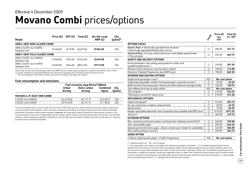### **Movano Combi** prices/options Effective 4 December 2009

| Model                                     | Price $(E)$ | VAT (£) | Total $(E)$ | On-the-road<br>RRP(E) | CO <sub>2</sub><br>$(g/km)^*$ |
|-------------------------------------------|-------------|---------|-------------|-----------------------|-------------------------------|
| SWB 6-SEAT SEMI-GLAZED COMBI              |             |         |             |                       |                               |
|                                           |             |         |             |                       |                               |
| 2800 2.5CDTI 16y (100PS)<br>Standard roof | 21460.00    | 3219.00 | 24679.00    | 25784.00              | 230                           |
| SWB 9-SEAT FULLY GLAZED COMBI             |             |         |             |                       |                               |
| 2800 2.5CDTI 16y (100PS)<br>Standard roof | 21960.00    | 3294.00 | 25254.00    | 26359.00              | 230                           |
| 2800 2.5CDTI 16y (146PS)<br>Standard roof | 24360.00    | 3654.00 | 28014.00    | 29119.00              | 235                           |

Please note: On-the-road recommended retail prices (RRP) include number plates and delivery to retailer of £645.00 (inc. £84.13 VAT), 12 months' Vehicle Excise Duty (£405.00) and new vehicle first registration fee of £55.00. Excludes fuel and insurance.

 $*$  = CO<sub>2</sub> emission figures. Vehicle Excise Duty is based on CO<sub>3</sub> emissions (see page 2 for details).

#### **Fuel consumption and emissions**

|                                   |                  | Fuel economy mpg (litres/100km) |                           |                           |
|-----------------------------------|------------------|---------------------------------|---------------------------|---------------------------|
|                                   | Urban<br>driving | Extra-urban<br>driving          | <b>Combined</b><br>figure | CO <sub>2</sub><br>(g/km) |
| <b>MOVANO 6-/9-SEAT SWB COMBI</b> |                  |                                 |                           |                           |
| 2.5CDTI 16v (100PS)               | 26.6(10.6)       | 36.7(7.7)                       | 32.5(8.7)                 | 230                       |
| 2.5CDTI 16v (146PS)               | 25.9(10.9)       | 36.7(7.7)                       | 31.7(8.9)                 | 235                       |

The fuel consumption figures shown comply with EC directive 1999/100 to provide a realistic indication of fuel consumption by taking into account everyday driving conditions, such as cold starts, acceleration and braking. These figures take account of the vehicle's kerbweight, ascertained in accordance with the above regulation. Important: the results given relate to the particular vehicle tested. Variations in trim level and equipment may result in slightly higher fuel consumption and  $CO<sub>2</sub>$  emission levels than those quoted. Driving style, road and traffic conditions, vehicle mileage and standard of maintenance may also affect fuel consumption; therefore the results do not express or imply any guarantee of fuel consumption attainable.

|                                                                                                                                                                                                                                                                                                                                                                                                                                                                                                                                                                                                                                                               | Composit | Price (E)<br>exc.<br>VAT | Total $(E)$<br>inc. VAT |
|---------------------------------------------------------------------------------------------------------------------------------------------------------------------------------------------------------------------------------------------------------------------------------------------------------------------------------------------------------------------------------------------------------------------------------------------------------------------------------------------------------------------------------------------------------------------------------------------------------------------------------------------------------------|----------|--------------------------|-------------------------|
| <b>OPTIONS PACKS</b>                                                                                                                                                                                                                                                                                                                                                                                                                                                                                                                                                                                                                                          |          |                          |                         |
| Electric Pack . Electrically operated front windows<br>• Electrically adjustable/heated door mirrors                                                                                                                                                                                                                                                                                                                                                                                                                                                                                                                                                          | О        | 285.00                   | 327.75                  |
| Technical Pack . Cruise control with driver controllable speed limiter<br>• Trip computer                                                                                                                                                                                                                                                                                                                                                                                                                                                                                                                                                                     | О        | 525.00                   | 603.75                  |
| <b>SAFETY AND SECURITY OPTIONS</b>                                                                                                                                                                                                                                                                                                                                                                                                                                                                                                                                                                                                                            |          |                          |                         |
| Front passengers' twin airbag and pyrotechnic body-lock<br>seatbelt pretensioners <sup>1</sup>                                                                                                                                                                                                                                                                                                                                                                                                                                                                                                                                                                | О        | 250.00                   | 287.50                  |
| Remote control ultrasonic security alarm system                                                                                                                                                                                                                                                                                                                                                                                                                                                                                                                                                                                                               | О        | 100.00                   | 115.00                  |
| Electronic Stability Programme-plus (ESP-plus)                                                                                                                                                                                                                                                                                                                                                                                                                                                                                                                                                                                                                | ◯        | 750.00                   | 862.50                  |
| <b>INTERIOR AND SEATING OPTIONS</b>                                                                                                                                                                                                                                                                                                                                                                                                                                                                                                                                                                                                                           |          |                          |                         |
| Single front passenger's seat 1                                                                                                                                                                                                                                                                                                                                                                                                                                                                                                                                                                                                                               | N/C      | No-cost option           |                         |
| Single fully adjustable 'comfort' front passenger's seat with armrest 1                                                                                                                                                                                                                                                                                                                                                                                                                                                                                                                                                                                       | O        | 55.00                    | 63.25                   |
| Multi-function front passenger's bench seat with underseat storage facility                                                                                                                                                                                                                                                                                                                                                                                                                                                                                                                                                                                   | O        | 105.00                   | 120.75                  |
| Tyre inflation kit in lieu of spare wheel                                                                                                                                                                                                                                                                                                                                                                                                                                                                                                                                                                                                                     | N/C      | No-cost option           |                         |
| Trip computer                                                                                                                                                                                                                                                                                                                                                                                                                                                                                                                                                                                                                                                 | О        | 315.00                   | 362.25                  |
| Tilting glass sunroof for saloon area                                                                                                                                                                                                                                                                                                                                                                                                                                                                                                                                                                                                                         | O        | 210.00                   | 241.50                  |
| <b>MECHANICAL OPTIONS</b>                                                                                                                                                                                                                                                                                                                                                                                                                                                                                                                                                                                                                                     |          |                          |                         |
| Digital tachograph <sup>2</sup>                                                                                                                                                                                                                                                                                                                                                                                                                                                                                                                                                                                                                               | О        | 525.00                   | 603.75                  |
| Six-pin connection in battery compartment                                                                                                                                                                                                                                                                                                                                                                                                                                                                                                                                                                                                                     | O        | 55.00                    | 63.25                   |
| Speed limiter                                                                                                                                                                                                                                                                                                                                                                                                                                                                                                                                                                                                                                                 | $\circ$  | 75.00                    | 86.25                   |
| Height-adjustable pneumatic rear suspension (not available with ESP-plus)                                                                                                                                                                                                                                                                                                                                                                                                                                                                                                                                                                                     | O        | 1575.00                  | 1811.25                 |
| Tow bar <sup>3</sup>                                                                                                                                                                                                                                                                                                                                                                                                                                                                                                                                                                                                                                          | ∩        | 365.00                   | 419.75                  |
| <b>EXTERIOR OPTIONS</b>                                                                                                                                                                                                                                                                                                                                                                                                                                                                                                                                                                                                                                       |          |                          |                         |
| Rain-sensitive windscreen wipers and Automatic Lighting Control (ALC) <sup>4</sup>                                                                                                                                                                                                                                                                                                                                                                                                                                                                                                                                                                            | О        | 260.00                   | 299.00                  |
| Two-coat metallic paint                                                                                                                                                                                                                                                                                                                                                                                                                                                                                                                                                                                                                                       | O        | 395.00                   | 454.25                  |
| Special paint (restrictions apply - please consult your retailer for availability)                                                                                                                                                                                                                                                                                                                                                                                                                                                                                                                                                                            | О        | 440.00                   | 506.00                  |
| Rear parking distance sensors                                                                                                                                                                                                                                                                                                                                                                                                                                                                                                                                                                                                                                 | Ο        | 265.00                   | 304.75                  |
| <b>AUDIO OPTION</b>                                                                                                                                                                                                                                                                                                                                                                                                                                                                                                                                                                                                                                           |          |                          |                         |
| • Stereo radio/cassette player • Traffic Programme                                                                                                                                                                                                                                                                                                                                                                                                                                                                                                                                                                                                            | N/C      | No-cost option           |                         |
| $\bigcirc$ = Optional at extra cost. N/C = No-cost option.<br>1 = Front passengers' twin airbag is not available with single front passenger's seat options. 2 = The digital tachograph option must be<br>specified at time of ordering as it cannot be fitted retrospectively. Option price for digital tachograph does not include calibration which must<br>be carried out at an approved tachograph centre within 14 days of the vehicle's registration. Please note: The legislation regarding the use of<br>tachographs is complex and operators should seek independent advice or speak to the Commercial Vehicle specialist at your Vauxhall retailer |          |                          |                         |

to ensure compliance. Alternatively your local DVLA office will also be able to provide clarification of the relevant legislation. 3 = Not available

with rear parking distance sensors.  $4 =$  Mandates Electric Pack and trip computer.

**Car and Accessory Price Guide Accessory Price Guide**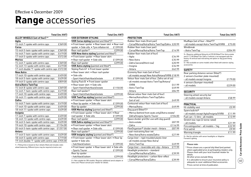## **Range** accessories

|                                                                                                                                        | <b>Total (inc.VAT)</b> |
|----------------------------------------------------------------------------------------------------------------------------------------|------------------------|
| ALLOY WHEELS (set of four) <sup>1*</sup>                                                                                               |                        |
| Agila                                                                                                                                  |                        |
| 15-inch 7-spoke with centre caps                                                                                                       | £369.00                |
| Corsa                                                                                                                                  |                        |
| 15-inch 5-twin-spoke with centre caps                                                                                                  | £369.00                |
| 16-inch 7-twin-spoke with centre caps                                                                                                  | £419.00                |
| 17-inch 5-spoke with centre caps                                                                                                       | £572.00                |
| <b>Meriva</b>                                                                                                                          |                        |
| 15-inch 7-spoke with centre caps                                                                                                       | £369.00                |
| 16-inch 13-spoke with centre caps                                                                                                      | £419.00                |
| 17-inch double 'Y'-spoke with centre caps £572.00                                                                                      |                        |
| New Astra                                                                                                                              |                        |
| 17-inch 10-spoke with centre caps                                                                                                      | £459.00                |
| 18-inch 5-twin-spoke with centre caps                                                                                                  | £639.00                |
| 19-inch 5-spoke with centre caps                                                                                                       | £859.00                |
| Astra/Astra TwinTop                                                                                                                    |                        |
| 15-inch 8-spoke with centre caps                                                                                                       | £369.00                |
| 16-inch 7-twin-spoke with centre caps                                                                                                  | £419.00                |
| 17-inch 10-spoke with centre caps                                                                                                      | £459.00                |
| 18-inch 11-spoke with centre caps                                                                                                      | £639.00                |
| Zafira                                                                                                                                 |                        |
| 16-inch 7-twin-spoke with centre caps                                                                                                  | £419.00                |
| 17-inch 10-spoke with centre caps                                                                                                      | £459.00                |
| 18-inch 11-spoke with centre caps                                                                                                      | £639.00                |
| Insignia                                                                                                                               |                        |
| 17-inch 7-spoke with centre caps                                                                                                       | £459.00                |
| 18-inch 13-spoke with centre caps                                                                                                      | £639.00                |
| 18-inch 5-twin-spoke with centre caps                                                                                                  | £639.00                |
| 19-inch 10-spoke with centre caps                                                                                                      | £1154.00               |
| 20-inch 5-twin-spoke with centre caps                                                                                                  | £1257.00               |
| Antara                                                                                                                                 |                        |
| 17-inch 5-twin-spoke with centre caps                                                                                                  | £639.00                |
| 18-inch 5-spoke with centre caps                                                                                                       | £719.00                |
| 19-inch double 'Y'-spoke with centre caps                                                                                              | £935.00                |
| 1 = Fitting time is based on four wheels fitted and includes static<br>wheel balancing. Different tyres may be required at extra cost. |                        |

2 = Not suitable for SRi models. Requires additional aerial adaptor at extra cost. Please consult your retailer for details.

|     | Total (inc.VAT)   |                                                       | <b>Total (inc.VAT)</b> |                                                    | <b>Total (inc.VAT)</b> |                                                                                 | <b>Total (inc.VAT)</b> |
|-----|-------------------|-------------------------------------------------------|------------------------|----------------------------------------------------|------------------------|---------------------------------------------------------------------------------|------------------------|
|     |                   | <b>VXR EXTERIOR STYLING</b>                           |                        | <b>PROTECTION</b>                                  |                        |                                                                                 |                        |
|     |                   | VXR Corsa styling (painted and fitted*) <sup>2</sup>  |                        | Rubber floor mats (front pair)                     |                        | Mudflaps (set of four - fitted*)4                                               |                        |
|     | £369.00           | • Front lower spoiler • Rear lower skirt • Rear roof  |                        | - Corsa/Meriva/Astra/Astra TwinTop/Zafira £20.99   |                        | - all models except Astra TwinTop/VXR8                                          | £75.00                 |
|     |                   | spoiler . Side sills . Tyre inflation kit             | £1399.00               | Rubber floor mats (rear pair)                      |                        | Windbreak                                                                       |                        |
| aps | £369.00           | Rear roof spoiler <sup>2</sup>                        | £299.00                | - Corsa/Meriva/Astra/Astra TwinTop                 | £14.99                 | - Astra TwinTop                                                                 | £204.99                |
| aps | £419.00           | <b>VXR New Astra styling</b> (painted and fitted*)    |                        | Rubber floor mats (set of four)                    |                        | 3 = Requires additional fitting kit at £99.00 (fitted*) for Astra estate        |                        |
|     | £572.00           | • Front lower spoiler • Rear lower skirt              |                        | - Agila                                            | £34.99                 | and £117.00 (fitted*) for Zafira, if vehicle is not equipped with the           |                        |
|     |                   | • Rear roof spoiler • Side sills                      | £1399.00               | - New Astra                                        | £35.99                 | factory-fit vertical load restraining net option or dog guard fixing<br>points. |                        |
|     | £369.00           | Rear roof spoiler                                     | £299.00                | - Zafira (second/third row)                        | £20.99                 | 4 = Not available on some models when fitted with exterior styling              |                        |
|     | £419.00           | VXR Astra styling (painted and fitted*)               |                        | - Insignia                                         | £34.99                 | accessories.                                                                    |                        |
|     | e caps £572.00    | Styling Pack A <sup>2</sup> . Front lower spoiler     |                        | – Antara                                           | £62.99                 | <b>SAFETY</b>                                                                   |                        |
|     |                   | • Rear lower skirt • Rear roof spoiler                |                        | Economy floor mats (set of four)                   |                        | Rear parking distance sensor (fitted*)                                          |                        |
|     | £459.00           | • Side sills                                          |                        | - all models except New Astra/Antara/VXR8 £18.99   |                        | 2 sensors (number plate mounted)                                                |                        |
| aps | £639.00           | - Sport Hatch/hatchback/estate                        | £1399.00               | Velour floor mats (set of four. Zafira set of six) |                        | - all models except Insignia                                                    | £179.00                |
|     | £859.00           | Styling Pack B . Front lower spoiler                  |                        | - all models except Astra TwinTop/Antara/          |                        | 4 sensors (bumper mounted)                                                      |                        |
|     |                   | • Rear lower skirt • Side sills                       |                        | VXR8                                               | £41.99                 | - all models                                                                    | £229.00                |
|     | £369.00           | - Sport Hatch/hatchback/estate                        | £1150.00               | - Astra TwinTop                                    | £49.99                 |                                                                                 |                        |
| aps | £419.00           | Rear roof spoiler <sup>2</sup>                        |                        | - Antara                                           | £84.99                 | <b>SECURITY</b>                                                                 |                        |
|     | £459.00           | - Sport Hatch/hatchback/estate                        | £299.00                | Deluxe velour floor mats (set of four)             |                        | Steering wheel security bar                                                     |                        |
|     | £639.00           | VXR TwinTop styling (painted and fitted*)             |                        | - Meriva/Astra/Astra TwinTop/Zafira                |                        | - all models except Antara                                                      | £58.99                 |
|     |                   | • Front lower spoiler • Rear lower skirt              |                        | (set of six)                                       | £49.99                 |                                                                                 |                        |
| aps | £419.00           | • Rear lip spoiler • Side sills                       | £1399.00               | Contoured velour floor mats (set of four)          |                        | <b>PRACTICAL</b>                                                                |                        |
|     | £459.00           | Rear lip spoiler                                      | £299.00                | - Meriva/Astra                                     | £49.99                 | Hi-visibility vest                                                              | £5.99                  |
|     | £639.00           | VXR Meriva styling (painted and fitted*)              |                        | Dog guard (fitted*) 3                              |                        | Spare bulb kit <sup>5</sup>                                                     |                        |
|     |                   | • Front lower spoiler • Rear lower skirt • Rear       |                        | - Meriva (behind front seats only)/Astra estate/   |                        | - all models except Agila/Insignia/VXR8                                         | £11.99                 |
|     | £459.00           | roof spoiler . Side sills                             | £1399.00               | Zafira/Insignia Sports Tourer                      | £104.00                | Fuel can - 5-litre - all models                                                 | £13.99                 |
|     | £639.00           | Rear roof spoiler                                     | £299.00                | Space divider grid (for use with dog guard)        |                        | Stretch tow rope (2 tonne rated)                                                |                        |
| aps | £639.00           | VXR Zafira styling (painted and fitted*) <sup>2</sup> |                        | - Astra estate                                     | £87.99                 | - all models                                                                    | £21.99                 |
|     | £1154.00          | • Front lower spoiler • Rear lower skirt              |                        | - Zafira                                           | £116.99                | Fire extinguisher - all models - 1kg                                            | £22.99                 |
|     | aps £1257.00      | • Rear roof spoiler • Side sills                      | £1399.00               | FlexOrganiser <sup>®</sup> divider mesh - Antara   | £87.99                 | First aid kit                                                                   | £9.99                  |
|     |                   | Rear roof spoiler <sup>2</sup>                        | £299.00                | Load-restraining floor net                         |                        | Warning triangle                                                                | £11.99                 |
| aps | £639.00           | VXR Insignia styling (painted and fitted*)            |                        | - New Astra/Astra estate/Zafira                    | £27.99                 | 5 = Not for vehicles with xenon headlights or Adaptive                          |                        |
|     | £719.00           | • Front lower spoiler • Rear lower skirt • Rear lip   |                        | Cargo liner - rigid moulded plastic liner          |                        | Forward Lighting.                                                               |                        |
|     | e caps £935.00    | spoiler • Side sills                                  |                        | - all models except New Astra/                     |                        |                                                                                 |                        |
|     | d includes static | - hatchback/saloon                                    | £1399.00               | Astra TwinTop                                      | £49.99                 | Please note:                                                                    |                        |
|     | d at extra cost.  | • Front lower spoiler • Rear lower skirt • Side sills |                        | Cargo liner - reversible anti-slip - Antara        | £77.99                 | * Prices shown are a special fully fitted (and painted,                         |                        |
|     |                   | - Sports Tourer                                       | £1399.00               | Headlight protectors - standard                    |                        | where applicable) price at participating retailers only.                        |                        |
|     |                   | Rear lip spoiler                                      |                        | - Corsa/Meriva/Astra/Zafira                        | £39.99                 | Please check with your local Vauxhall retailer for<br>details.                  |                        |
|     |                   | - hatchback/saloon                                    | £299.00                | Headlight protectors - carbon fibre-effect         |                        | All other prices exclude fitting.                                               |                        |

– Corsa/Meriva/Astra/Zafira £39.99

It is advisable to ensure your insurance policy is adequate to cover additional fitted accessories. **40Car and Accessory Price Guide** 

**Accessory Price Guide**

Prices correct at time of publication.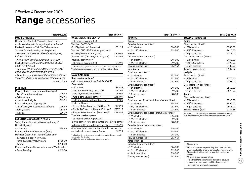## **Range** accessories

#### **MOBILE PHONES**

Hands-free Bluetooth® mobile phone cradle – only available with factory-fit option on Corsa/ Meriva/Astra/Astra TwinTop/Zafira/Antara. Suitable for the following mobile phones: – Motorola V400/500/525/550/600/620/635/ L2/L6/L7/SLVR – Nokia 3100/6100/6020/6021/6151/6220 (excl. Classic)/6230/6233/6234/6310(i)/6610/ 6820/7210/7250(i) – Siemens C65/CX65/M55/M65/S55/S65/S68/ C55/CX70/SP65/C75/CX75/M75/S75

– Sony Ericsson K510i/K610i/K700i/K750i/K800i/ T610/T630/W310i/W510i/W700i/W800i/W810i from £103.99

| <b>INTERIOR</b>                           |        |
|-------------------------------------------|--------|
| Privacy shades – rear side windows (pair) |        |
| - Agila/Corsa/Meriva/Astra                | £39.99 |
| - Zafira/Antara                           | F44 99 |
| - New Astra/Insignia                      | £49.99 |
| Privacy shades - tailgate (pair)          |        |
| - Agila/Corsa/Meriva/New Astra/Astra      | £4999  |
| - Zafira/Antara                           | F5499  |
| - Insignia                                | £59.99 |
|                                           |        |

| <b>ESSENTIAL ACCESSORY PACKS</b> |  |
|----------------------------------|--|
|----------------------------------|--|

| Safety Pack - First aid kit/Warning triangle/  |         |
|------------------------------------------------|---------|
| Hi-visibility vest                             |         |
| - all models                                   | £24.99  |
| Protection Pack - Velour mats (four)/          |         |
| Mudflaps (set of four – fitted*)/Cargo liner   |         |
| - all models except New Astra/                 |         |
| Astra TwinTop/VXR8/Antara                      | £160.00 |
| – Antara                                       | £200.00 |
| Protection Pack - Deluxe velour mats/Windbreak |         |
| - Astra TwinTop                                | £245.00 |

| <b>VAUXHALL CHILD SEATS6</b>                                                                                                                           |         |
|--------------------------------------------------------------------------------------------------------------------------------------------------------|---------|
| - all models except VXR8                                                                                                                               |         |
| Vauxhall BABY-SAFE                                                                                                                                     |         |
| (0-13kg/birth to 15 months)                                                                                                                            | £91.99  |
| Vauxhall DUO ISOFIX with top tether kit                                                                                                                |         |
| (9-18kg/9 months to 4 years)                                                                                                                           | £310.99 |
| Vauxhall KID (15-36kg/4 to 12 years)                                                                                                                   | £123.99 |
| Vauxhall baby mirror                                                                                                                                   |         |
| - all models except VXR8                                                                                                                               | £12.99  |
| 6 = Restrictions apply to the use of child seats, please consult your<br>Vauxhall retailer or request a copy of the Child seats brochure.              |         |
| <b>LOAD CARRIERS</b>                                                                                                                                   |         |
| Roof carrier system <sup>7</sup>                                                                                                                       |         |
| - all models except Astra TwinTop/VXR8                                                                                                                 |         |
| <b>Base carrier</b>                                                                                                                                    |         |
| - all models                                                                                                                                           | £99.99  |
| Thule aluminium bicycle carrier <sup>8</sup>                                                                                                           | £81.99  |
| Thule ski/snowboard carrier <sup>8</sup>                                                                                                               | £89.99  |
| Thule extendable ski carrier <sup>8</sup>                                                                                                              | £163.99 |
| Thule aluminium surfboard carrier <sup>8</sup>                                                                                                         | £69.00  |
| Thule roof boxes                                                                                                                                       |         |
| - Ocean 80 hard roof box (340 litres) 8                                                                                                                | £163.99 |
| - Pacific 200 hard roof box (460 litres) <sup>8</sup>                                                                                                  | £277.15 |
| - Ranger 90 soft roof box (340 litres) 8                                                                                                               | £198.95 |
| Tow bar carrier system                                                                                                                                 |         |
| - all models except Agila/VXR8                                                                                                                         |         |
| Bicycle carrier - tow bar mounted two-bicycle carrier                                                                                                  |         |
| with rear lights (excludes number plate)                                                                                                               | £254.99 |
| Additional bicycle carrier (for use with two-bicycle                                                                                                   |         |
| carrier) - all models except Corsa                                                                                                                     | £67.99  |
| 7 = Roof carrier systems vary dependent on model. Please consult<br>your retailer for details.<br>8 = Must be used in conjunction with a base carrier. |         |

| Total (inc.VAT) |                                                                       | <b>Total (inc.VAT)</b> |                                                    | <b>Total (inc.VAT)</b> |                                                                    | <b>Total (inc.VAT)</b> |
|-----------------|-----------------------------------------------------------------------|------------------------|----------------------------------------------------|------------------------|--------------------------------------------------------------------|------------------------|
|                 | <b>VAUXHALL CHILD SEATS<sup>6</sup></b>                               |                        | <b>TOWING</b>                                      |                        | <b>TOWING</b> (continued)                                          |                        |
| e cradle        | - all models except VXR8                                              |                        | Corsa                                              |                        | Zafira                                                             |                        |
| n on Corsa/     | Vauxhall BABY-SAFE                                                    |                        | Detachable tow bar (fitted*)                       |                        | Fixed tow bar (fitted*)                                            |                        |
| Antara.         | (0-13kg/birth to 15 months)                                           | £91.99                 | - 12N electrics                                    | £460.00                | -12N electrics                                                     | £335.00                |
| ones:           | Vauxhall DUO ISOFIX with top tether kit                               |                        | - 12N/12S electrics                                | £495.00                | - 12N/12S electrics                                                | £415.00                |
| /620/635/       | (9-18kg/9 months to 4 years)                                          | £310.99                | Meriva                                             |                        | -13-pin electrics                                                  | £375.00                |
|                 | Vauxhall KID (15-36kg/4 to 12 years)                                  | £123.99                | Detachable tow bar (fitted*)                       |                        | Detachable tow bar (fitted*)                                       |                        |
| 51/6220         | Vauxhall baby mirror                                                  |                        | -12N electrics                                     | £460.00                | -12N electrics                                                     | £460.00                |
| 10(i)/6610/     | - all models except VXR8                                              | £12.99                 | -12N/12S electrics                                 | £495.00                | -12N/12S electrics                                                 | £495.00                |
|                 | 6 = Restrictions apply to the use of child seats, please consult your |                        | Towing mirrors (pair)                              | £137.64                | - 13-pin electrics                                                 | £480.00                |
| 5/S65/S68/      | Vauxhall retailer or request a copy of the Child seats brochure.      |                        | New Astra                                          |                        | Towing mirrors (pair)                                              | £137.64                |
| 75              |                                                                       |                        | Fixed tow bar (fitted*)                            |                        | <b>Insignia</b>                                                    |                        |
| i/K750i/K800i/  | <b>LOAD CARRIERS</b>                                                  |                        | - 12N electrics                                    | £335.00                | Fixed tow bar (fitted*)                                            |                        |
| V800i/W810i     | Roof carrier system <sup>7</sup>                                      |                        | - 12N/12S electrics                                | £415.00                | -12N electrics                                                     | £375.00                |
| from £103.99    | - all models except Astra TwinTop/VXR8                                |                        | -13-pin electrics                                  | £375.00                | - 13-pin electrics                                                 | £395.00                |
|                 | Base carrier                                                          |                        | Detachable tow bar (fitted*)                       |                        | Detachable tow bar (fitted*)                                       |                        |
|                 | – all models                                                          | £99.99                 | -12N electrics                                     | £460.00                | -12N electrics                                                     | £540.00                |
| (pair)          | Thule aluminium bicycle carrier <sup>8</sup>                          | £81.99                 | - 12N/12S electrics                                | £495.00                | -13-pin electrics                                                  | £575.00                |
| £39.99          | Thule ski/snowboard carrier <sup>8</sup>                              | £89.99                 | -13-pin electrics                                  | £480.00                | Antara                                                             |                        |
| £44.99          | Thule extendable ski carrier <sup>8</sup>                             | £163.99                | Astra <sup>9</sup>                                 |                        | Detachable tow bar (fitted*)                                       |                        |
| £49.99          | Thule aluminium surfboard carrier <sup>8</sup>                        | £69.00                 | Fixed tow bar (Sport Hatch/hatch/estate) (fitted*) |                        | -12N electrics                                                     | £540.00                |
|                 | Thule roof boxes                                                      |                        | -12N electrics                                     | £245.00                | - 12N/12S electrics                                                | £595.00                |
| £49.99<br>tra   | - Ocean 80 hard roof box (340 litres) 8                               | £163.99                | - 12N/12S electrics                                | £325.00                | - 13-pin electrics                                                 | £575.00                |
| £54.99          | - Pacific 200 hard roof box (460 litres) 8                            | £277.15                | - 13-pin electrics                                 | £285.00                | Towing mirrors (pair)                                              | £137.64                |
| £59.99          | - Ranger 90 soft roof box (340 litres) 8                              | £198.95                | Detachable tow bar (Sport Hatch/hatch) (fitted*)   |                        | 9 = Astra 1.4/1.6 models require additional components at extra    |                        |
|                 | Tow bar carrier system                                                |                        | - 12N electrics                                    | £460.00                | cost. Please consult your retailer for further details and prices. |                        |
|                 | - all models except Agila/VXR8                                        |                        | - 12N/12S electrics                                | £495.00                |                                                                    |                        |
| riangle/        | Bicycle carrier - tow bar mounted two-bicycle carrier                 |                        | -13-pin electrics                                  | £480.00                |                                                                    |                        |
|                 | with rear lights (excludes number plate)                              | £254.99                | Detachable tow bar (estate) (fitted*)              |                        |                                                                    |                        |
| £24.99          | Additional bicycle carrier (for use with two-bicycle                  |                        | - 12N electrics                                    | £460.00                |                                                                    |                        |
|                 | carrier) - all models except Corsa                                    | £67.99                 | - 12N/12S electrics                                | £495.00                |                                                                    |                        |
| ı liner         | 7 = Roof carrier systems vary dependent on model. Please consult      |                        | -13-pin electrics                                  | £480.00                |                                                                    |                        |
|                 | your retailer for details.                                            |                        | Towing mirrors (pair)                              | £137.64                |                                                                    |                        |
| £160.00         | 8 = Must be used in conjunction with a base carrier.                  |                        | <b>Astra TwinTop</b>                               |                        |                                                                    |                        |
| £200.00         |                                                                       |                        | Detachable tow bar (fitted*)                       |                        | Please note:                                                       |                        |
| ts/Windbreak    |                                                                       |                        | -12N electrics                                     | £460.00                | * Prices shown are a special fully fitted (and painted,            |                        |
| £245.00         |                                                                       |                        | - 12N/12S electrics                                | £495.00                | where applicable) price at participating retailers only.           |                        |
|                 |                                                                       |                        | -13-pin electrics                                  | £480.00                | Please check with your local Vauxhall retailer for<br>details.     |                        |
|                 |                                                                       |                        | Towing mirrors (pair)                              | £137.64                | All other prices exclude fitting.                                  |                        |

It is advisable to ensure your insurance policy is adequate to cover additional fitted accessories. Prices correct at time of publication.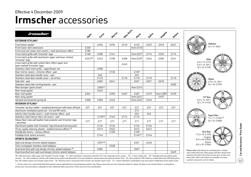## **Irmscher** accessories

| irmschei                                                                                                                                                                                                                                                                                                                                                                                                                                                                                                                                                                                                                                                                 |        |        | Meriva | New Astra |           |        | Insignia  | Antara |
|--------------------------------------------------------------------------------------------------------------------------------------------------------------------------------------------------------------------------------------------------------------------------------------------------------------------------------------------------------------------------------------------------------------------------------------------------------------------------------------------------------------------------------------------------------------------------------------------------------------------------------------------------------------------------|--------|--------|--------|-----------|-----------|--------|-----------|--------|
| <b>EXTERIOR STYLING*</b>                                                                                                                                                                                                                                                                                                                                                                                                                                                                                                                                                                                                                                                 | Agila  | Corsa  |        |           | Astra     | Zativa |           |        |
| Front lower spoiler                                                                                                                                                                                                                                                                                                                                                                                                                                                                                                                                                                                                                                                      |        | £456   | £494   | £410      | £410      | £523   | £549      | £621   |
| Front lower skirt extensions                                                                                                                                                                                                                                                                                                                                                                                                                                                                                                                                                                                                                                             | £330   |        |        |           | from £410 |        |           |        |
| Front and rear lower skirt inserts – matt aluminium-effect                                                                                                                                                                                                                                                                                                                                                                                                                                                                                                                                                                                                               | £185   |        |        |           |           |        |           |        |
| Cross hatch grille with 'Irmscher' logo                                                                                                                                                                                                                                                                                                                                                                                                                                                                                                                                                                                                                                  | £168   | £208   | £161   |           | from £227 | £174   | £265      | £174   |
| Cross hatch grille with aluminium upper and laser-etched<br>ʻIrmscher' logo                                                                                                                                                                                                                                                                                                                                                                                                                                                                                                                                                                                              | £22310 | £243   | £198   | £208      | from £339 | £244   | £285      | £241   |
| Cross hatch grille with carbon fibre-effect upper and<br>laser-etched 'Irmscher' logo                                                                                                                                                                                                                                                                                                                                                                                                                                                                                                                                                                                    |        |        |        | £243      |           |        |           |        |
| Stainless steel mesh grille - upper/lower set                                                                                                                                                                                                                                                                                                                                                                                                                                                                                                                                                                                                                            |        | £208   |        |           |           |        |           |        |
| Door mirror covers - chrome-effect - pair                                                                                                                                                                                                                                                                                                                                                                                                                                                                                                                                                                                                                                |        |        | £136   |           | £169      |        |           |        |
| Stainless steel door handle cover - pair                                                                                                                                                                                                                                                                                                                                                                                                                                                                                                                                                                                                                                 |        | £65    |        |           | £65       |        |           |        |
| Stainless steel door handle cover - set of four                                                                                                                                                                                                                                                                                                                                                                                                                                                                                                                                                                                                                          |        | £110   |        | £110      | £110      | £110   |           | £110   |
| Side sills - pair                                                                                                                                                                                                                                                                                                                                                                                                                                                                                                                                                                                                                                                        |        | £602   | £641   |           | £621      | £621   | £676      |        |
| Stainless steel side running boards - pair                                                                                                                                                                                                                                                                                                                                                                                                                                                                                                                                                                                                                               |        |        |        |           |           |        |           | £682   |
| Rear bumper sports insert                                                                                                                                                                                                                                                                                                                                                                                                                                                                                                                                                                                                                                                |        | £30611 |        |           | from £315 |        |           |        |
| Rear hood spoiler                                                                                                                                                                                                                                                                                                                                                                                                                                                                                                                                                                                                                                                        |        | £442   |        |           |           |        |           |        |
| Rear roof spoiler                                                                                                                                                                                                                                                                                                                                                                                                                                                                                                                                                                                                                                                        | £361   |        | £355   | £407      | £407      | £419   | from £389 | £439   |
| Rear wing spoiler                                                                                                                                                                                                                                                                                                                                                                                                                                                                                                                                                                                                                                                        |        |        |        |           | from £421 |        | £497      |        |
| Uprated and lowered spring kit                                                                                                                                                                                                                                                                                                                                                                                                                                                                                                                                                                                                                                           | £300   | £300   | £422   |           | from £422 | £445   |           |        |
| <b>INTERIOR STYLING*</b>                                                                                                                                                                                                                                                                                                                                                                                                                                                                                                                                                                                                                                                 |        |        |        |           |           |        |           |        |
| 'Irmscher' tax disc holder – anodised aluminium with twist-off back                                                                                                                                                                                                                                                                                                                                                                                                                                                                                                                                                                                                      | £27    | £27    | £27    | £27       | £27       | £27    | £27       | £27    |
| Aluminium ventilation panel set - LH and RH vents                                                                                                                                                                                                                                                                                                                                                                                                                                                                                                                                                                                                                        |        |        |        |           | £72       |        |           |        |
| Interior door handle covers - matt chrome-effect - pair                                                                                                                                                                                                                                                                                                                                                                                                                                                                                                                                                                                                                  |        |        |        |           | £54       | £54    |           |        |
| Stainless steel interior door sill covers - pair                                                                                                                                                                                                                                                                                                                                                                                                                                                                                                                                                                                                                         |        | £17812 | £163   | £174      | £174      |        |           |        |
| Velour floor mats with leather heel protector and 'Irmscher' logo<br>- set of four                                                                                                                                                                                                                                                                                                                                                                                                                                                                                                                                                                                       | £77    | £77    | £77    | £77       | £77       | £77    | £77       | £77    |
| Aluminium pedals with 'Irmscher' logo (manual transmission)                                                                                                                                                                                                                                                                                                                                                                                                                                                                                                                                                                                                              |        | £134   | £134   |           | £134      | £134   |           |        |
| Three-spoke steering wheels - leather/various effects <sup>13</sup>                                                                                                                                                                                                                                                                                                                                                                                                                                                                                                                                                                                                      |        | £313   | £522   |           | £612      | £612   |           |        |
| Handbrake levers - various effects                                                                                                                                                                                                                                                                                                                                                                                                                                                                                                                                                                                                                                       |        |        | £100   |           | £100      |        |           |        |
| Foldable front centre armrest                                                                                                                                                                                                                                                                                                                                                                                                                                                                                                                                                                                                                                            |        | £144   |        |           | £14414    | £144   |           |        |
| <b>SPORTS SILENCERS*</b>                                                                                                                                                                                                                                                                                                                                                                                                                                                                                                                                                                                                                                                 |        |        |        |           |           |        |           |        |
| Split oval design chrome-plated tailpipes                                                                                                                                                                                                                                                                                                                                                                                                                                                                                                                                                                                                                                |        | £39115 |        |           | £451      | £440   |           |        |
| Twin rectangular stainless steel tailpipes                                                                                                                                                                                                                                                                                                                                                                                                                                                                                                                                                                                                                               |        |        | £528   |           |           |        |           |        |
| Dual branched split oval design chrome-plated tailpipes <sup>16</sup>                                                                                                                                                                                                                                                                                                                                                                                                                                                                                                                                                                                                    |        | £585   |        |           | £607      |        |           |        |
| Dual branched twin split oval design chrome-plated tailpipes                                                                                                                                                                                                                                                                                                                                                                                                                                                                                                                                                                                                             |        |        |        |           |           |        |           | £669   |
| 10 = Matt aluminium-effect upper with moulded 'Irmscher' badge. 11 = Not to be fitted in conjunction with Flex-Fix® rear integrated carrier system. 12 = 3-door models only. 13 = Available with and without audio<br>controls. 14 = Not suitable for vehicles with mobile phone system with Bluetooth® and only suitable for vehicles fitted with optional Smoker Pack. 15 = Not suitable for SRi models or models fitted with VXR Styling Pack<br>One. SXi models require rear bumper sports insert. 16 = Must be used in conjunction with Irmscher rear bumper sports insert. 17 = Certain wheel/tyre combinations may also require modification to the wheel arches. |        |        |        |           |           |        |           |        |

\* = Prices shown are a special fully fitted (and painted, where applicable) price at participating retailers only. Please check with your local Vauxhall retailer for details. All other prices exclude fitting. It is advisab ensure your insurance policy is adequate to cover additional fitted accessories. Prices correct at time of publication.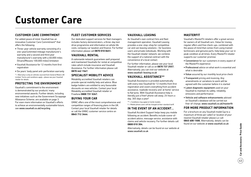# **Customer Care**

#### **Customer Care Commitment**

For added peace of mind, Vauxhall has an innovative Customer Care Commitment\* that offers the following:

- Three-year vehicle warranty consisting of a one-year/unlimited mileage manufacturer's warranty and a second and third year manufacturer's warranty with a 60,000 miles (Vivaro/Movano 100,000 miles) limitation
- Vauxhall Assistance for 12 months from first registration
- Six years' body panel anti-perforation warranty
- \* = Warranty is only on vehicles sourced from General Motors UK Limited. Terms and conditions apply – please see your Vauxhall retailer for details.

#### **Protecting the environment**

Vauxhall's commitment to the environment is demonstrated by our products' many environmental awards. Further details, including new initiatives such as the Government Scrappage Allowance Scheme, are available on page 3. For even more information on Vauxhall's efforts to achieve an environmentally sustainable future, see www.vauxhall.co.uk/recycling

#### **Fleet Customer Services**

Our dedicated support services for fleet managers includes factory demonstrators, a three-day test drive programme and information on whole life costs, company car taxation and finance. For further information please call **0870 010 0651.**

#### **Vauxhall Rental**

A nationwide network guarantees well prepared and maintained Vauxhalls for rental at competitive rates which include insurance and Vauxhall Assistance. For further information please call **0870 442 1567.**

#### **Specialist Mobility advice**

Motability accredited Vauxhall retailers can provide special mobility help and advice. Blue badge holders are entitled to very favourable discounts on new vehicles. Contact your local Motability accredited Vauxhall retailer or Freefone **0800 731 5267.**

#### **Buying your car**

GMAC offers one of the most comprehensive and competitive ranges of financing plans in the UK. Contact your local Vauxhall retailer for details or call the GMAC customer service centre on **0845 712 3444**.

#### **Vauxhall Leasing**

As Vauxhall's own contract hire and fleet management operation, Vauxhall Leasing provides a one-stop-shop for competitive car and van leasing solutions – for business users and private individuals. Working with the Vauxhall retailer network, we combine the support of a national contract with the convenience of a local contact.

For further information, please see your local Vauxhall retailer or call us on **0870 737 2557.** Alternatively, you can visit our website at www.vauxhall-leasing.co.uk

### **Vauxhall Assistance\*\***

Vauxhall Assistance is provided automatically with every new Vauxhall for 12 months from first registration and covers everything from accident assistance, roadside recovery and 'at home' service to flat tyres. With Vauxhall Assistance help is literally just a free† phone call away, 24 hours a day, 365 days a year!

- \*\* = Conditions may apply to Combi models.
- † = Mobile phone users will be charged at their standard tariff.

#### **In the event of an accident...**

Vauxhall Accident Support helps keep you mobile following an accident. Benefits include scene-ofaccident advice, message service, assistance with claims and vehicle recovery. For further details call **0800 010 304.**

Alternatively, details can be found on our website at www.vauxhall.co.uk

#### **MasterFit**

Vauxhall's MasterFit retailers offer a great service for owners of all Vauxhall cars. Value for money, regular offers and free check-ups, combined with the peace of mind that comes from using trained technicians and genuine parts, help keep your car in peak condition at all times. Every MasterFit retailer supports our customer promise:

- Convenience for our customers in every aspect of the MasterFit experience
- Professional advice on what work is essential and what is desirable
- Value assured by our monthly local price check
- Transparent pricing and invoicing. Any amendments or variations to work will be agreed with the customer before it is started
- Latest diagnostic equipment used on your Vauxhall to maintain its safety, reliability, emissions and performance
- Vehicle and software enhancements advised on Vauxhall's database will be carried out free-of-charge, www.vauxhall.co.uk/masterfit

#### **For more product information**

For a brochure on any Vauxhall model (up to a maximum of three per caller) or location of your nearest Vauxhall retailer please Lo-call **0845 600 1500.** Alternatively, details can be found on our website at www.vauxhall.co.uk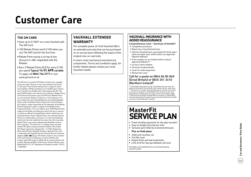# **Customer Care**

#### **The GM Card**

- •Save up to £1500\* on a new Vauxhall with The GM Card
- •100 Rebate Points worth £100 when you use The GM Card for the first time
- •Rebate Point saving is on top of any discount or offer negotiated with the Retailer
- •Earn 3 Rebate Points (£3) for every £100 you spend **Typical 14.9% AP R variable** To apply call **0845 746 2777** or visit www.gmcard.co.uk

The GM Card is issued by HFC Bank Limited and is available to persons aged 18 years or over and resident in the UK (or 21 and over in the Channel Islands) and is subject to status and conditions. Written quotations are available upon request from The GM Card, PO Box 3615, Birmingham B3 2RJ. The typical APR quoted is the rate for new customers. Rebate Points are earned on purchases using The GM Card. Rebate Points are not earned on Balance Transfers or Cash Advances. You earn money off a new Vauxhall/Saab by accumulating Rebate Points under the Rebate Points Programme. General Motors UK Limited is solely responsible for the operation of the Rebate Points Programme, which is subject to the Rebate Points Programme Rules. \*You can redeem up to 2500 Rebate Points subject to the Model Line Maximum which will vary in amount in relation to different Vauxhall/Saab vehicle model lines and unlimited Partner Points. Rebate Points and unlimited Partner Points are redeemable as discounts on a new Vauxhall/Saab vehicle and must be redeemed four years from the issue date. Rebate Points may not be redeemed by Motability Contract Hire customers. 'The GM Card' is a trading name and style of both HFC Bank Limited and General Motors UK Limited. HFC Bank registered in England No. 1117305. Registered Office: North Street, Winkfield, Windsor, Berkshire SL4 4TD is authorised and regulated by the Financial Services Authority *Member*  $HSPC \blacktriangleleft \bullet$  *Group*. HFC Bank Limited is not a member of the same group of companies as General Motors UK Limited, Saab GB Limited or GMAC UK plc. General Motors UK Limited, Registered Office: Griffin House, Osborne Road, Luton, Bedfordshire LU1 3YT. Registered in England number 135767. – CN6/0987.

### **Vauxhall Extended W arrant y**

For complete peace of mind Vauxhall offers an extended warranty that can be purchased on an annual basis following the expiry of the original new car warranty.

It covers most mechanical and electrical components. Terms and conditions apply, for further details please contact your local Vauxhall retailer.

#### **Vauxhall I n s u ran ce with added reass u ran c e**

- Comprehensive cover Summary of benefits\*
- Competitive premiums
- Repairs by a Vauxhall technician
- Genuine Vauxhall parts, guaranteed for three years when we repair your vehicle within our Approved Repairer Network
- Free courtesy car as standard when using an Approved Repairer\*\*
- 24 hour claims helpline
- Personal accident benefit
- Cover for audio equipment
- Windscreen cover

#### Call for a quote on 0844 84 85 840 (Great Britain) or 0845 351 3410 (Northern Ireland) †

\* The benefits listed above are for comprehensive cover only. For details of third party, fire and theft cover, please call our sales team. \*\* Should your car need repairing following an accident, we provide a courtesy car (subject to availability) for the duration of the repair. Only genuine Vauxhall parts are used. Terms and conditions apply. † Calls may be recorded. Vauxhall Motor Insurance is underwritten and administered by Provident Insurance plc (Great Britain) and AXA Insurance Limited (Northern Ireland).

### **MasterFit SERVICE PLAN**

- Fixed monthly payments for the plan duration
- Easy to budget and interest-free
- Genuine parts fitted by trained technicians

#### **Plus on Gold plans:**

- Valet and courtesy car
- Full AA cover
- Engine flush and fuel treatments
- Litre of oil for top ups between services

Full details can be obtained from your local participating Vauxhall retailer.